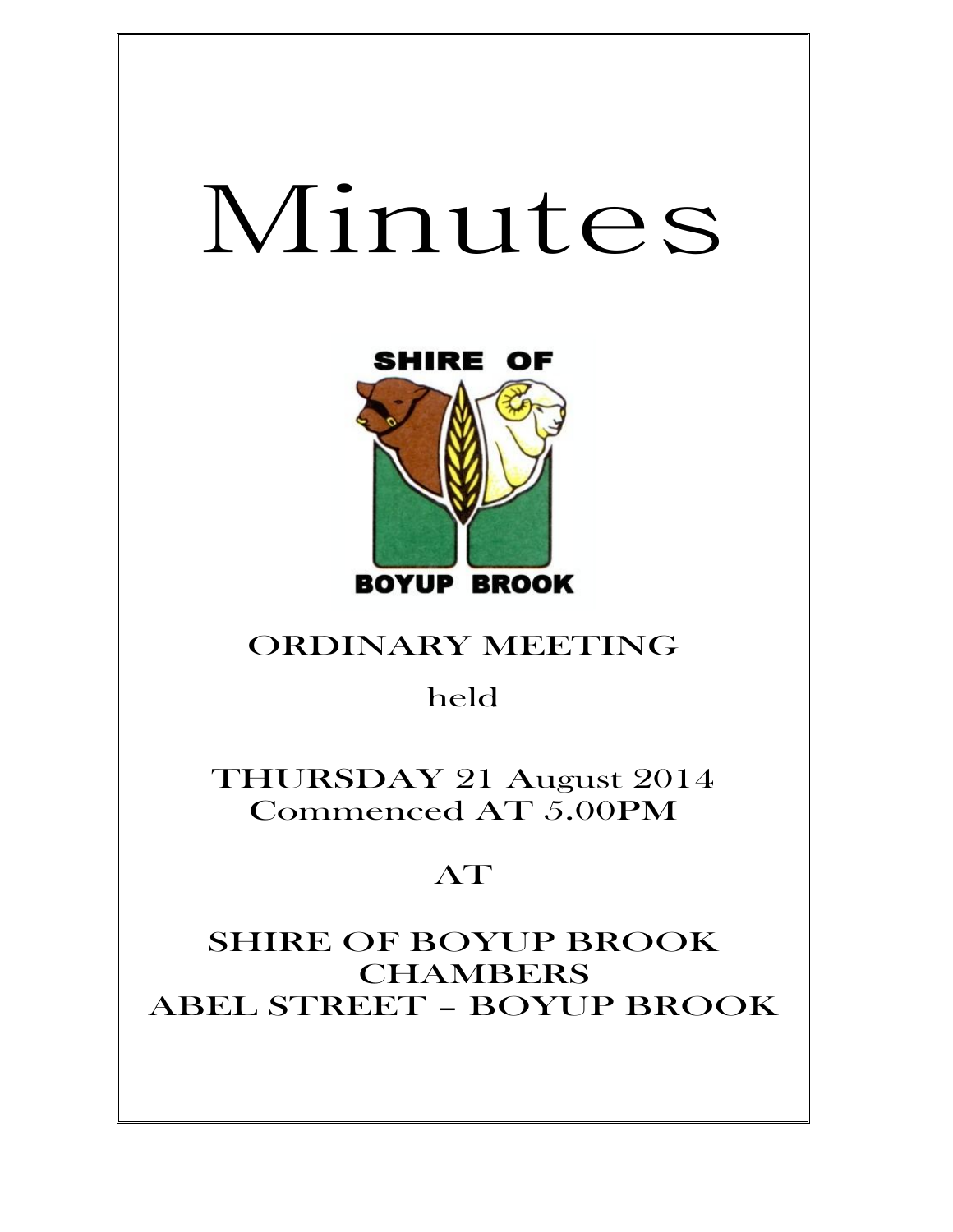# Minutes



# ORDINARY MEETING

held

THURSDAY 21 August 2014 Commenced AT 5.00PM

# AT

SHIRE OF BOYUP BROOK CHAMBERS ABEL STREET – BOYUP BROOK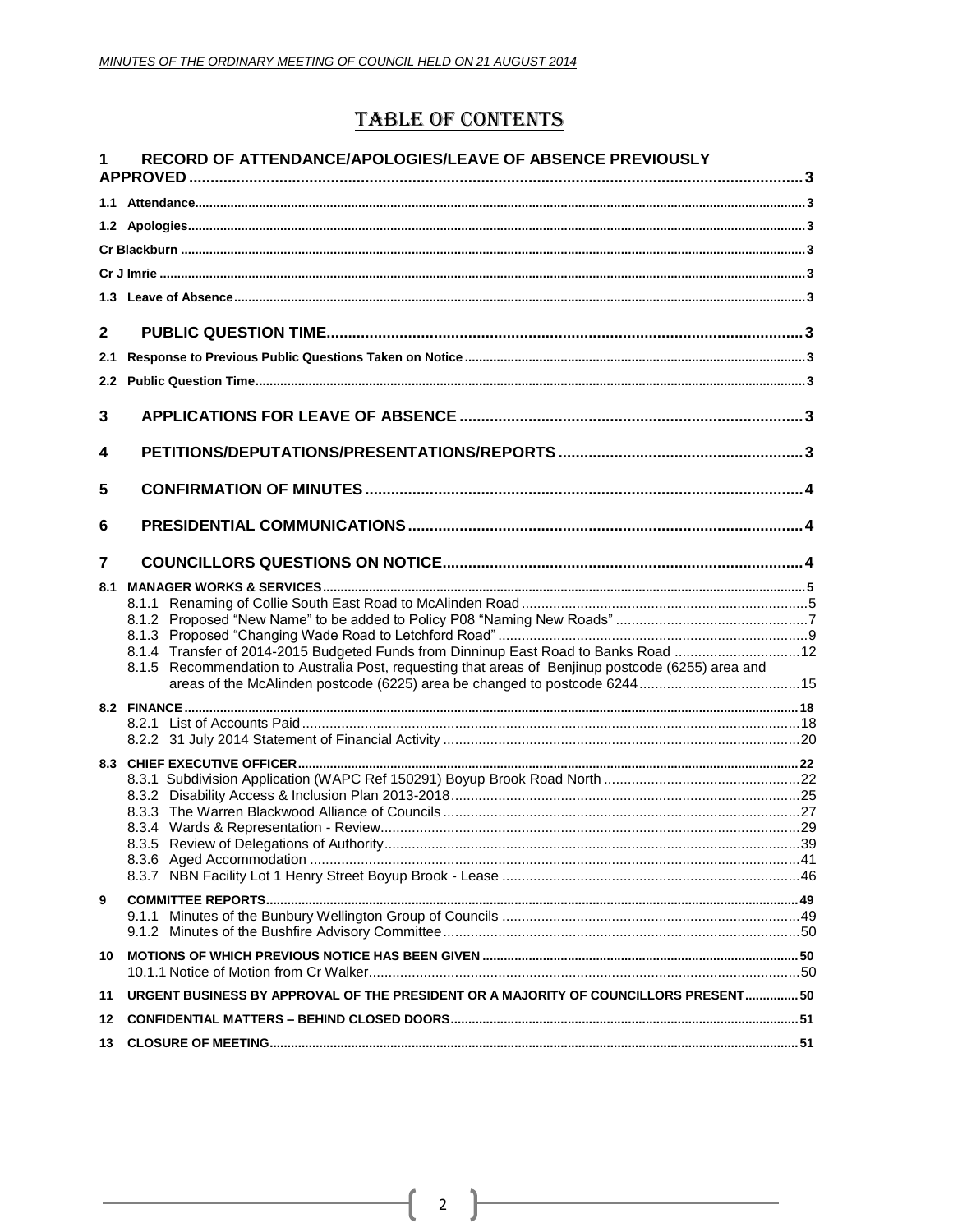## **TABLE OF CONTENTS**

| 1            | RECORD OF ATTENDANCE/APOLOGIES/LEAVE OF ABSENCE PREVIOUSLY                                         |  |
|--------------|----------------------------------------------------------------------------------------------------|--|
|              |                                                                                                    |  |
|              |                                                                                                    |  |
|              |                                                                                                    |  |
|              |                                                                                                    |  |
|              |                                                                                                    |  |
|              |                                                                                                    |  |
| $\mathbf{2}$ |                                                                                                    |  |
| 2.1          |                                                                                                    |  |
|              |                                                                                                    |  |
|              |                                                                                                    |  |
| 3            |                                                                                                    |  |
| 4            |                                                                                                    |  |
| 5            |                                                                                                    |  |
| 6            |                                                                                                    |  |
| 7            |                                                                                                    |  |
| 8.1          |                                                                                                    |  |
|              |                                                                                                    |  |
|              |                                                                                                    |  |
|              | 8.1.4 Transfer of 2014-2015 Budgeted Funds from Dinninup East Road to Banks Road 12                |  |
|              | 8.1.5 Recommendation to Australia Post, requesting that areas of Benjinup postcode (6255) area and |  |
|              |                                                                                                    |  |
|              |                                                                                                    |  |
|              |                                                                                                    |  |
|              |                                                                                                    |  |
|              |                                                                                                    |  |
|              |                                                                                                    |  |
|              |                                                                                                    |  |
|              |                                                                                                    |  |
|              |                                                                                                    |  |
|              |                                                                                                    |  |
| 9            |                                                                                                    |  |
|              |                                                                                                    |  |
| 10           |                                                                                                    |  |
|              |                                                                                                    |  |
| 11           | URGENT BUSINESS BY APPROVAL OF THE PRESIDENT OR A MAJORITY OF COUNCILLORS PRESENT50                |  |
| 12           |                                                                                                    |  |
| 13           |                                                                                                    |  |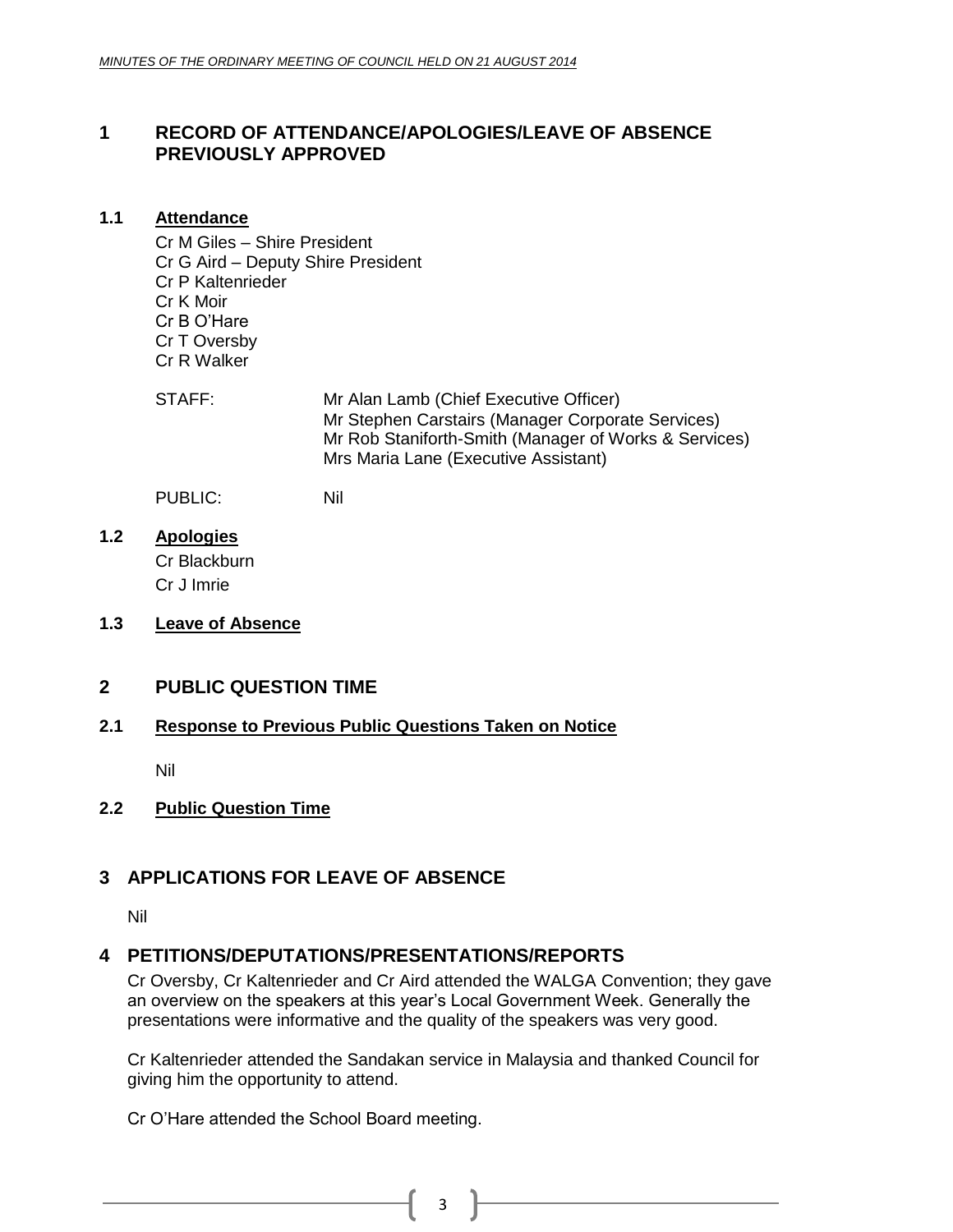#### <span id="page-2-0"></span>**1 RECORD OF ATTENDANCE/APOLOGIES/LEAVE OF ABSENCE PREVIOUSLY APPROVED**

#### <span id="page-2-1"></span>**1.1 Attendance**

Cr M Giles – Shire President Cr G Aird – Deputy Shire President Cr P Kaltenrieder Cr K Moir Cr B O'Hare Cr T Oversby Cr R Walker

STAFF: Mr Alan Lamb (Chief Executive Officer) Mr Stephen Carstairs (Manager Corporate Services) Mr Rob Staniforth-Smith (Manager of Works & Services) Mrs Maria Lane (Executive Assistant)

PUBLIC: Nil

- <span id="page-2-3"></span><span id="page-2-2"></span>**1.2 Apologies** Cr Blackburn Cr J Imrie
- <span id="page-2-5"></span><span id="page-2-4"></span>**1.3 Leave of Absence**

#### <span id="page-2-6"></span>**2 PUBLIC QUESTION TIME**

#### <span id="page-2-7"></span>**2.1 Response to Previous Public Questions Taken on Notice**

Nil

#### <span id="page-2-8"></span>**2.2 Public Question Time**

#### <span id="page-2-9"></span>**3 APPLICATIONS FOR LEAVE OF ABSENCE**

Nil

#### <span id="page-2-10"></span>**4 PETITIONS/DEPUTATIONS/PRESENTATIONS/REPORTS**

Cr Oversby, Cr Kaltenrieder and Cr Aird attended the WALGA Convention; they gave an overview on the speakers at this year's Local Government Week. Generally the presentations were informative and the quality of the speakers was very good.

Cr Kaltenrieder attended the Sandakan service in Malaysia and thanked Council for giving him the opportunity to attend.

Cr O'Hare attended the School Board meeting.

3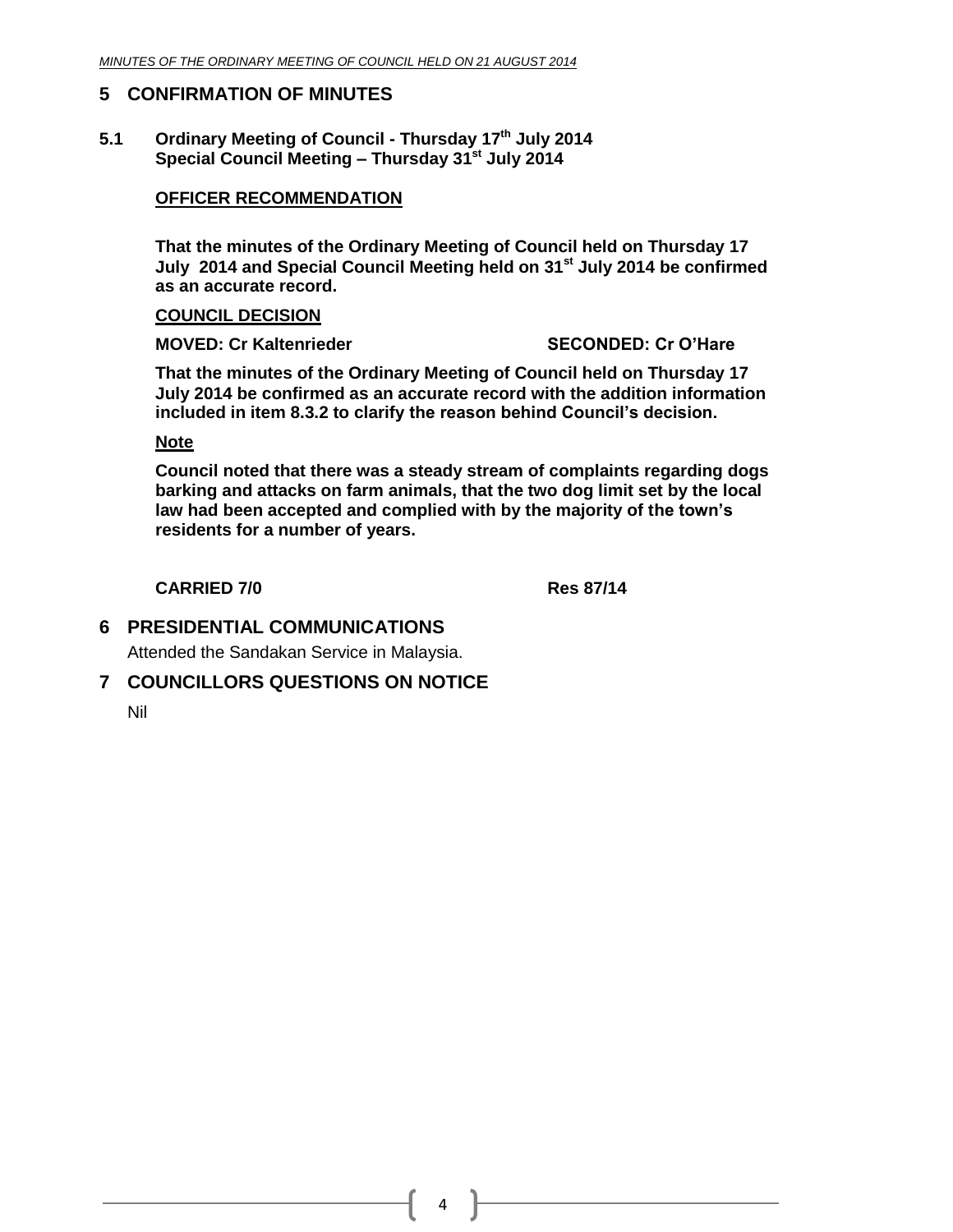#### <span id="page-3-0"></span>**5 CONFIRMATION OF MINUTES**

**5.1 Ordinary Meeting of Council - Thursday 17th July 2014 Special Council Meeting – Thursday 31st July 2014**

#### **OFFICER RECOMMENDATION**

**That the minutes of the Ordinary Meeting of Council held on Thursday 17 July 2014 and Special Council Meeting held on 31st July 2014 be confirmed as an accurate record.**

#### **COUNCIL DECISION**

**MOVED: Cr Kaltenrieder SECONDED: Cr O'Hare**

**That the minutes of the Ordinary Meeting of Council held on Thursday 17 July 2014 be confirmed as an accurate record with the addition information included in item 8.3.2 to clarify the reason behind Council's decision.**

#### **Note**

**Council noted that there was a steady stream of complaints regarding dogs barking and attacks on farm animals, that the two dog limit set by the local law had been accepted and complied with by the majority of the town's residents for a number of years.**

**CARRIED 7/0 Res 87/14**

<span id="page-3-1"></span>**6 PRESIDENTIAL COMMUNICATIONS**

Attended the Sandakan Service in Malaysia.

#### <span id="page-3-2"></span>**7 COUNCILLORS QUESTIONS ON NOTICE**

Nil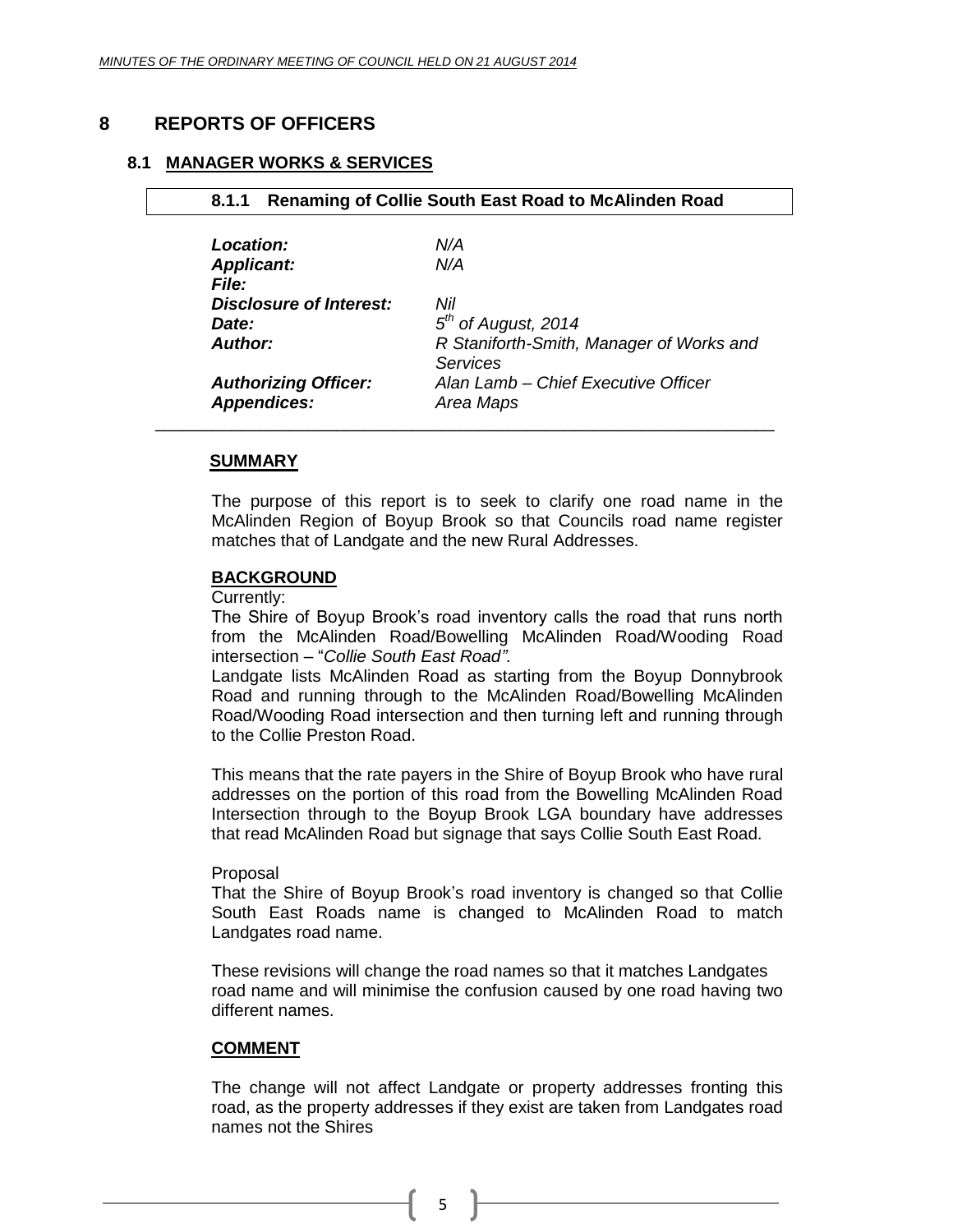#### <span id="page-4-0"></span>**8 REPORTS OF OFFICERS**

#### **8.1 MANAGER WORKS & SERVICES**

<span id="page-4-1"></span>**8.1.1 Renaming of Collie South East Road to McAlinden Road**

| Location:                      | N/A                                                         |
|--------------------------------|-------------------------------------------------------------|
| <b>Applicant:</b>              | N/A                                                         |
| File:                          |                                                             |
| <b>Disclosure of Interest:</b> | Nil                                                         |
| Date:                          | $5th$ of August, 2014                                       |
| Author:                        | R Staniforth-Smith, Manager of Works and<br><b>Services</b> |
| <b>Authorizing Officer:</b>    | Alan Lamb - Chief Executive Officer                         |
| <b>Appendices:</b>             | Area Maps                                                   |
|                                |                                                             |

#### **SUMMARY**

The purpose of this report is to seek to clarify one road name in the McAlinden Region of Boyup Brook so that Councils road name register matches that of Landgate and the new Rural Addresses.

#### **BACKGROUND**

Currently:

The Shire of Boyup Brook's road inventory calls the road that runs north from the McAlinden Road/Bowelling McAlinden Road/Wooding Road intersection – "*Collie South East Road".*

Landgate lists McAlinden Road as starting from the Boyup Donnybrook Road and running through to the McAlinden Road/Bowelling McAlinden Road/Wooding Road intersection and then turning left and running through to the Collie Preston Road.

This means that the rate payers in the Shire of Boyup Brook who have rural addresses on the portion of this road from the Bowelling McAlinden Road Intersection through to the Boyup Brook LGA boundary have addresses that read McAlinden Road but signage that says Collie South East Road.

#### Proposal

That the Shire of Boyup Brook's road inventory is changed so that Collie South East Roads name is changed to McAlinden Road to match Landgates road name.

These revisions will change the road names so that it matches Landgates road name and will minimise the confusion caused by one road having two different names.

#### **COMMENT**

The change will not affect Landgate or property addresses fronting this road, as the property addresses if they exist are taken from Landgates road names not the Shires

5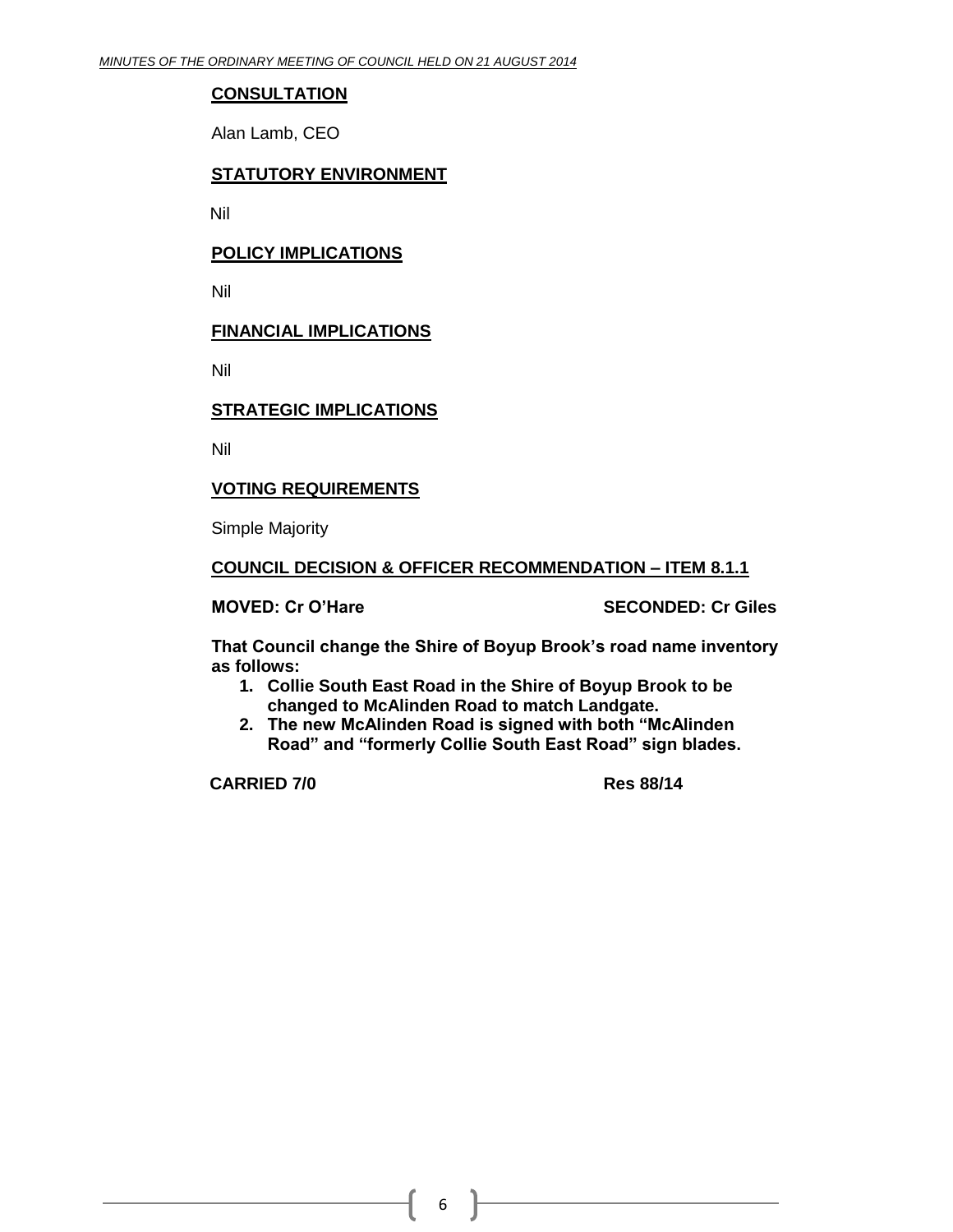#### **CONSULTATION**

Alan Lamb, CEO

#### **STATUTORY ENVIRONMENT**

Nil

#### **POLICY IMPLICATIONS**

Nil

#### **FINANCIAL IMPLICATIONS**

Nil

#### **STRATEGIC IMPLICATIONS**

Nil

#### **VOTING REQUIREMENTS**

Simple Majority

#### **COUNCIL DECISION & OFFICER RECOMMENDATION – ITEM 8.1.1**

**MOVED: Cr O'Hare SECONDED: Cr Giles**

**That Council change the Shire of Boyup Brook's road name inventory as follows:**

- **1. Collie South East Road in the Shire of Boyup Brook to be changed to McAlinden Road to match Landgate.**
- **2. The new McAlinden Road is signed with both "McAlinden Road" and "formerly Collie South East Road" sign blades.**

**CARRIED 7/0 Res 88/14**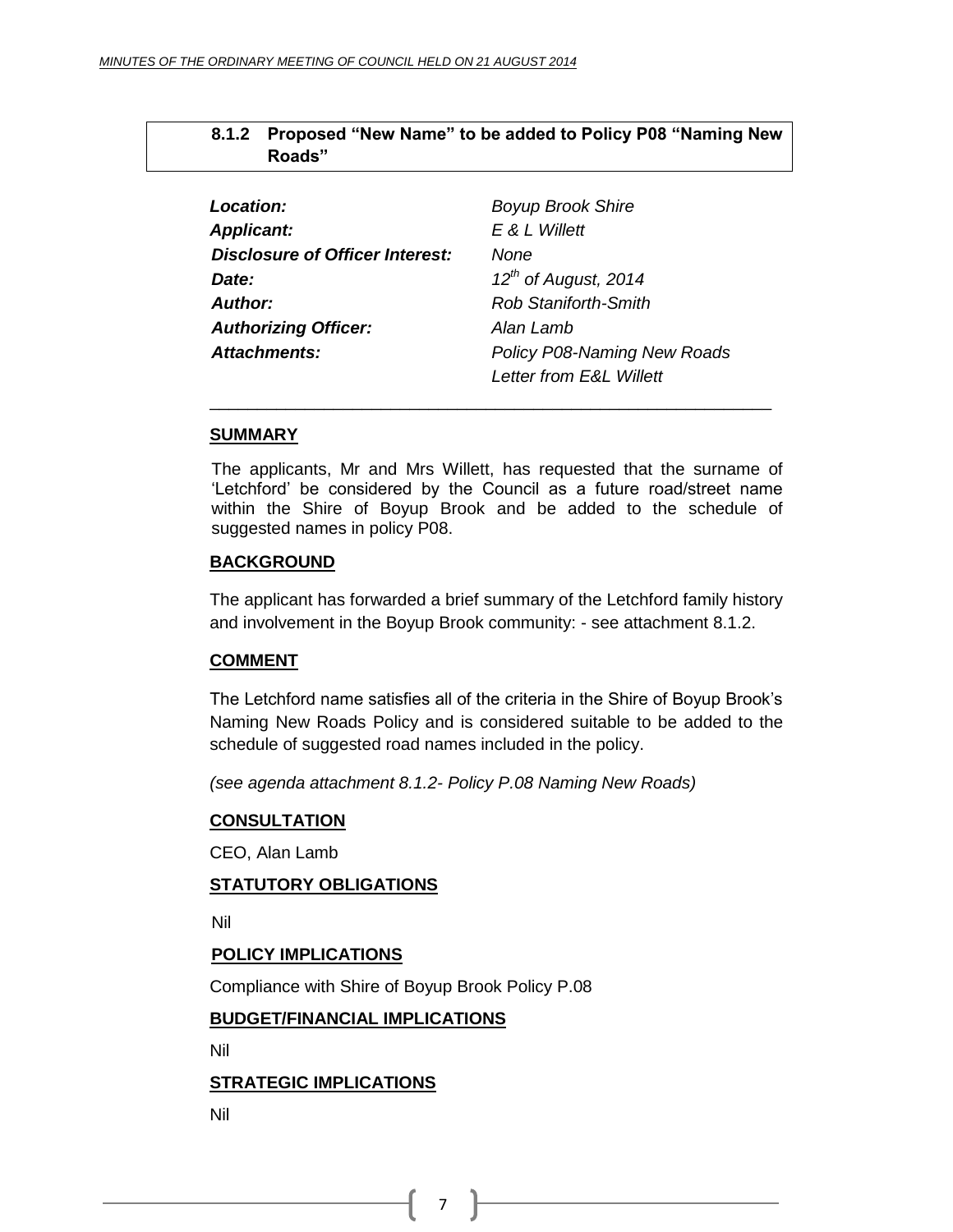#### <span id="page-6-0"></span>**8.1.2 Proposed "New Name" to be added to Policy P08 "Naming New Roads"**

| Location:                              | <b>Boyup Brook Shire</b>           |
|----------------------------------------|------------------------------------|
| <b>Applicant:</b>                      | E & L Willett                      |
| <b>Disclosure of Officer Interest:</b> | None                               |
| <i>Date:</i>                           | $12^{th}$ of August, 2014          |
| Author:                                | <b>Rob Staniforth-Smith</b>        |
| <b>Authorizing Officer:</b>            | Alan Lamb                          |
| Attachments:                           | <b>Policy P08-Naming New Roads</b> |
|                                        | <b>Letter from E&amp;L Willett</b> |

#### **SUMMARY**

The applicants, Mr and Mrs Willett, has requested that the surname of 'Letchford' be considered by the Council as a future road/street name within the Shire of Boyup Brook and be added to the schedule of suggested names in policy P08.

\_\_\_\_\_\_\_\_\_\_\_\_\_\_\_\_\_\_\_\_\_\_\_\_\_\_\_\_\_\_\_\_\_\_\_\_\_\_\_\_\_\_\_\_\_\_\_\_\_\_\_\_\_\_\_\_\_\_\_

#### **BACKGROUND**

The applicant has forwarded a brief summary of the Letchford family history and involvement in the Boyup Brook community: - see attachment 8.1.2.

#### **COMMENT**

The Letchford name satisfies all of the criteria in the Shire of Boyup Brook's Naming New Roads Policy and is considered suitable to be added to the schedule of suggested road names included in the policy.

*(see agenda attachment 8.1.2- Policy P.08 Naming New Roads)*

#### **CONSULTATION**

CEO, Alan Lamb

#### **STATUTORY OBLIGATIONS**

Nil

#### **POLICY IMPLICATIONS**

Compliance with Shire of Boyup Brook Policy P.08

#### **BUDGET/FINANCIAL IMPLICATIONS**

Nil

#### **STRATEGIC IMPLICATIONS**

Nil

7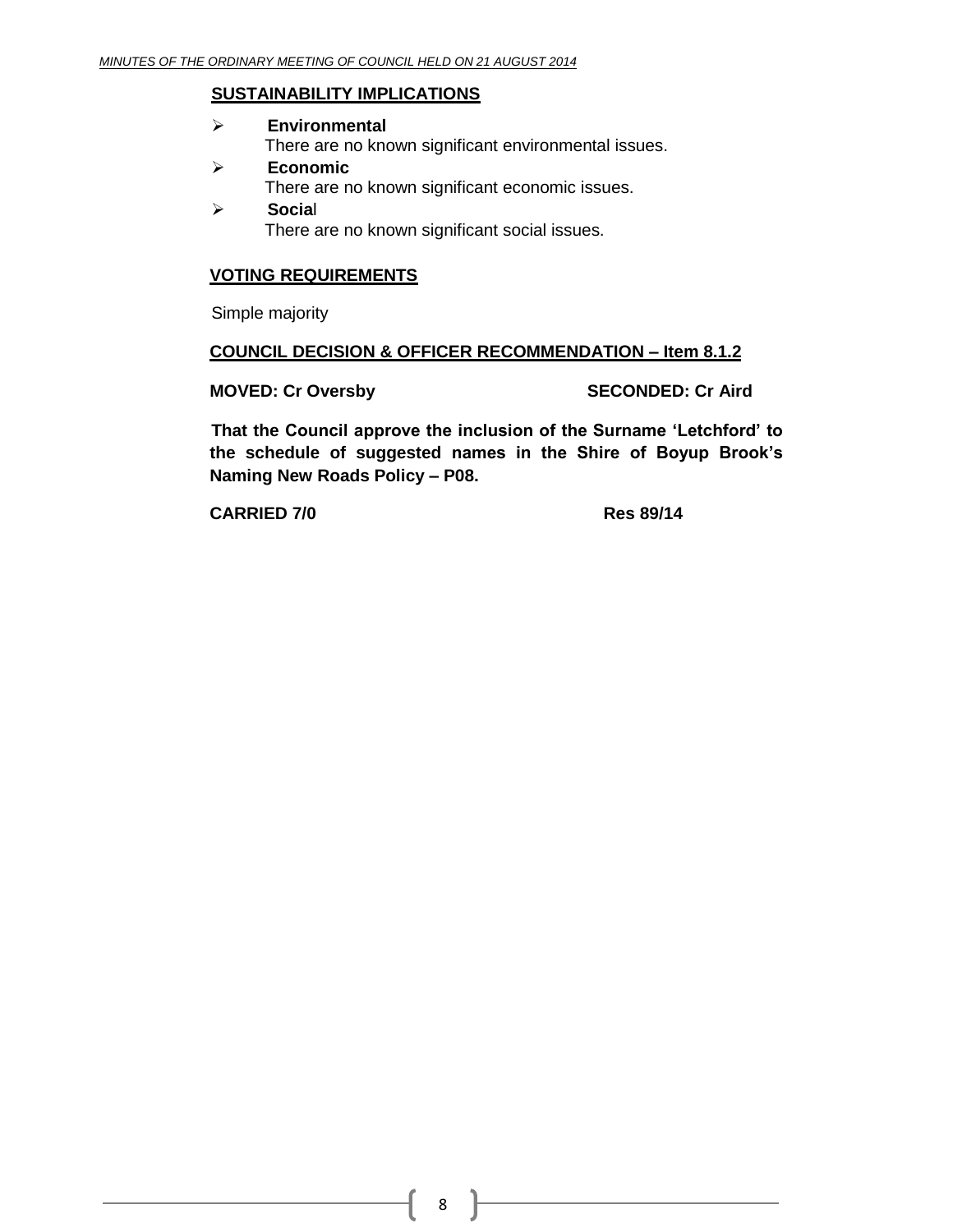#### **SUSTAINABILITY IMPLICATIONS**

- **Environmental** There are no known significant environmental issues.
- **Economic** There are no known significant economic issues.
- **Socia**l There are no known significant social issues.

#### **VOTING REQUIREMENTS**

Simple majority

#### **COUNCIL DECISION & OFFICER RECOMMENDATION – Item 8.1.2**

**MOVED: Cr Oversby SECONDED: Cr Aird**

**That the Council approve the inclusion of the Surname 'Letchford' to the schedule of suggested names in the Shire of Boyup Brook's Naming New Roads Policy – P08.**

**CARRIED 7/0 Res 89/14**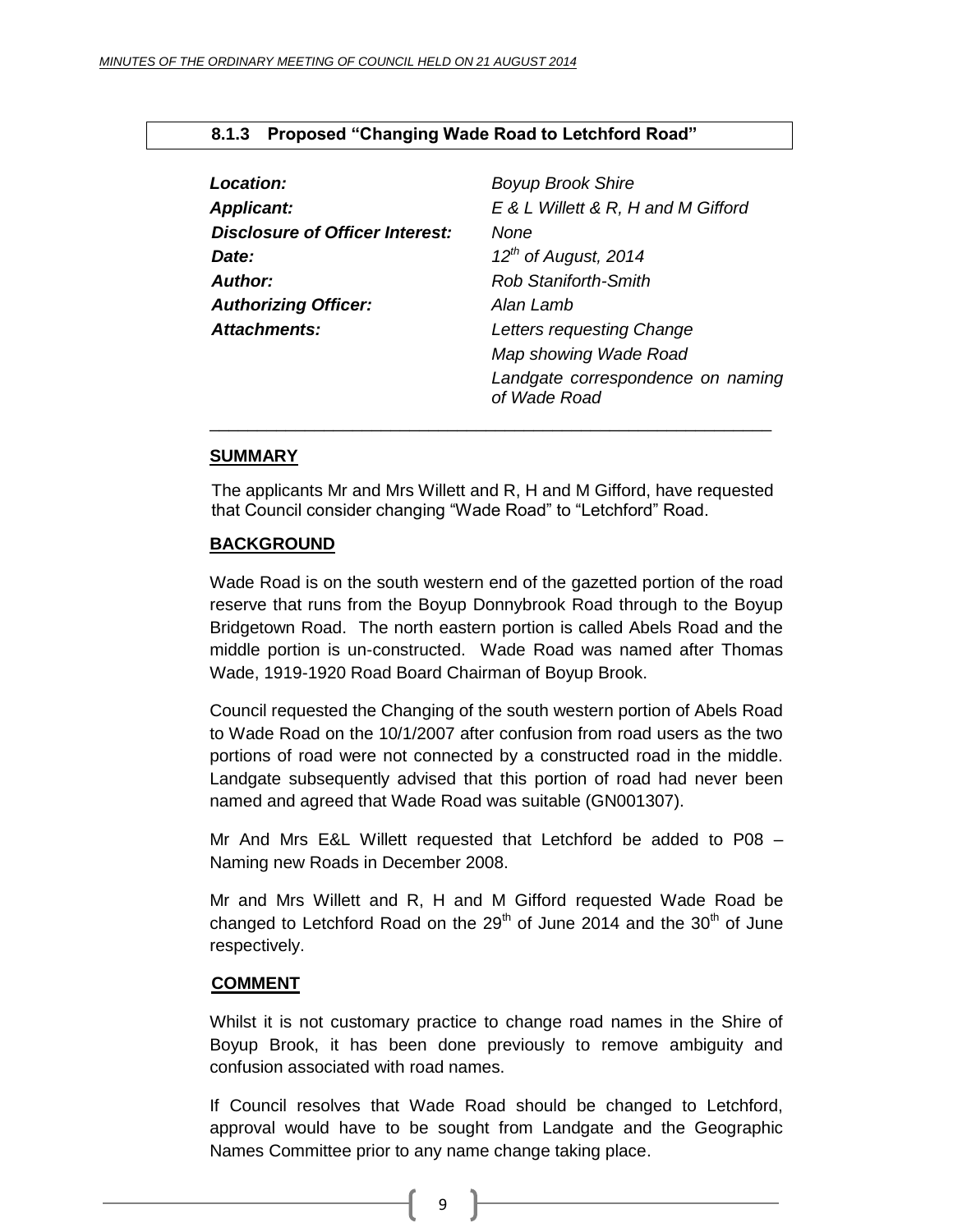| Location:                              | <b>Boyup Brook Shire</b>                          |
|----------------------------------------|---------------------------------------------------|
| <b>Applicant:</b>                      | E & L Willett & R, H and M Gifford                |
| <b>Disclosure of Officer Interest:</b> | None                                              |
| Date:                                  | $12^{th}$ of August, 2014                         |
| <b>Author:</b>                         | <b>Rob Staniforth-Smith</b>                       |
| <b>Authorizing Officer:</b>            | Alan Lamb                                         |
| Attachments:                           | Letters requesting Change                         |
|                                        | Map showing Wade Road                             |
|                                        | Landgate correspondence on naming<br>of Wade Road |
|                                        |                                                   |

#### <span id="page-8-0"></span>**8.1.3 Proposed "Changing Wade Road to Letchford Road"**

#### **SUMMARY**

The applicants Mr and Mrs Willett and R, H and M Gifford, have requested that Council consider changing "Wade Road" to "Letchford" Road.

#### **BACKGROUND**

Wade Road is on the south western end of the gazetted portion of the road reserve that runs from the Boyup Donnybrook Road through to the Boyup Bridgetown Road. The north eastern portion is called Abels Road and the middle portion is un-constructed. Wade Road was named after Thomas Wade, 1919-1920 Road Board Chairman of Boyup Brook.

Council requested the Changing of the south western portion of Abels Road to Wade Road on the 10/1/2007 after confusion from road users as the two portions of road were not connected by a constructed road in the middle. Landgate subsequently advised that this portion of road had never been named and agreed that Wade Road was suitable (GN001307).

Mr And Mrs E&L Willett requested that Letchford be added to P08 – Naming new Roads in December 2008.

Mr and Mrs Willett and R, H and M Gifford requested Wade Road be changed to Letchford Road on the  $29<sup>th</sup>$  of June 2014 and the  $30<sup>th</sup>$  of June respectively.

#### **COMMENT**

Whilst it is not customary practice to change road names in the Shire of Boyup Brook, it has been done previously to remove ambiguity and confusion associated with road names.

If Council resolves that Wade Road should be changed to Letchford, approval would have to be sought from Landgate and the Geographic Names Committee prior to any name change taking place.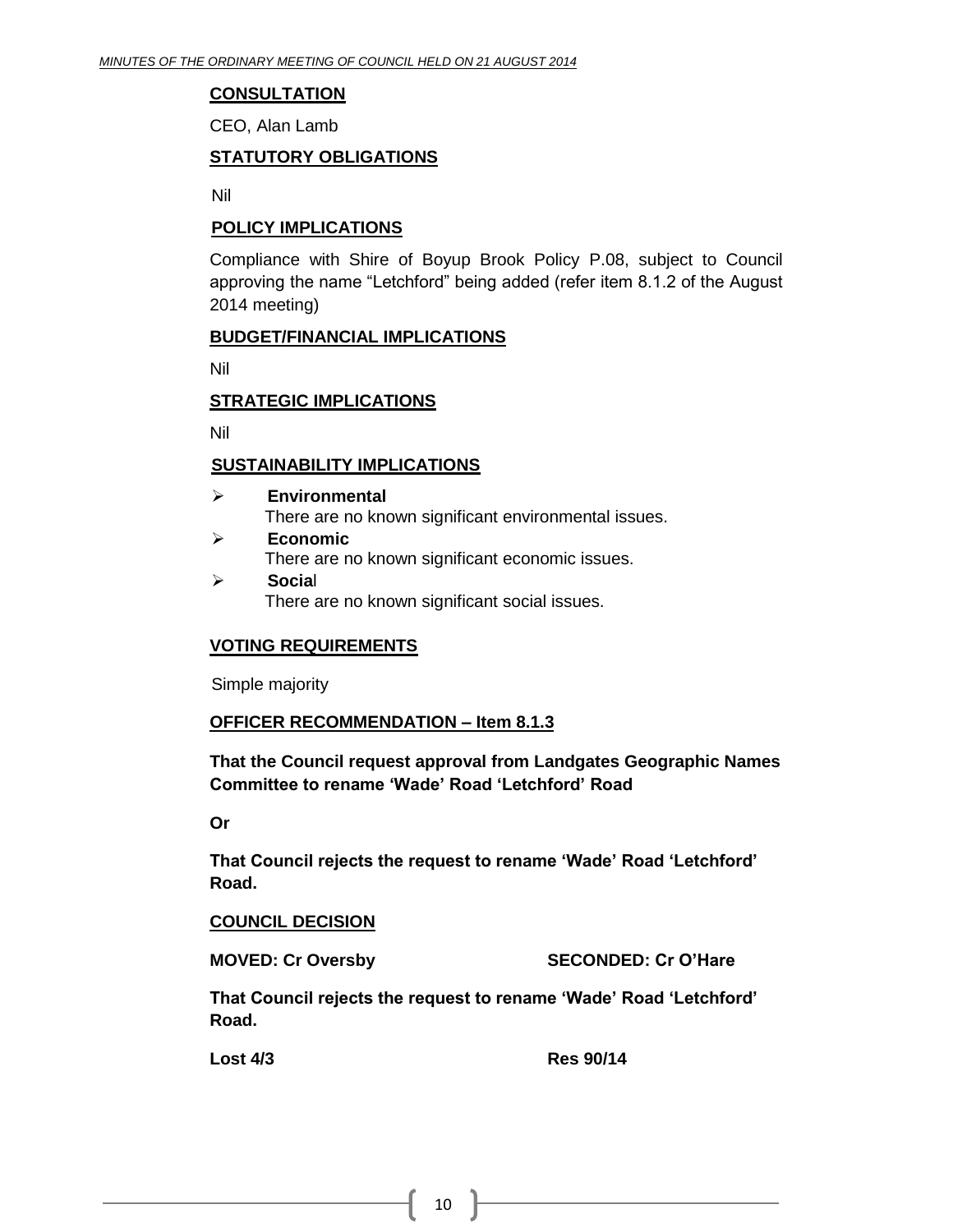#### **CONSULTATION**

CEO, Alan Lamb

#### **STATUTORY OBLIGATIONS**

Nil

#### **POLICY IMPLICATIONS**

Compliance with Shire of Boyup Brook Policy P.08, subject to Council approving the name "Letchford" being added (refer item 8.1.2 of the August 2014 meeting)

#### **BUDGET/FINANCIAL IMPLICATIONS**

Nil

#### **STRATEGIC IMPLICATIONS**

Nil

#### **SUSTAINABILITY IMPLICATIONS**

- **Environmental** There are no known significant environmental issues.
- **Economic** There are no known significant economic issues. **Socia**l
	- There are no known significant social issues.

#### **VOTING REQUIREMENTS**

Simple majority

#### **OFFICER RECOMMENDATION – Item 8.1.3**

**That the Council request approval from Landgates Geographic Names Committee to rename 'Wade' Road 'Letchford' Road** 

**Or**

**That Council rejects the request to rename 'Wade' Road 'Letchford' Road.**

#### **COUNCIL DECISION**

**MOVED: Cr Oversby SECONDED: Cr O'Hare**

**That Council rejects the request to rename 'Wade' Road 'Letchford' Road.**

**Lost 4/3 Res 90/14**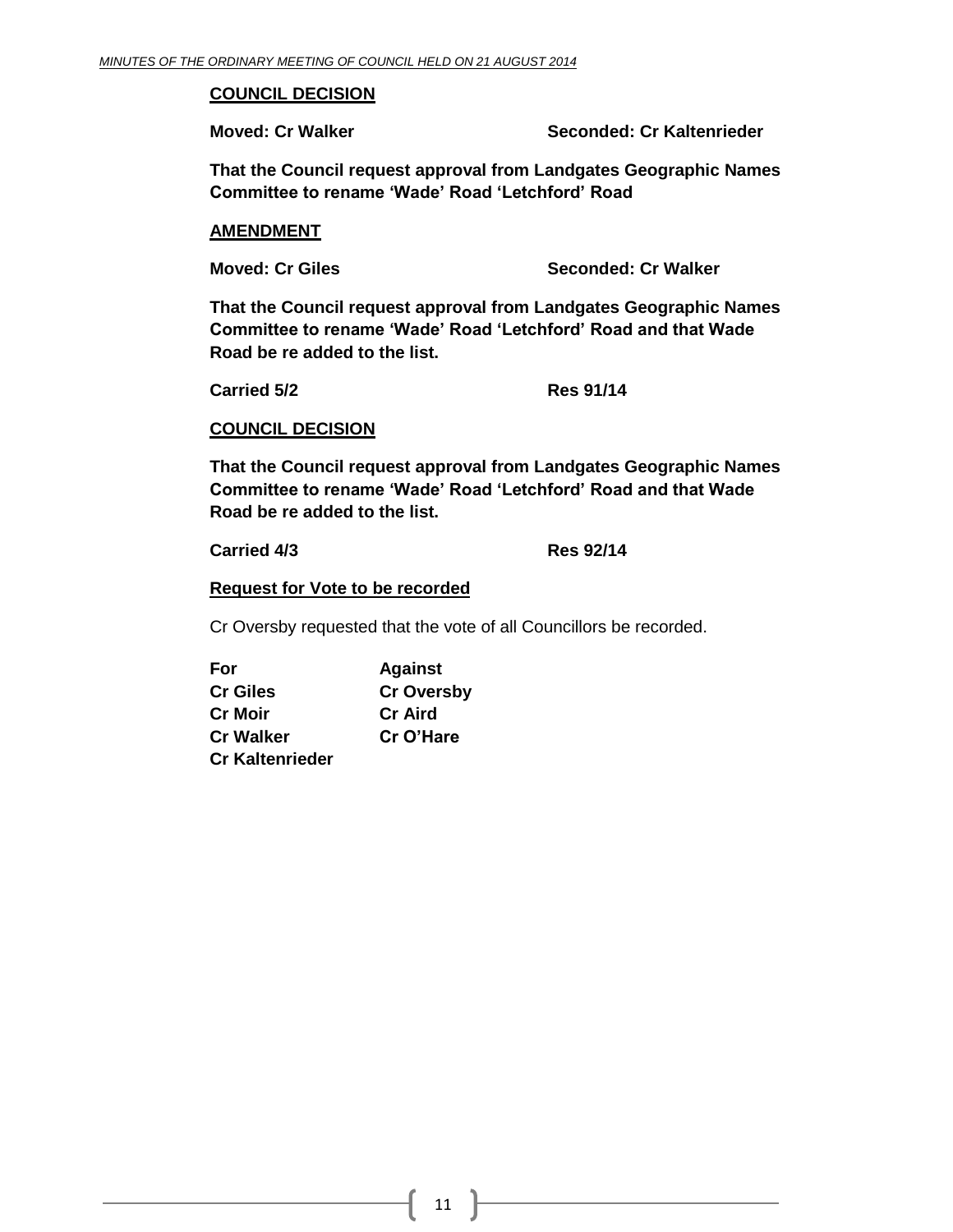#### **COUNCIL DECISION**

**Moved: Cr Walker Seconded: Cr Kaltenrieder**

**That the Council request approval from Landgates Geographic Names Committee to rename 'Wade' Road 'Letchford' Road** 

#### **AMENDMENT**

**Moved: Cr Giles Seconded: Cr Walker**

**That the Council request approval from Landgates Geographic Names Committee to rename 'Wade' Road 'Letchford' Road and that Wade Road be re added to the list.**

**Carried 5/2 Res 91/14**

**COUNCIL DECISION**

**That the Council request approval from Landgates Geographic Names Committee to rename 'Wade' Road 'Letchford' Road and that Wade Road be re added to the list.**

**Carried 4/3 Res 92/14**

**Request for Vote to be recorded**

Cr Oversby requested that the vote of all Councillors be recorded.

| For                    | <b>Against</b>    |
|------------------------|-------------------|
| <b>Cr Giles</b>        | <b>Cr Oversby</b> |
| <b>Cr Moir</b>         | <b>Cr</b> Aird    |
| <b>Cr Walker</b>       | Cr O'Hare         |
| <b>Cr Kaltenrieder</b> |                   |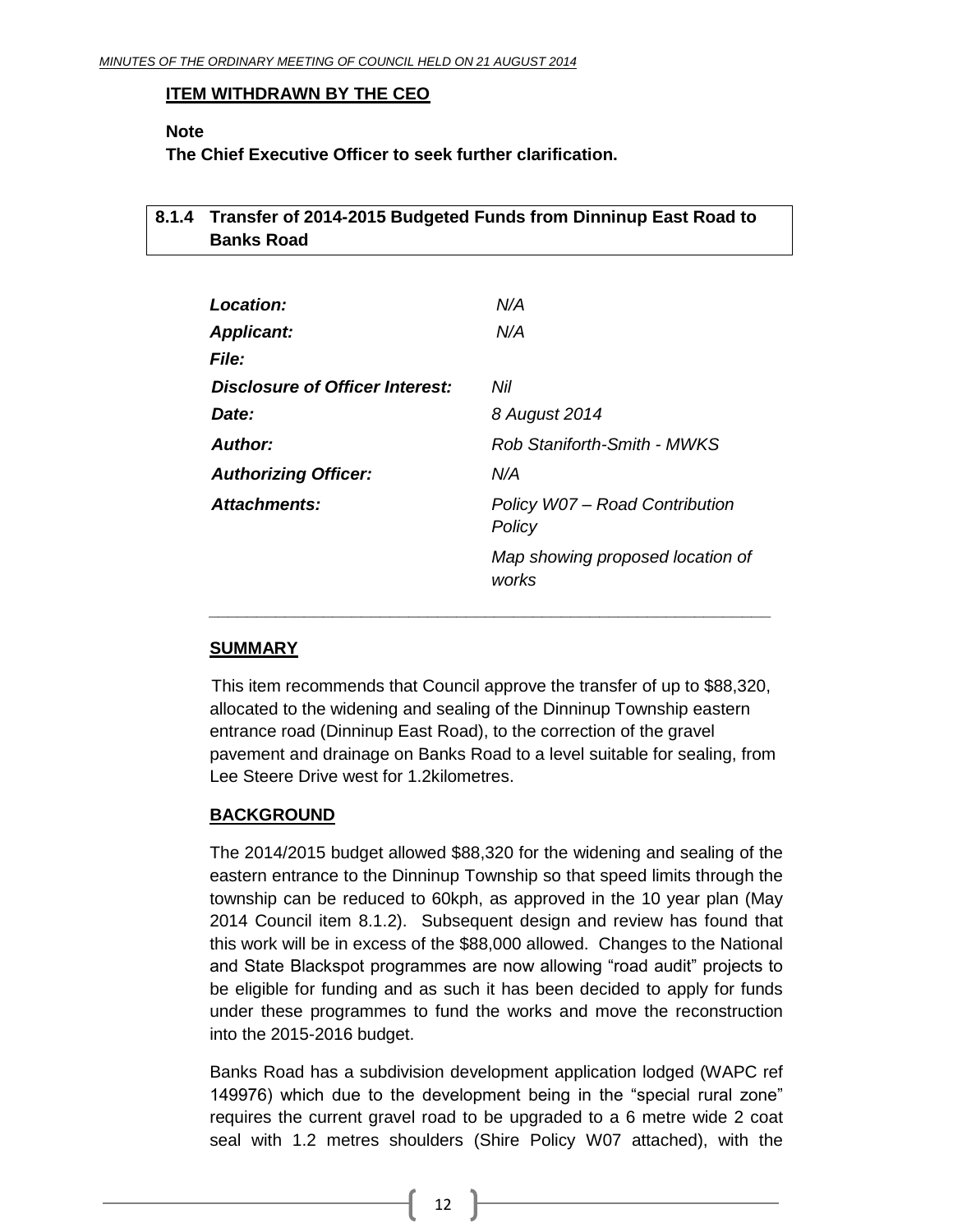#### **ITEM WITHDRAWN BY THE CEO**

#### **Note**

**The Chief Executive Officer to seek further clarification.**

#### <span id="page-11-0"></span>**8.1.4 Transfer of 2014-2015 Budgeted Funds from Dinninup East Road to Banks Road**

| <b>Location:</b>                | N/A                                       |
|---------------------------------|-------------------------------------------|
| <b>Applicant:</b>               | N/A                                       |
| <b>File:</b>                    |                                           |
| Disclosure of Officer Interest: | Nil                                       |
| Date:                           | 8 August 2014                             |
| <b>Author:</b>                  | Rob Staniforth-Smith - MWKS               |
| <b>Authorizing Officer:</b>     | N/A                                       |
| <b>Attachments:</b>             | Policy W07 - Road Contribution<br>Policy  |
|                                 | Map showing proposed location of<br>works |

#### **SUMMARY**

This item recommends that Council approve the transfer of up to \$88,320, allocated to the widening and sealing of the Dinninup Township eastern entrance road (Dinninup East Road), to the correction of the gravel pavement and drainage on Banks Road to a level suitable for sealing, from Lee Steere Drive west for 1.2kilometres.

*\_\_\_\_\_\_\_\_\_\_\_\_\_\_\_\_\_\_\_\_\_\_\_\_\_\_\_\_\_\_\_\_\_\_\_\_\_\_\_\_\_\_\_\_\_\_\_\_\_\_\_\_\_\_\_\_\_\_\_*

#### **BACKGROUND**

The 2014/2015 budget allowed \$88,320 for the widening and sealing of the eastern entrance to the Dinninup Township so that speed limits through the township can be reduced to 60kph, as approved in the 10 year plan (May 2014 Council item 8.1.2). Subsequent design and review has found that this work will be in excess of the \$88,000 allowed. Changes to the National and State Blackspot programmes are now allowing "road audit" projects to be eligible for funding and as such it has been decided to apply for funds under these programmes to fund the works and move the reconstruction into the 2015-2016 budget.

Banks Road has a subdivision development application lodged (WAPC ref 149976) which due to the development being in the "special rural zone" requires the current gravel road to be upgraded to a 6 metre wide 2 coat seal with 1.2 metres shoulders (Shire Policy W07 attached), with the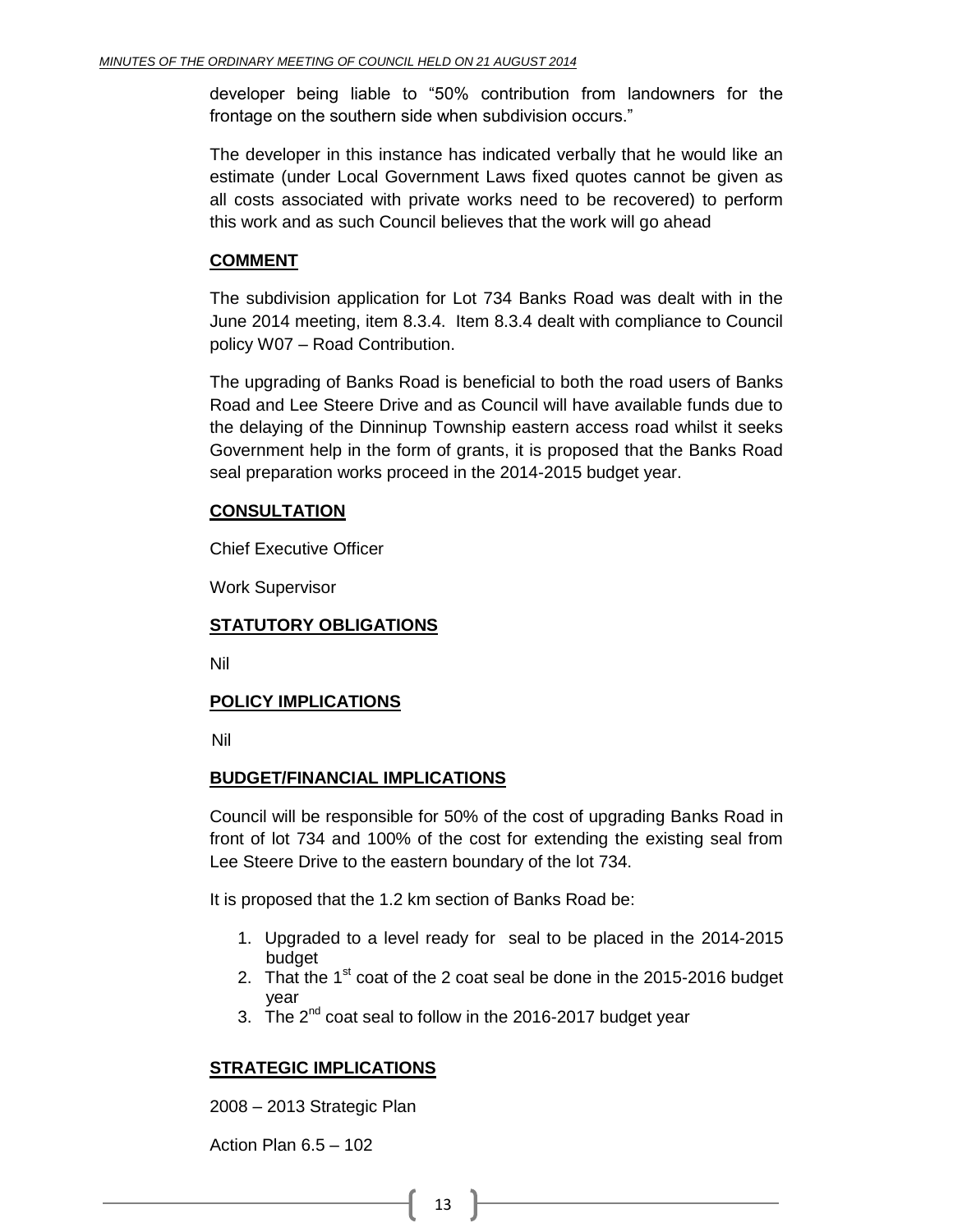developer being liable to "50% contribution from landowners for the frontage on the southern side when subdivision occurs."

The developer in this instance has indicated verbally that he would like an estimate (under Local Government Laws fixed quotes cannot be given as all costs associated with private works need to be recovered) to perform this work and as such Council believes that the work will go ahead

#### **COMMENT**

The subdivision application for Lot 734 Banks Road was dealt with in the June 2014 meeting, item 8.3.4. Item 8.3.4 dealt with compliance to Council policy W07 – Road Contribution.

The upgrading of Banks Road is beneficial to both the road users of Banks Road and Lee Steere Drive and as Council will have available funds due to the delaying of the Dinninup Township eastern access road whilst it seeks Government help in the form of grants, it is proposed that the Banks Road seal preparation works proceed in the 2014-2015 budget year.

#### **CONSULTATION**

Chief Executive Officer

Work Supervisor

#### **STATUTORY OBLIGATIONS**

Nil

#### **POLICY IMPLICATIONS**

Nil

#### **BUDGET/FINANCIAL IMPLICATIONS**

Council will be responsible for 50% of the cost of upgrading Banks Road in front of lot 734 and 100% of the cost for extending the existing seal from Lee Steere Drive to the eastern boundary of the lot 734.

It is proposed that the 1.2 km section of Banks Road be:

- 1. Upgraded to a level ready for seal to be placed in the 2014-2015 budget
- 2. That the  $1<sup>st</sup>$  coat of the 2 coat seal be done in the 2015-2016 budget year
- 3. The  $2^{nd}$  coat seal to follow in the 2016-2017 budget year

#### **STRATEGIC IMPLICATIONS**

2008 – 2013 Strategic Plan

Action Plan 6.5 – 102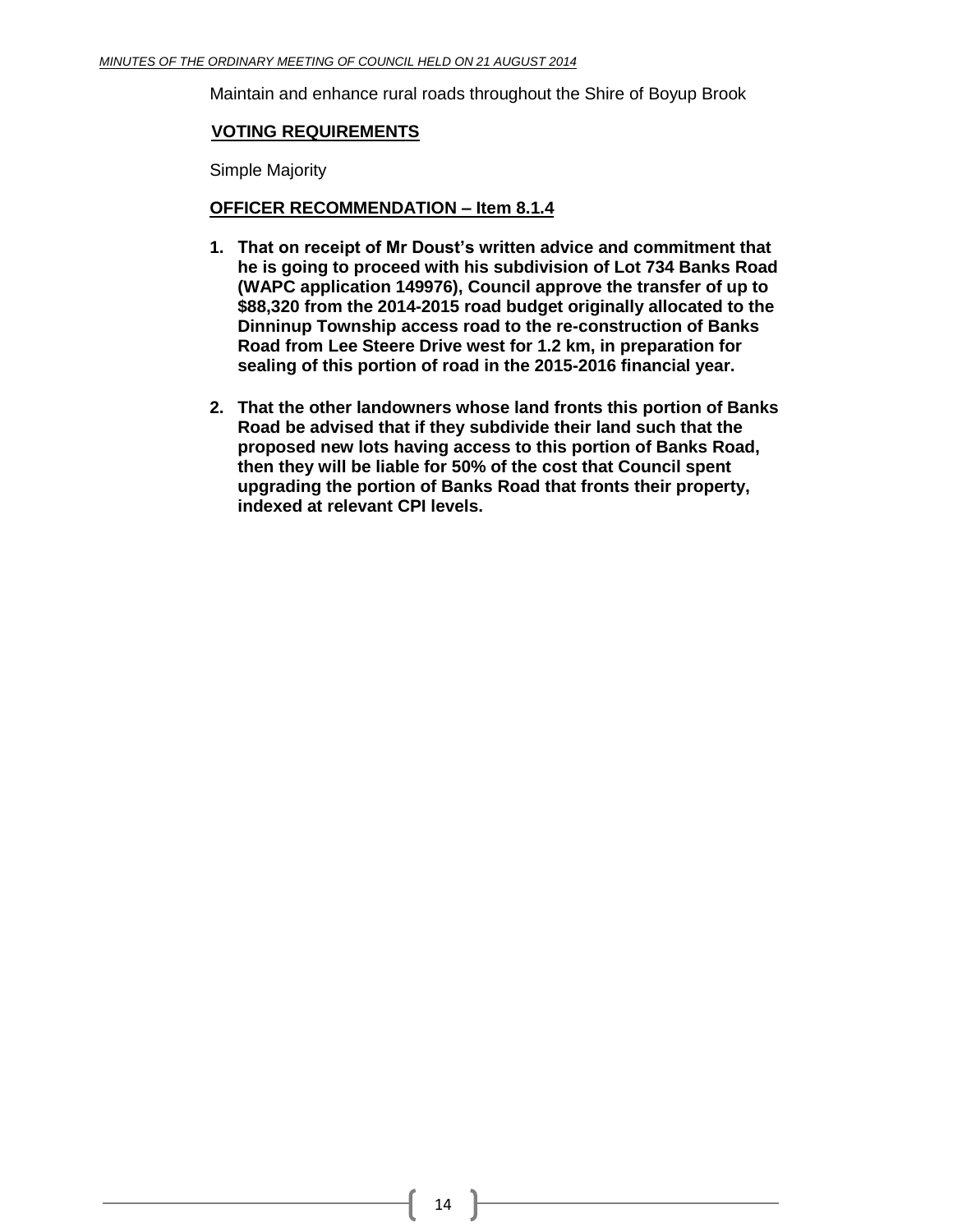Maintain and enhance rural roads throughout the Shire of Boyup Brook

#### **VOTING REQUIREMENTS**

Simple Majority

#### **OFFICER RECOMMENDATION – Item 8.1.4**

- **1. That on receipt of Mr Doust's written advice and commitment that he is going to proceed with his subdivision of Lot 734 Banks Road (WAPC application 149976), Council approve the transfer of up to \$88,320 from the 2014-2015 road budget originally allocated to the Dinninup Township access road to the re-construction of Banks Road from Lee Steere Drive west for 1.2 km, in preparation for sealing of this portion of road in the 2015-2016 financial year.**
- **2. That the other landowners whose land fronts this portion of Banks Road be advised that if they subdivide their land such that the proposed new lots having access to this portion of Banks Road, then they will be liable for 50% of the cost that Council spent upgrading the portion of Banks Road that fronts their property, indexed at relevant CPI levels.**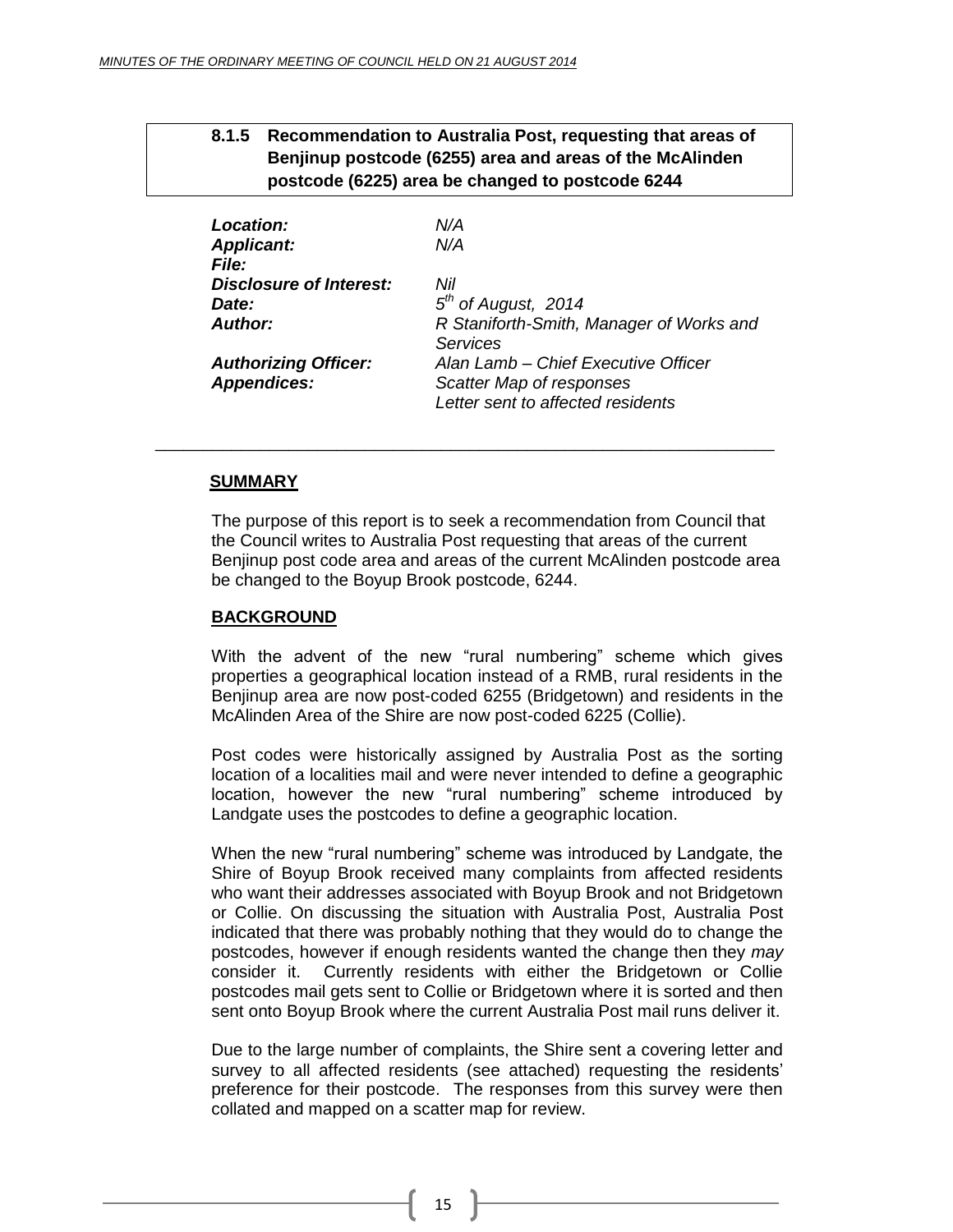#### <span id="page-14-0"></span>**8.1.5 Recommendation to Australia Post, requesting that areas of Benjinup postcode (6255) area and areas of the McAlinden postcode (6225) area be changed to postcode 6244**

| Location:<br><b>Applicant:</b><br><b>File:</b> | N/A<br>N/A                               |
|------------------------------------------------|------------------------------------------|
| <b>Disclosure of Interest:</b>                 | Nil                                      |
| Date:                                          | $5th$ of August, 2014                    |
| Author:                                        | R Staniforth-Smith, Manager of Works and |
|                                                | Services                                 |
| <b>Authorizing Officer:</b>                    | Alan Lamb - Chief Executive Officer      |
| <b>Appendices:</b>                             | Scatter Map of responses                 |
|                                                | Letter sent to affected residents        |

\_\_\_\_\_\_\_\_\_\_\_\_\_\_\_\_\_\_\_\_\_\_\_\_\_\_\_\_\_\_\_\_\_\_\_\_\_\_\_\_\_\_\_\_\_\_\_\_\_\_\_\_\_\_\_\_\_\_\_\_\_\_\_\_\_

#### **SUMMARY**

The purpose of this report is to seek a recommendation from Council that the Council writes to Australia Post requesting that areas of the current Benjinup post code area and areas of the current McAlinden postcode area be changed to the Boyup Brook postcode, 6244.

#### **BACKGROUND**

With the advent of the new "rural numbering" scheme which gives properties a geographical location instead of a RMB, rural residents in the Benjinup area are now post-coded 6255 (Bridgetown) and residents in the McAlinden Area of the Shire are now post-coded 6225 (Collie).

Post codes were historically assigned by Australia Post as the sorting location of a localities mail and were never intended to define a geographic location, however the new "rural numbering" scheme introduced by Landgate uses the postcodes to define a geographic location.

When the new "rural numbering" scheme was introduced by Landgate, the Shire of Boyup Brook received many complaints from affected residents who want their addresses associated with Boyup Brook and not Bridgetown or Collie. On discussing the situation with Australia Post, Australia Post indicated that there was probably nothing that they would do to change the postcodes, however if enough residents wanted the change then they *may*  consider it. Currently residents with either the Bridgetown or Collie postcodes mail gets sent to Collie or Bridgetown where it is sorted and then sent onto Boyup Brook where the current Australia Post mail runs deliver it.

Due to the large number of complaints, the Shire sent a covering letter and survey to all affected residents (see attached) requesting the residents' preference for their postcode. The responses from this survey were then collated and mapped on a scatter map for review.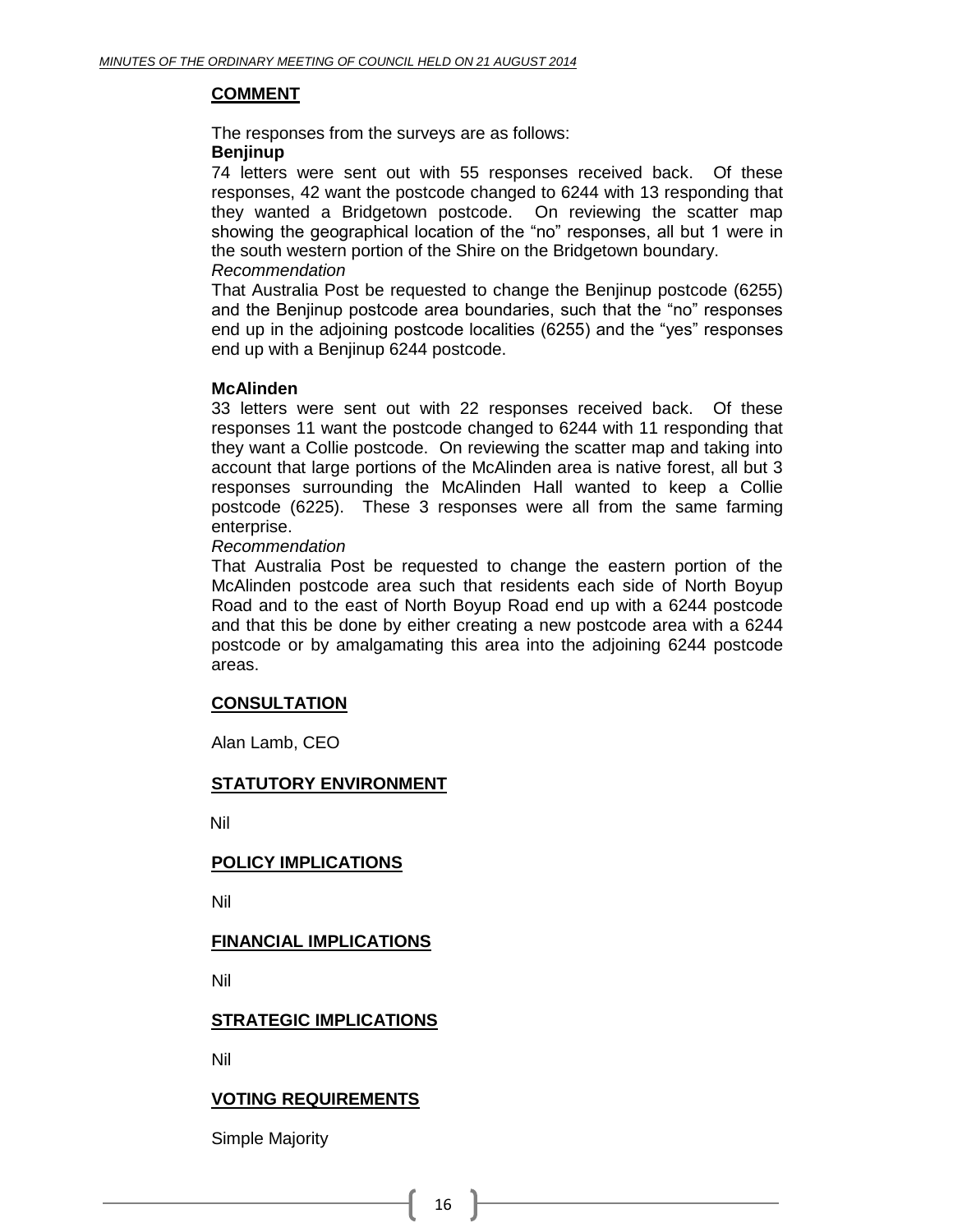#### **COMMENT**

The responses from the surveys are as follows:

#### **Benjinup**

74 letters were sent out with 55 responses received back. Of these responses, 42 want the postcode changed to 6244 with 13 responding that they wanted a Bridgetown postcode. On reviewing the scatter map showing the geographical location of the "no" responses, all but 1 were in the south western portion of the Shire on the Bridgetown boundary. *Recommendation*

#### That Australia Post be requested to change the Benjinup postcode (6255) and the Benjinup postcode area boundaries, such that the "no" responses end up in the adjoining postcode localities (6255) and the "yes" responses end up with a Benjinup 6244 postcode.

#### **McAlinden**

33 letters were sent out with 22 responses received back. Of these responses 11 want the postcode changed to 6244 with 11 responding that they want a Collie postcode. On reviewing the scatter map and taking into account that large portions of the McAlinden area is native forest, all but 3 responses surrounding the McAlinden Hall wanted to keep a Collie postcode (6225). These 3 responses were all from the same farming enterprise.

#### *Recommendation*

That Australia Post be requested to change the eastern portion of the McAlinden postcode area such that residents each side of North Boyup Road and to the east of North Boyup Road end up with a 6244 postcode and that this be done by either creating a new postcode area with a 6244 postcode or by amalgamating this area into the adjoining 6244 postcode areas.

#### **CONSULTATION**

Alan Lamb, CEO

#### **STATUTORY ENVIRONMENT**

Nil

#### **POLICY IMPLICATIONS**

Nil

#### **FINANCIAL IMPLICATIONS**

Nil

#### **STRATEGIC IMPLICATIONS**

Nil

#### **VOTING REQUIREMENTS**

Simple Majority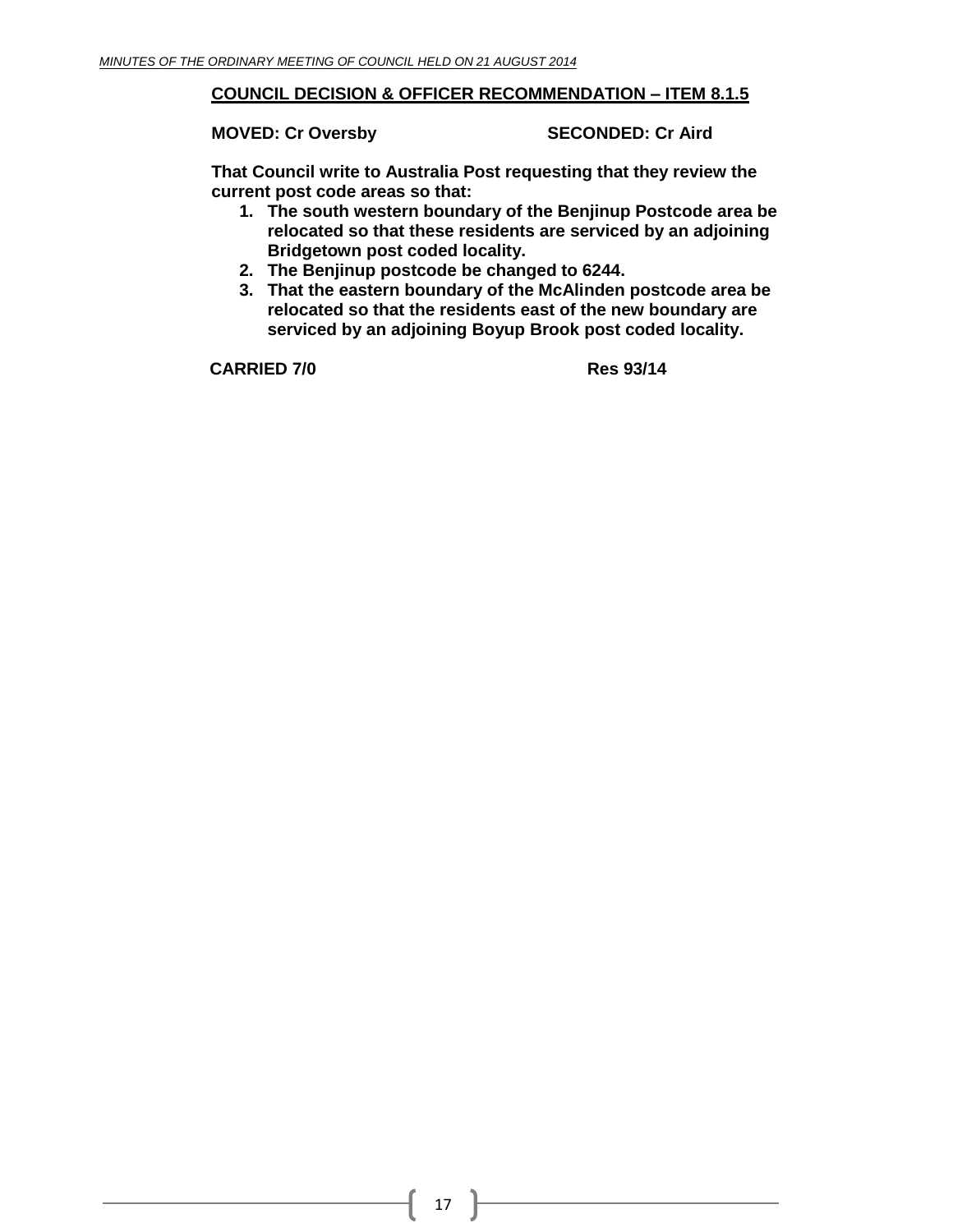#### **COUNCIL DECISION & OFFICER RECOMMENDATION – ITEM 8.1.5**

**MOVED: Cr Oversby SECONDED: Cr Aird**

**That Council write to Australia Post requesting that they review the current post code areas so that:**

- **1. The south western boundary of the Benjinup Postcode area be relocated so that these residents are serviced by an adjoining Bridgetown post coded locality.**
- **2. The Benjinup postcode be changed to 6244.**
- **3. That the eastern boundary of the McAlinden postcode area be relocated so that the residents east of the new boundary are serviced by an adjoining Boyup Brook post coded locality.**

**CARRIED 7/0 Res 93/14**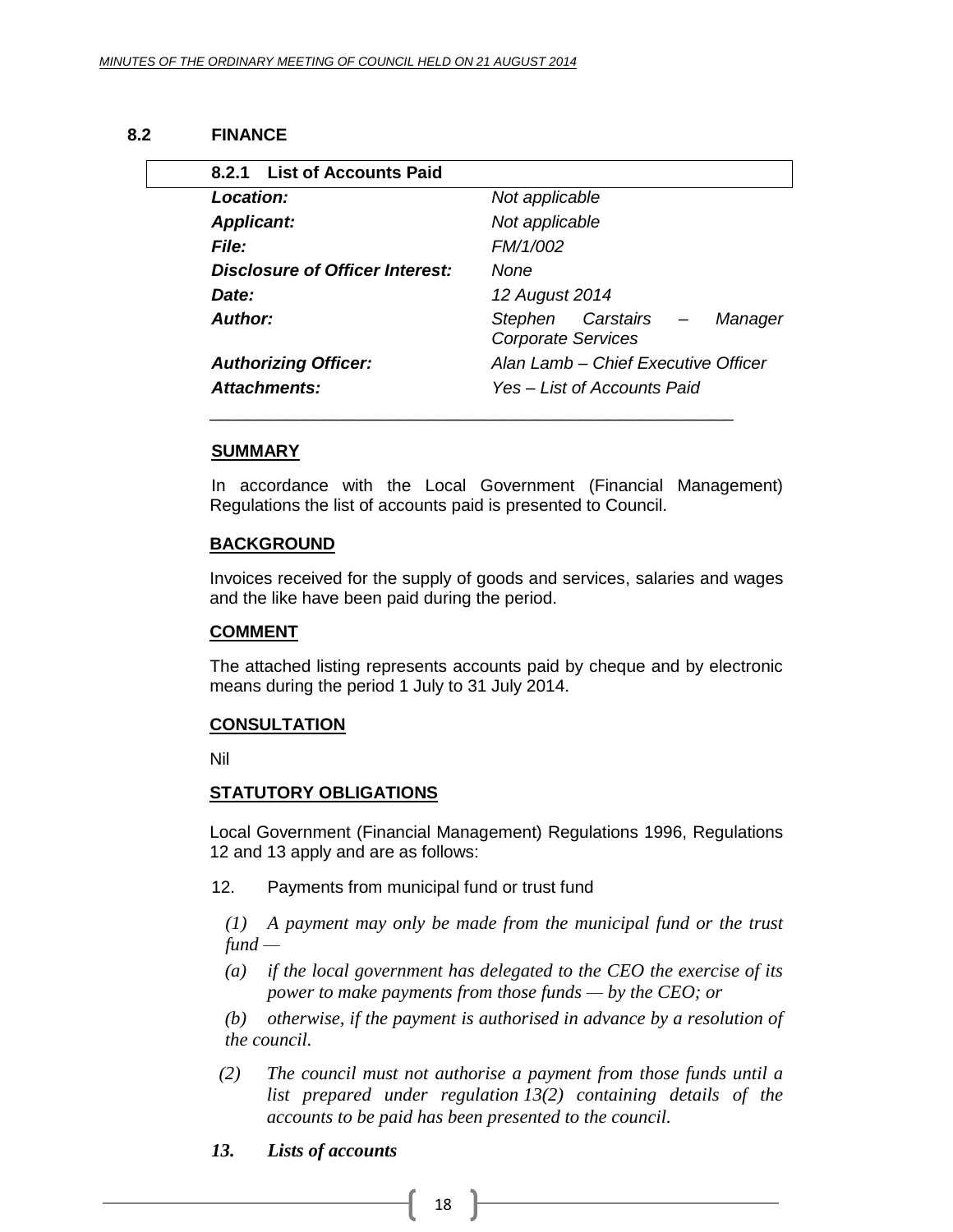#### **8.2 FINANCE**

<span id="page-17-1"></span><span id="page-17-0"></span>

| 8.2.1 List of Accounts Paid     |                                                             |
|---------------------------------|-------------------------------------------------------------|
| Location:                       | Not applicable                                              |
| <b>Applicant:</b>               | Not applicable                                              |
| File:                           | FM/1/002                                                    |
| Disclosure of Officer Interest: | None                                                        |
| Date:                           | 12 August 2014                                              |
| <b>Author:</b>                  | Stephen Carstairs –<br>Manager<br><b>Corporate Services</b> |
| <b>Authorizing Officer:</b>     | Alan Lamb - Chief Executive Officer                         |
| Attachments:                    | Yes – List of Accounts Paid                                 |

#### **SUMMARY**

In accordance with the Local Government (Financial Management) Regulations the list of accounts paid is presented to Council.

#### **BACKGROUND**

Invoices received for the supply of goods and services, salaries and wages and the like have been paid during the period.

#### **COMMENT**

The attached listing represents accounts paid by cheque and by electronic means during the period 1 July to 31 July 2014.

#### **CONSULTATION**

Nil

#### **STATUTORY OBLIGATIONS**

Local Government (Financial Management) Regulations 1996, Regulations 12 and 13 apply and are as follows:

12. Payments from municipal fund or trust fund

*(1) A payment may only be made from the municipal fund or the trust fund —*

*(a) if the local government has delegated to the CEO the exercise of its power to make payments from those funds — by the CEO; or*

*(b) otherwise, if the payment is authorised in advance by a resolution of the council.*

 *(2) The council must not authorise a payment from those funds until a list prepared under regulation 13(2) containing details of the accounts to be paid has been presented to the council.*

#### *13. Lists of accounts*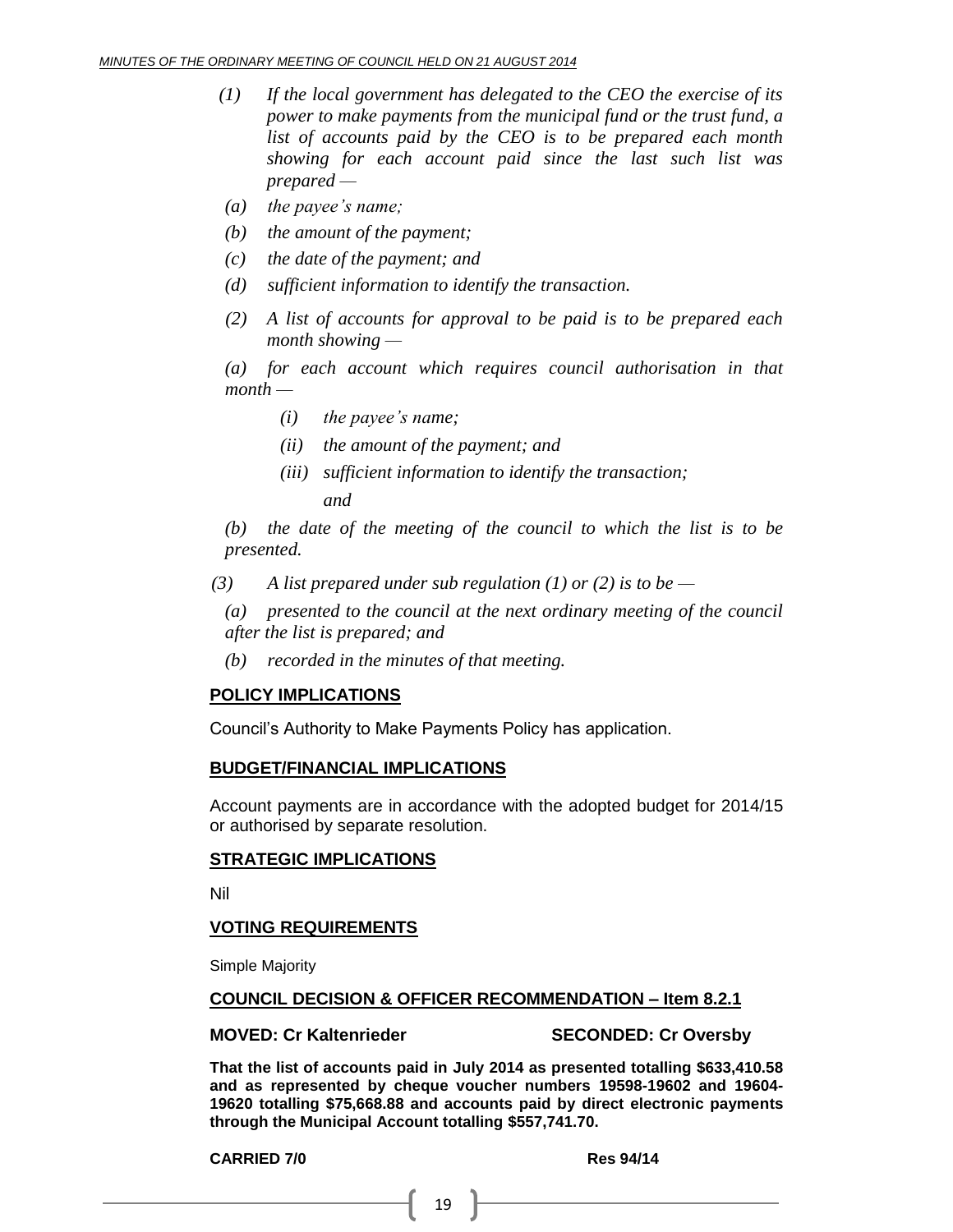- *(1) If the local government has delegated to the CEO the exercise of its power to make payments from the municipal fund or the trust fund, a list of accounts paid by the CEO is to be prepared each month showing for each account paid since the last such list was prepared —*
- *(a) the payee's name;*
- *(b) the amount of the payment;*
- *(c) the date of the payment; and*
- *(d) sufficient information to identify the transaction.*
- *(2) A list of accounts for approval to be paid is to be prepared each month showing —*

*(a) for each account which requires council authorisation in that month —*

- *(i) the payee's name;*
- *(ii) the amount of the payment; and*
- *(iii) sufficient information to identify the transaction; and*

*(b) the date of the meeting of the council to which the list is to be presented.*

- *(3) A list prepared under sub regulation (1) or (2) is to be —*
	- *(a) presented to the council at the next ordinary meeting of the council after the list is prepared; and*
	- *(b) recorded in the minutes of that meeting.*

#### **POLICY IMPLICATIONS**

Council's Authority to Make Payments Policy has application.

#### **BUDGET/FINANCIAL IMPLICATIONS**

Account payments are in accordance with the adopted budget for 2014/15 or authorised by separate resolution.

#### **STRATEGIC IMPLICATIONS**

Nil

#### **VOTING REQUIREMENTS**

Simple Majority

#### **COUNCIL DECISION & OFFICER RECOMMENDATION – Item 8.2.1**

#### **MOVED: Cr Kaltenrieder SECONDED: Cr Oversby**

**That the list of accounts paid in July 2014 as presented totalling \$633,410.58 and as represented by cheque voucher numbers 19598-19602 and 19604- 19620 totalling \$75,668.88 and accounts paid by direct electronic payments through the Municipal Account totalling \$557,741.70.**

**CARRIED 7/0 Res 94/14**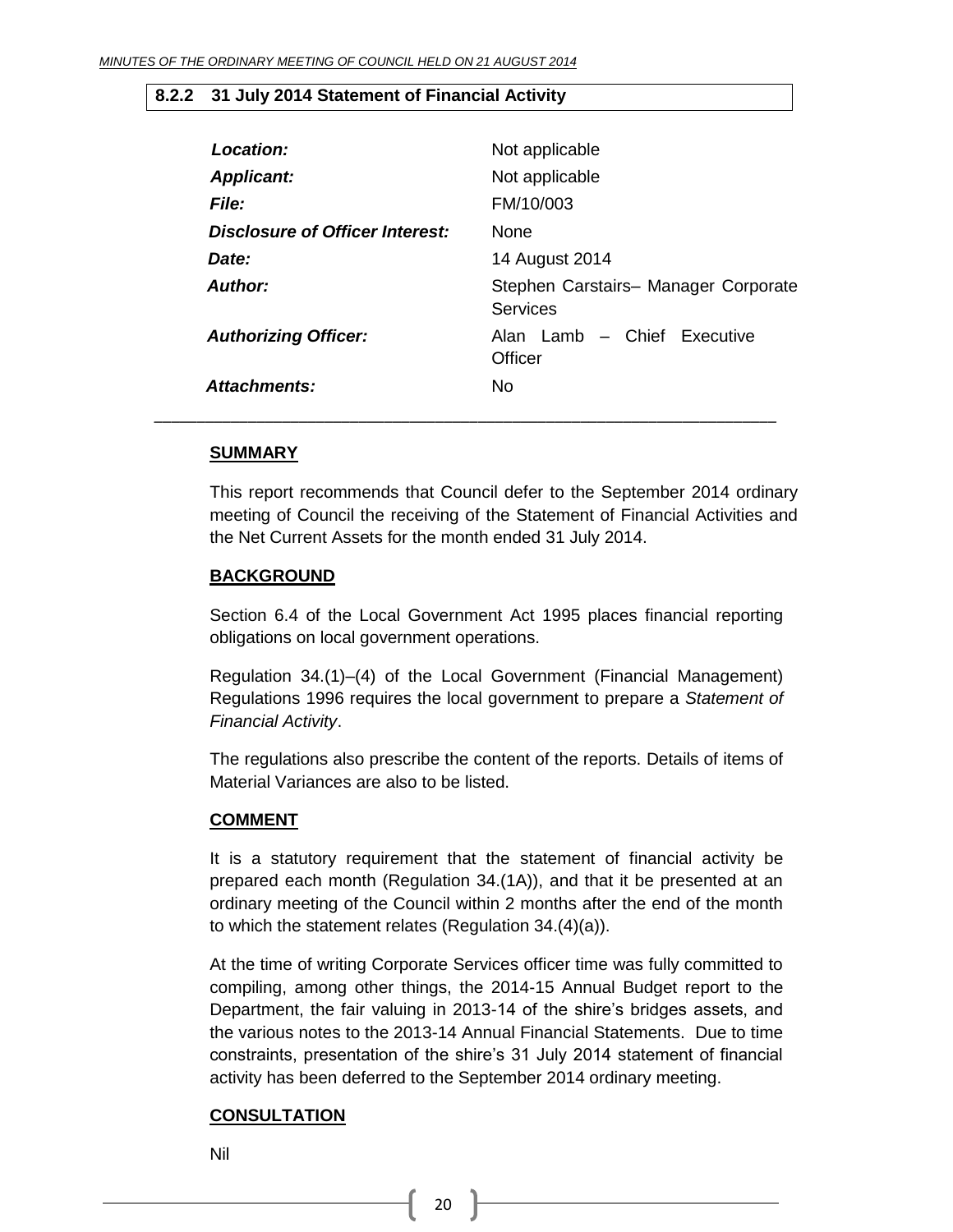#### <span id="page-19-0"></span>**8.2.2 31 July 2014 Statement of Financial Activity**

| Location:                       | Not applicable                                          |
|---------------------------------|---------------------------------------------------------|
| <b>Applicant:</b>               | Not applicable                                          |
| <b>File:</b>                    | FM/10/003                                               |
| Disclosure of Officer Interest: | <b>None</b>                                             |
| Date:                           | 14 August 2014                                          |
| Author:                         | Stephen Carstairs- Manager Corporate<br><b>Services</b> |
| <b>Authorizing Officer:</b>     | Alan Lamb - Chief Executive<br>Officer                  |
| Attachments:                    | <b>No</b>                                               |

#### **SUMMARY**

This report recommends that Council defer to the September 2014 ordinary meeting of Council the receiving of the Statement of Financial Activities and the Net Current Assets for the month ended 31 July 2014.

#### **BACKGROUND**

Section 6.4 of the Local Government Act 1995 places financial reporting obligations on local government operations.

Regulation 34.(1)–(4) of the Local Government (Financial Management) Regulations 1996 requires the local government to prepare a *Statement of Financial Activity*.

The regulations also prescribe the content of the reports. Details of items of Material Variances are also to be listed.

#### **COMMENT**

It is a statutory requirement that the statement of financial activity be prepared each month (Regulation 34.(1A)), and that it be presented at an ordinary meeting of the Council within 2 months after the end of the month to which the statement relates (Regulation 34.(4)(a)).

At the time of writing Corporate Services officer time was fully committed to compiling, among other things, the 2014-15 Annual Budget report to the Department, the fair valuing in 2013-14 of the shire's bridges assets, and the various notes to the 2013-14 Annual Financial Statements. Due to time constraints, presentation of the shire's 31 July 2014 statement of financial activity has been deferred to the September 2014 ordinary meeting.

#### **CONSULTATION**

Nil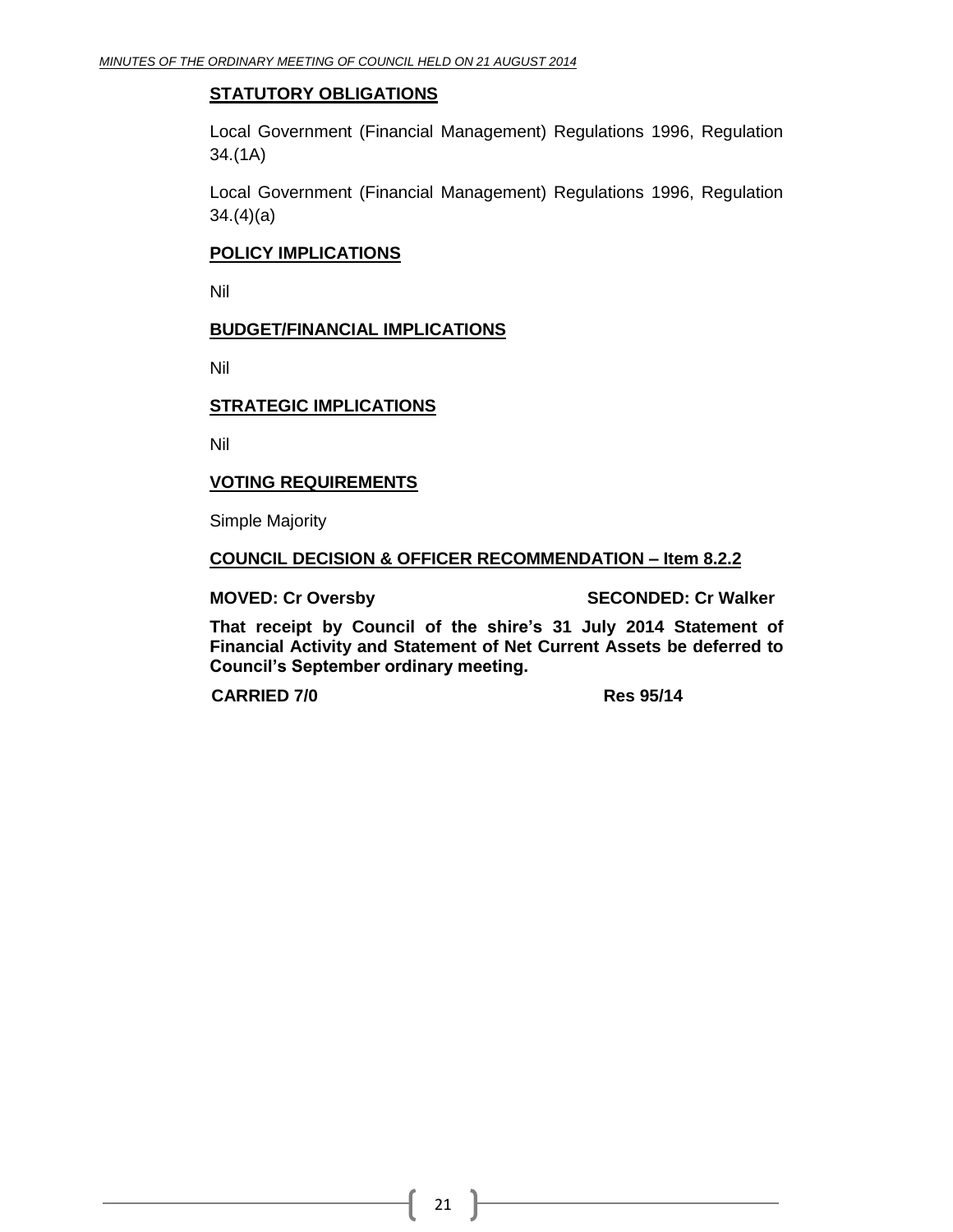#### **STATUTORY OBLIGATIONS**

Local Government (Financial Management) Regulations 1996, Regulation 34.(1A)

Local Government (Financial Management) Regulations 1996, Regulation 34.(4)(a)

#### **POLICY IMPLICATIONS**

Nil

#### **BUDGET/FINANCIAL IMPLICATIONS**

Nil

#### **STRATEGIC IMPLICATIONS**

Nil

#### **VOTING REQUIREMENTS**

Simple Majority

#### **COUNCIL DECISION & OFFICER RECOMMENDATION – Item 8.2.2**

**MOVED: Cr Oversby SECONDED: Cr Walker**

**That receipt by Council of the shire's 31 July 2014 Statement of Financial Activity and Statement of Net Current Assets be deferred to Council's September ordinary meeting.**

**CARRIED 7/0 Res 95/14**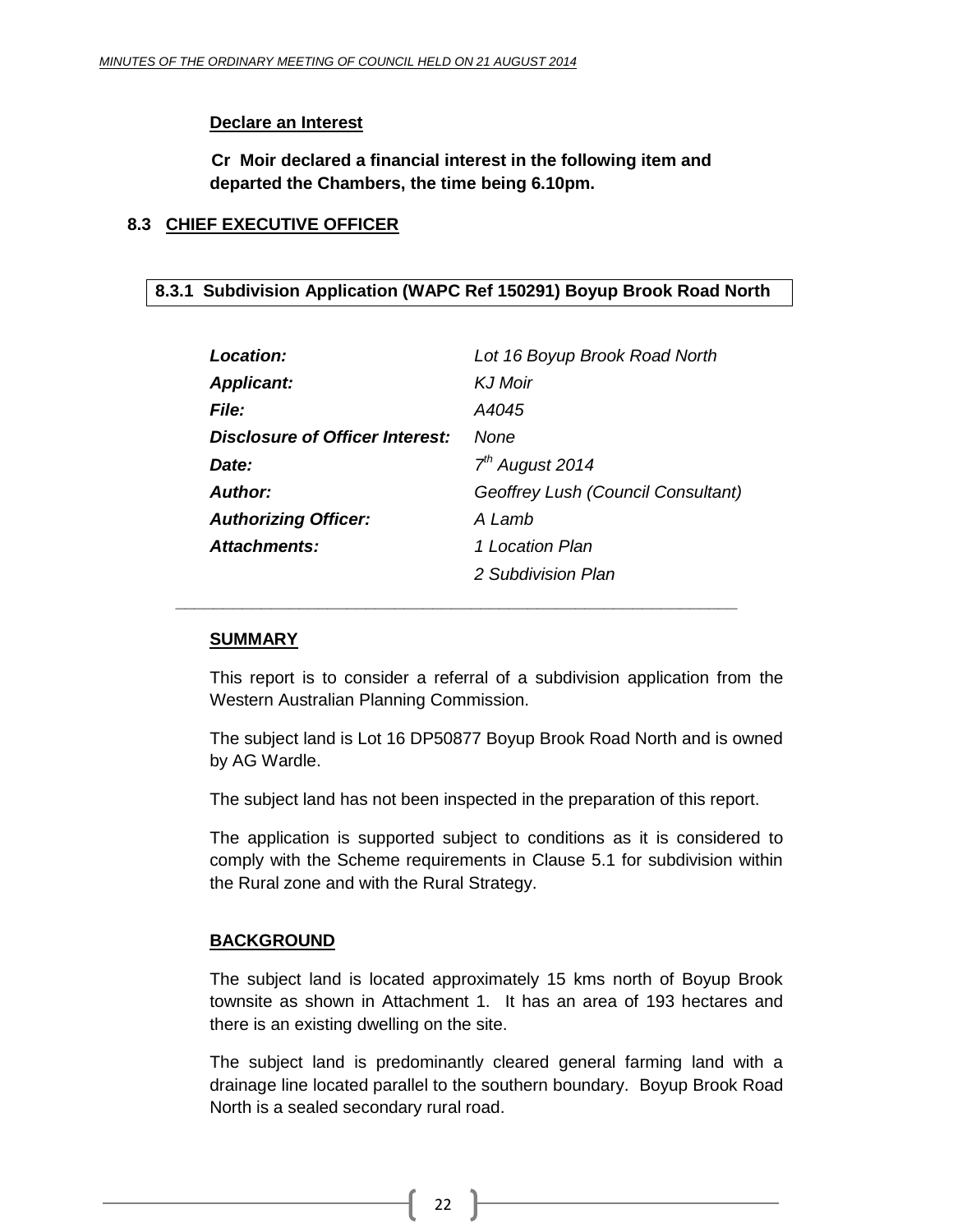#### **Declare an Interest**

**Cr Moir declared a financial interest in the following item and departed the Chambers, the time being 6.10pm.**

#### <span id="page-21-0"></span>**8.3 CHIEF EXECUTIVE OFFICER**

#### <span id="page-21-1"></span>**8.3.1 Subdivision Application (WAPC Ref 150291) Boyup Brook Road North**

| <b>Location:</b>                | Lot 16 Boyup Brook Road North      |
|---------------------------------|------------------------------------|
| <b>Applicant:</b>               | <b>KJ</b> Moir                     |
| <b>File:</b>                    | A4045                              |
| Disclosure of Officer Interest: | None                               |
| Date:                           | $7th$ August 2014                  |
| <b>Author:</b>                  | Geoffrey Lush (Council Consultant) |
| <b>Authorizing Officer:</b>     | A Lamb                             |
| Attachments:                    | 1 Location Plan                    |
|                                 | 2 Subdivision Plan                 |

*\_\_\_\_\_\_\_\_\_\_\_\_\_\_\_\_\_\_\_\_\_\_\_\_\_\_\_\_\_\_\_\_\_\_\_\_\_\_\_\_\_\_\_\_\_\_\_\_\_\_\_\_\_\_\_\_\_\_\_*

#### **SUMMARY**

This report is to consider a referral of a subdivision application from the Western Australian Planning Commission.

The subject land is Lot 16 DP50877 Boyup Brook Road North and is owned by AG Wardle.

The subject land has not been inspected in the preparation of this report.

The application is supported subject to conditions as it is considered to comply with the Scheme requirements in Clause 5.1 for subdivision within the Rural zone and with the Rural Strategy.

#### **BACKGROUND**

The subject land is located approximately 15 kms north of Boyup Brook townsite as shown in Attachment 1. It has an area of 193 hectares and there is an existing dwelling on the site.

The subject land is predominantly cleared general farming land with a drainage line located parallel to the southern boundary. Boyup Brook Road North is a sealed secondary rural road.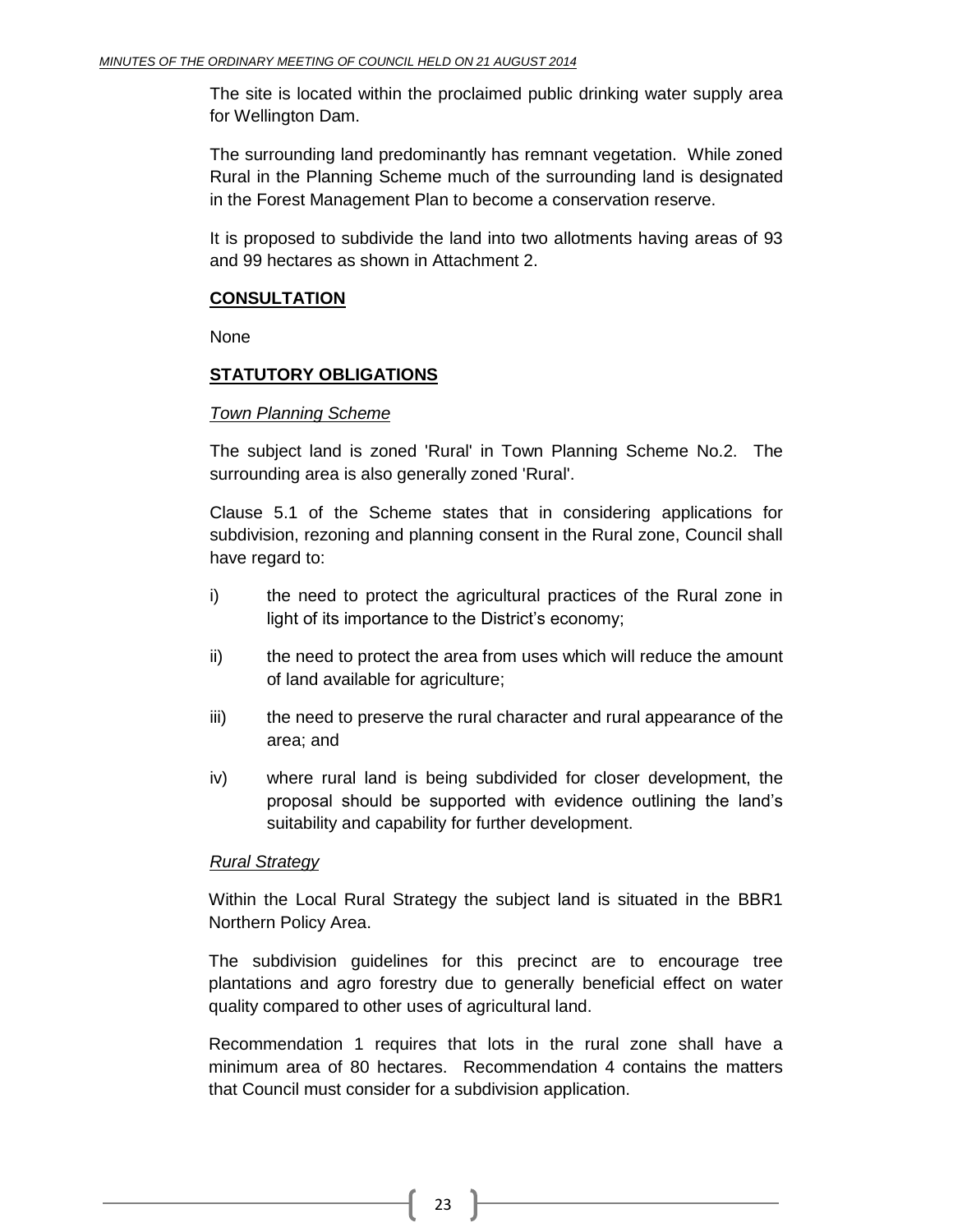The site is located within the proclaimed public drinking water supply area for Wellington Dam.

The surrounding land predominantly has remnant vegetation. While zoned Rural in the Planning Scheme much of the surrounding land is designated in the Forest Management Plan to become a conservation reserve.

It is proposed to subdivide the land into two allotments having areas of 93 and 99 hectares as shown in Attachment 2.

#### **CONSULTATION**

None

#### **STATUTORY OBLIGATIONS**

#### *Town Planning Scheme*

The subject land is zoned 'Rural' in Town Planning Scheme No.2. The surrounding area is also generally zoned 'Rural'.

Clause 5.1 of the Scheme states that in considering applications for subdivision, rezoning and planning consent in the Rural zone, Council shall have regard to:

- i) the need to protect the agricultural practices of the Rural zone in light of its importance to the District's economy;
- ii) the need to protect the area from uses which will reduce the amount of land available for agriculture;
- iii) the need to preserve the rural character and rural appearance of the area; and
- iv) where rural land is being subdivided for closer development, the proposal should be supported with evidence outlining the land's suitability and capability for further development.

#### *Rural Strategy*

Within the Local Rural Strategy the subject land is situated in the BBR1 Northern Policy Area.

The subdivision guidelines for this precinct are to encourage tree plantations and agro forestry due to generally beneficial effect on water quality compared to other uses of agricultural land.

Recommendation 1 requires that lots in the rural zone shall have a minimum area of 80 hectares. Recommendation 4 contains the matters that Council must consider for a subdivision application.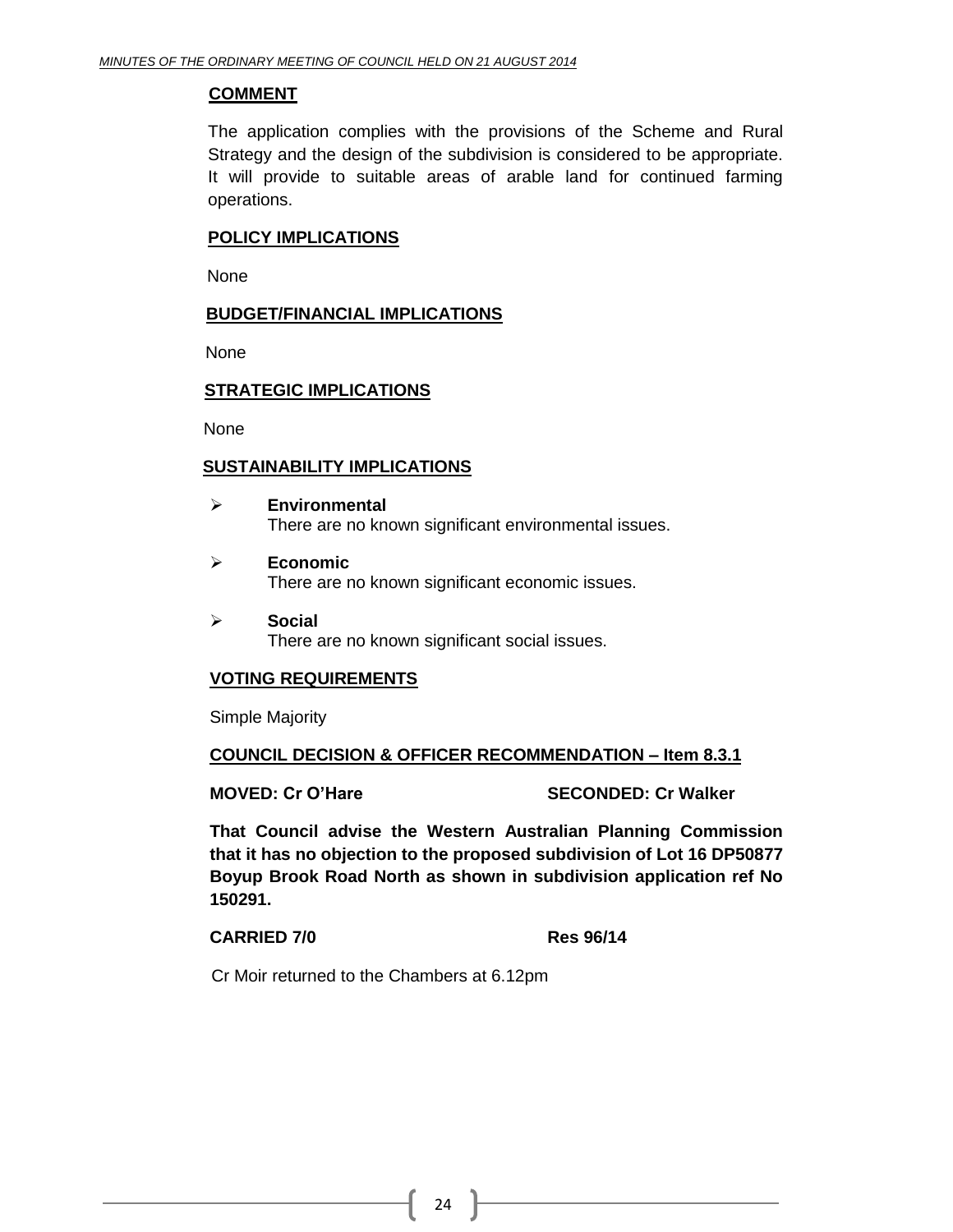#### **COMMENT**

The application complies with the provisions of the Scheme and Rural Strategy and the design of the subdivision is considered to be appropriate. It will provide to suitable areas of arable land for continued farming operations.

#### **POLICY IMPLICATIONS**

None

#### **BUDGET/FINANCIAL IMPLICATIONS**

None

#### **STRATEGIC IMPLICATIONS**

None

#### **SUSTAINABILITY IMPLICATIONS**

- **Environmental**  There are no known significant environmental issues.
- **Economic**  There are no known significant economic issues.
- **Social**  There are no known significant social issues.

#### **VOTING REQUIREMENTS**

Simple Majority

#### **COUNCIL DECISION & OFFICER RECOMMENDATION – Item 8.3.1**

**MOVED: Cr O'Hare SECONDED: Cr Walker**

**That Council advise the Western Australian Planning Commission that it has no objection to the proposed subdivision of Lot 16 DP50877 Boyup Brook Road North as shown in subdivision application ref No 150291.**

#### **CARRIED 7/0 Res 96/14**

Cr Moir returned to the Chambers at 6.12pm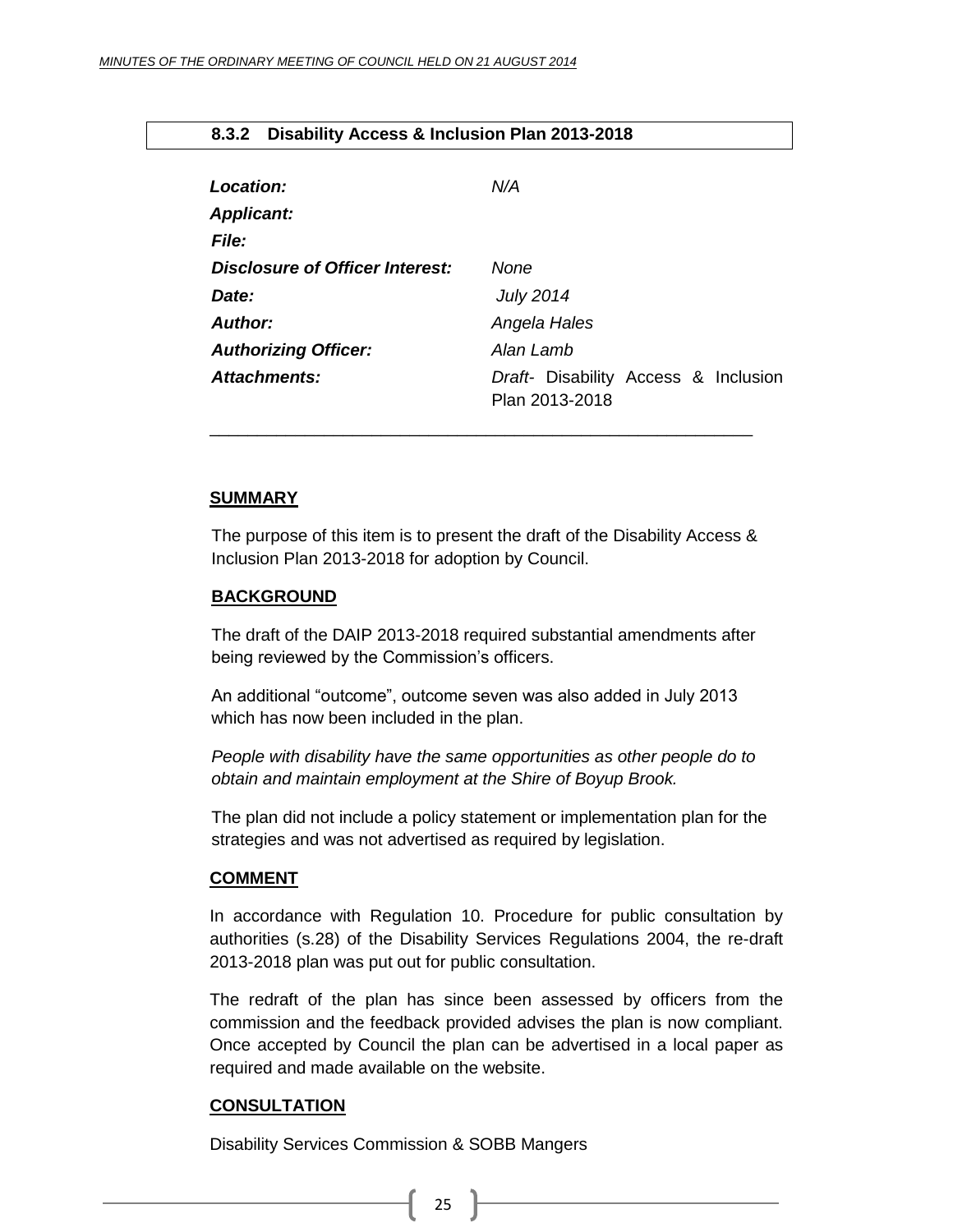#### <span id="page-24-0"></span>**8.3.2 Disability Access & Inclusion Plan 2013-2018**

| <b>Location:</b>                | N/A                                                    |
|---------------------------------|--------------------------------------------------------|
| <b>Applicant:</b>               |                                                        |
| <b>File:</b>                    |                                                        |
| Disclosure of Officer Interest: | None                                                   |
| Date:                           | <b>July 2014</b>                                       |
| <b>Author:</b>                  | Angela Hales                                           |
| <b>Authorizing Officer:</b>     | Alan Lamb                                              |
| Attachments:                    | Draft- Disability Access & Inclusion<br>Plan 2013-2018 |

#### **SUMMARY**

The purpose of this item is to present the draft of the Disability Access & Inclusion Plan 2013-2018 for adoption by Council.

\_\_\_\_\_\_\_\_\_\_\_\_\_\_\_\_\_\_\_\_\_\_\_\_\_\_\_\_\_\_\_\_\_\_\_\_\_\_\_\_\_\_\_\_\_\_\_\_\_\_\_\_\_\_\_\_\_

#### **BACKGROUND**

The draft of the DAIP 2013-2018 required substantial amendments after being reviewed by the Commission's officers.

An additional "outcome", outcome seven was also added in July 2013 which has now been included in the plan.

*People with disability have the same opportunities as other people do to obtain and maintain employment at the Shire of Boyup Brook.*

The plan did not include a policy statement or implementation plan for the strategies and was not advertised as required by legislation.

#### **COMMENT**

In accordance with Regulation 10. Procedure for public consultation by authorities (s.28) of the Disability Services Regulations 2004, the re-draft 2013-2018 plan was put out for public consultation.

The redraft of the plan has since been assessed by officers from the commission and the feedback provided advises the plan is now compliant. Once accepted by Council the plan can be advertised in a local paper as required and made available on the website.

#### **CONSULTATION**

Disability Services Commission & SOBB Mangers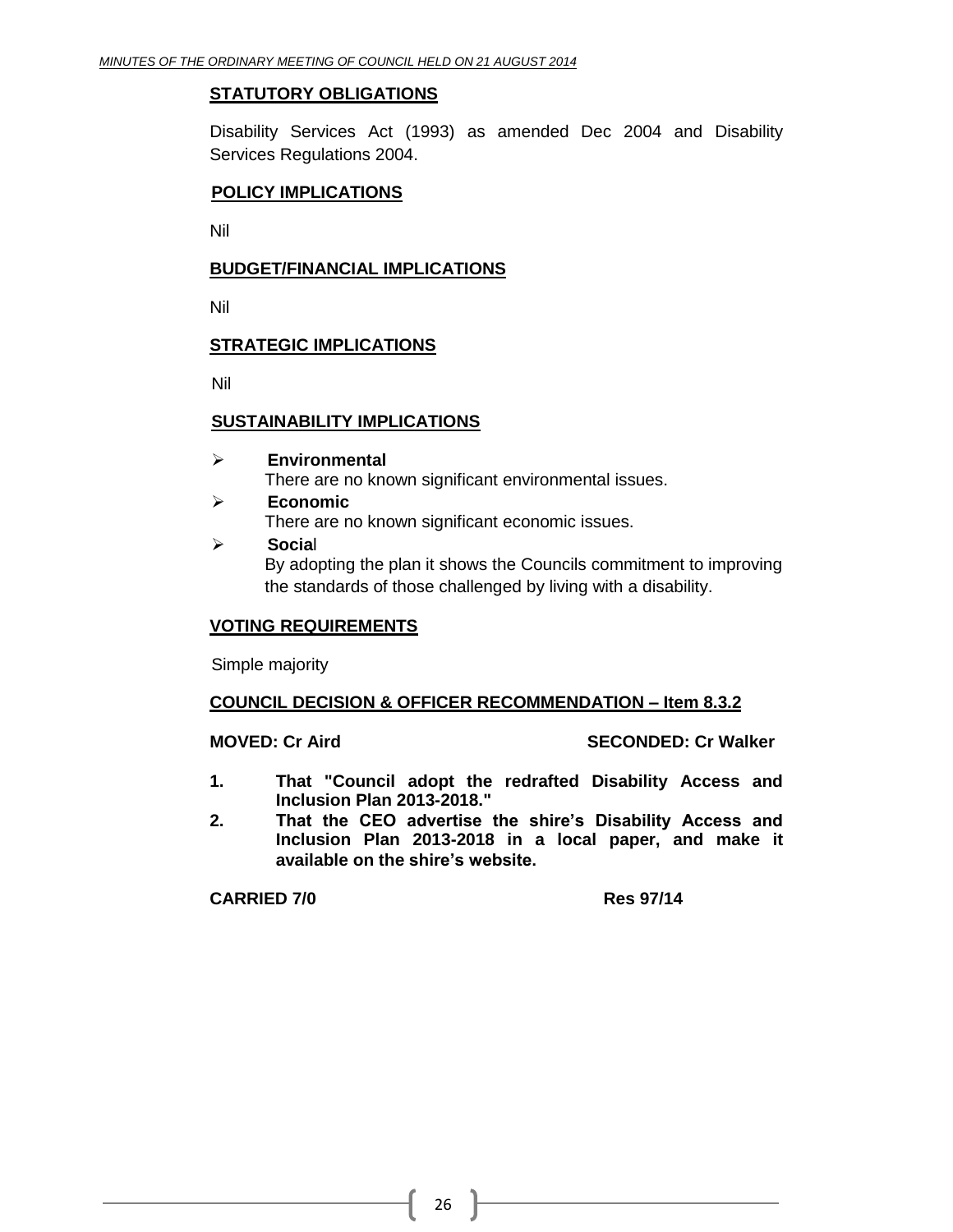#### **STATUTORY OBLIGATIONS**

Disability Services Act (1993) as amended Dec 2004 and Disability Services Regulations 2004.

#### **POLICY IMPLICATIONS**

Nil

#### **BUDGET/FINANCIAL IMPLICATIONS**

Nil

#### **STRATEGIC IMPLICATIONS**

Nil

#### **SUSTAINABILITY IMPLICATIONS**

- **Environmental** There are no known significant environmental issues.
- **Economic** There are no known significant economic issues.
- **Socia**l By adopting the plan it shows the Councils commitment to improving the standards of those challenged by living with a disability.

#### **VOTING REQUIREMENTS**

Simple majority

#### **COUNCIL DECISION & OFFICER RECOMMENDATION – Item 8.3.2**

#### **MOVED: Cr Aird SECONDED: Cr Walker**

- **1. That "Council adopt the redrafted Disability Access and Inclusion Plan 2013-2018."**
- **2. That the CEO advertise the shire's Disability Access and Inclusion Plan 2013-2018 in a local paper, and make it available on the shire's website.**

#### **CARRIED 7/0 Res 97/14**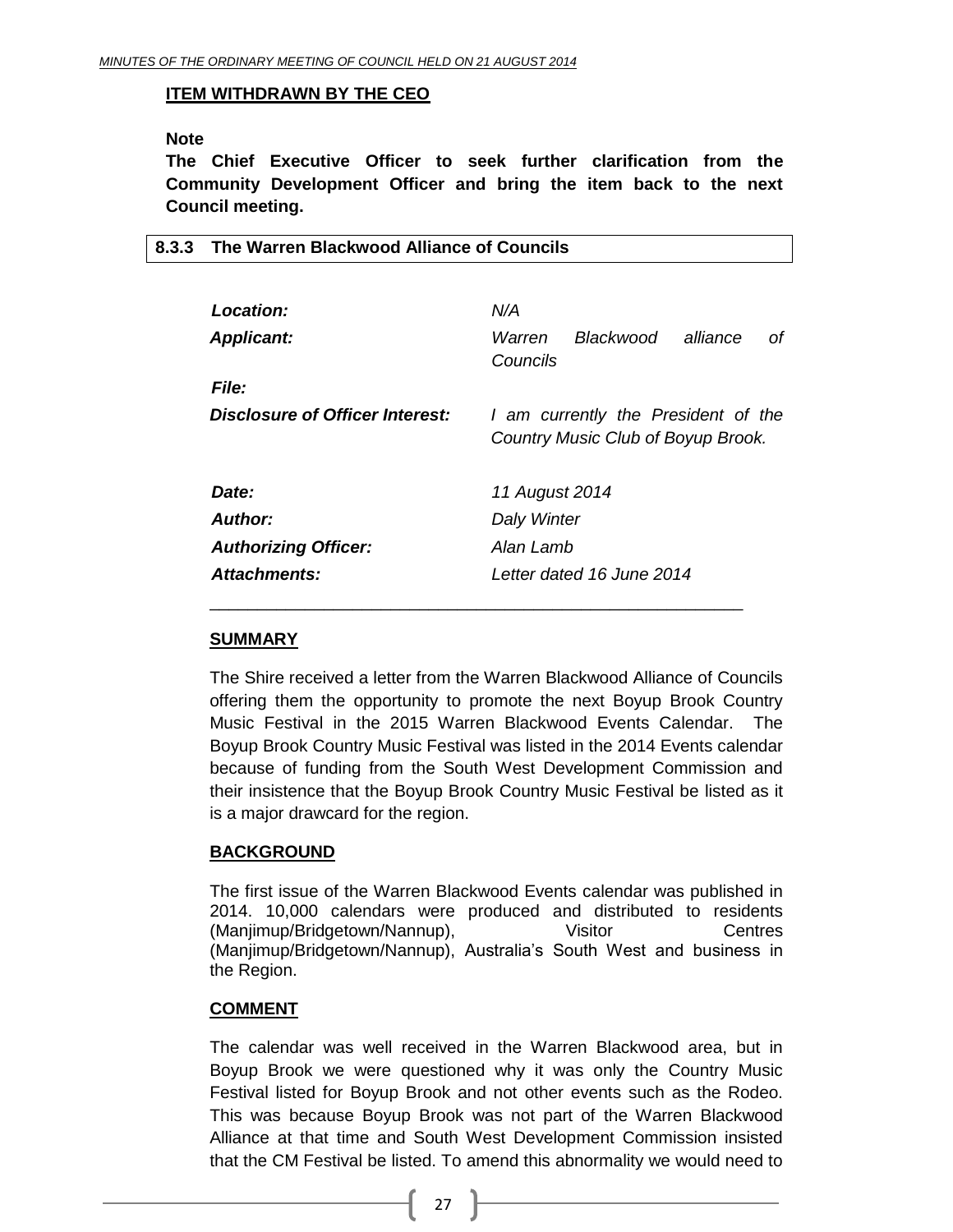<span id="page-26-0"></span>**8.3.3 The Warren Blackwood Alliance of Councils**

#### **ITEM WITHDRAWN BY THE CEO**

#### **Note**

**The Chief Executive Officer to seek further clarification from the Community Development Officer and bring the item back to the next Council meeting.**

| Location:                       | N/A                                                                       |
|---------------------------------|---------------------------------------------------------------------------|
| <b>Applicant:</b>               | Blackwood<br>alliance<br>Warren<br>оf<br>Councils                         |
| <b>File:</b>                    |                                                                           |
| Disclosure of Officer Interest: | I am currently the President of the<br>Country Music Club of Boyup Brook. |
| Date:                           | 11 August 2014                                                            |
| Author:                         | Daly Winter                                                               |
| <b>Authorizing Officer:</b>     | Alan Lamb                                                                 |
| Attachments:                    | Letter dated 16 June 2014                                                 |

#### **SUMMARY**

The Shire received a letter from the Warren Blackwood Alliance of Councils offering them the opportunity to promote the next Boyup Brook Country Music Festival in the 2015 Warren Blackwood Events Calendar. The Boyup Brook Country Music Festival was listed in the 2014 Events calendar because of funding from the South West Development Commission and their insistence that the Boyup Brook Country Music Festival be listed as it is a major drawcard for the region.

#### **BACKGROUND**

The first issue of the Warren Blackwood Events calendar was published in 2014. 10,000 calendars were produced and distributed to residents (Manjimup/Bridgetown/Nannup), Visitor Centres (Manjimup/Bridgetown/Nannup), Australia's South West and business in the Region.

#### **COMMENT**

The calendar was well received in the Warren Blackwood area, but in Boyup Brook we were questioned why it was only the Country Music Festival listed for Boyup Brook and not other events such as the Rodeo. This was because Boyup Brook was not part of the Warren Blackwood Alliance at that time and South West Development Commission insisted that the CM Festival be listed. To amend this abnormality we would need to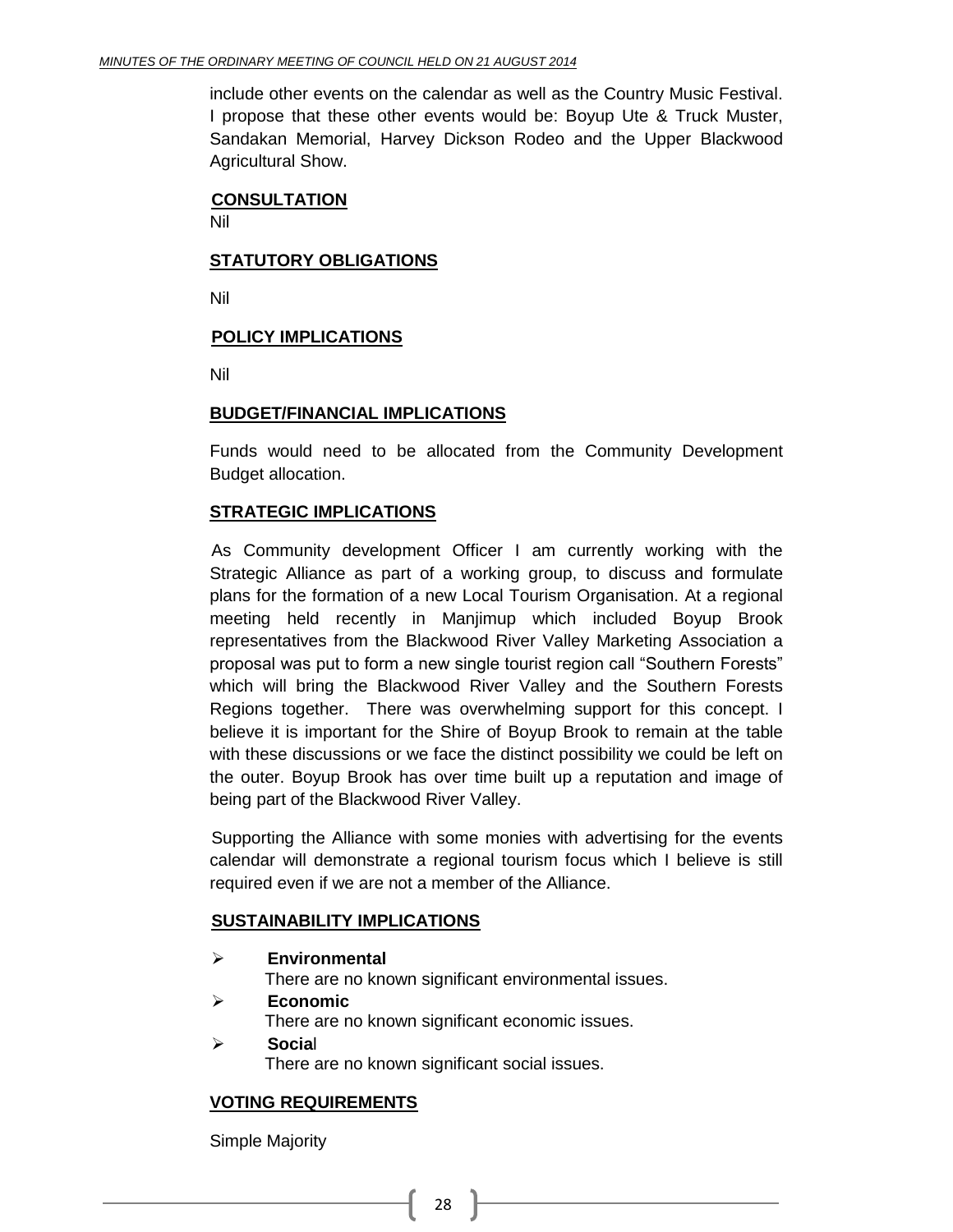include other events on the calendar as well as the Country Music Festival. I propose that these other events would be: Boyup Ute & Truck Muster, Sandakan Memorial, Harvey Dickson Rodeo and the Upper Blackwood Agricultural Show.

#### **CONSULTATION**

Nil

#### **STATUTORY OBLIGATIONS**

Nil

#### **POLICY IMPLICATIONS**

Nil

#### **BUDGET/FINANCIAL IMPLICATIONS**

Funds would need to be allocated from the Community Development Budget allocation.

#### **STRATEGIC IMPLICATIONS**

As Community development Officer I am currently working with the Strategic Alliance as part of a working group, to discuss and formulate plans for the formation of a new Local Tourism Organisation. At a regional meeting held recently in Manjimup which included Boyup Brook representatives from the Blackwood River Valley Marketing Association a proposal was put to form a new single tourist region call "Southern Forests" which will bring the Blackwood River Valley and the Southern Forests Regions together. There was overwhelming support for this concept. I believe it is important for the Shire of Boyup Brook to remain at the table with these discussions or we face the distinct possibility we could be left on the outer. Boyup Brook has over time built up a reputation and image of being part of the Blackwood River Valley.

Supporting the Alliance with some monies with advertising for the events calendar will demonstrate a regional tourism focus which I believe is still required even if we are not a member of the Alliance.

#### **SUSTAINABILITY IMPLICATIONS**

**Environmental**

There are no known significant environmental issues.

- **Economic** There are no known significant economic issues.
- **Socia**l There are no known significant social issues.

#### **VOTING REQUIREMENTS**

Simple Majority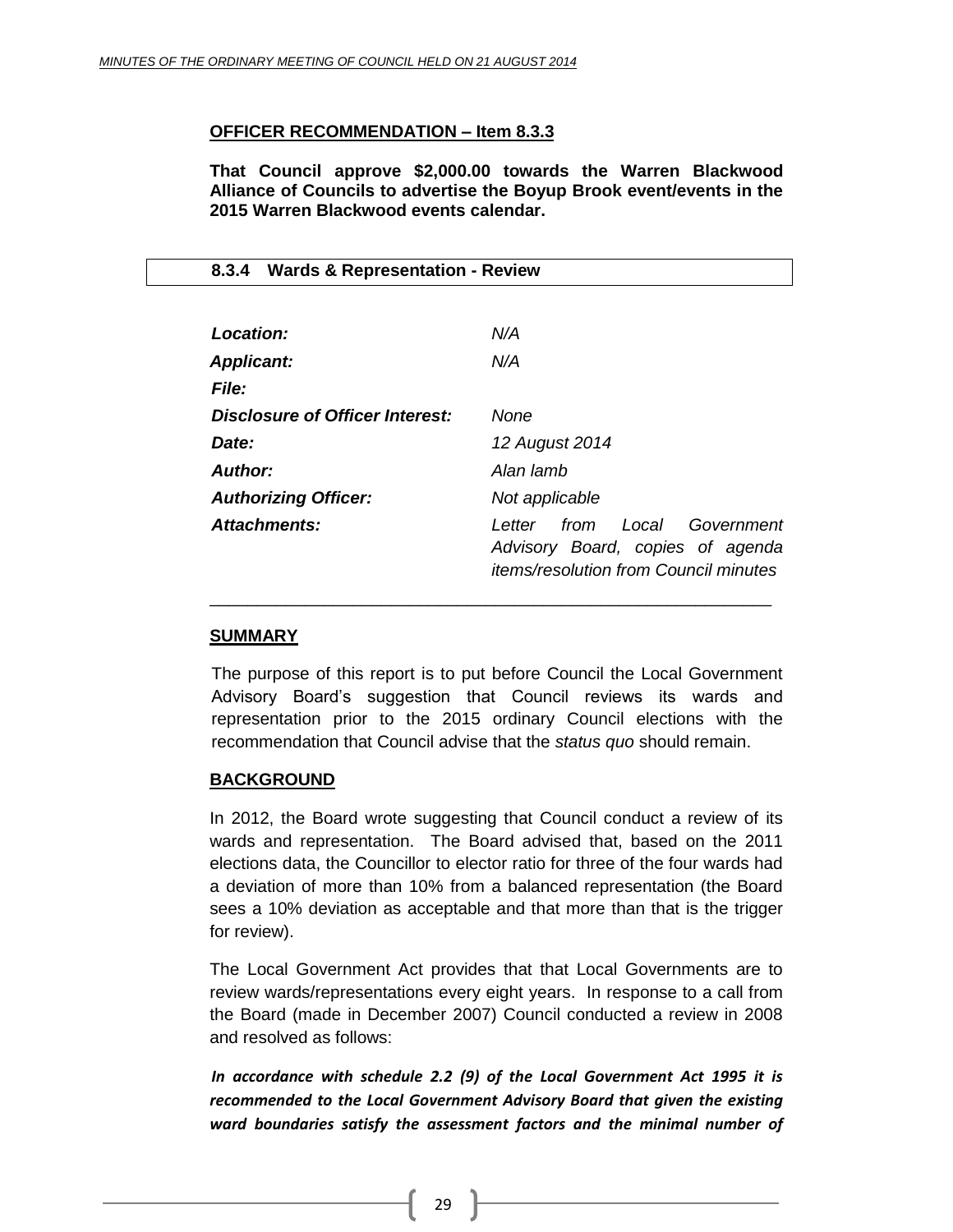#### **OFFICER RECOMMENDATION – Item 8.3.3**

**That Council approve \$2,000.00 towards the Warren Blackwood Alliance of Councils to advertise the Boyup Brook event/events in the 2015 Warren Blackwood events calendar.** 

#### <span id="page-28-0"></span>**8.3.4 Wards & Representation - Review**

| Location:                       | N/A                                                                                                                     |  |  |
|---------------------------------|-------------------------------------------------------------------------------------------------------------------------|--|--|
| <b>Applicant:</b>               | N/A                                                                                                                     |  |  |
| <b>File:</b>                    |                                                                                                                         |  |  |
| Disclosure of Officer Interest: | None                                                                                                                    |  |  |
| Date:                           | 12 August 2014                                                                                                          |  |  |
| Author:                         | Alan lamb                                                                                                               |  |  |
| <b>Authorizing Officer:</b>     | Not applicable                                                                                                          |  |  |
| Attachments:                    | from Local<br>Government<br>l etter<br>Advisory Board, copies of agenda<br><i>items/resolution from Council minutes</i> |  |  |

#### **SUMMARY**

The purpose of this report is to put before Council the Local Government Advisory Board's suggestion that Council reviews its wards and representation prior to the 2015 ordinary Council elections with the recommendation that Council advise that the *status quo* should remain.

\_\_\_\_\_\_\_\_\_\_\_\_\_\_\_\_\_\_\_\_\_\_\_\_\_\_\_\_\_\_\_\_\_\_\_\_\_\_\_\_\_\_\_\_\_\_\_\_\_\_\_\_\_\_\_\_\_\_\_

#### **BACKGROUND**

In 2012, the Board wrote suggesting that Council conduct a review of its wards and representation. The Board advised that, based on the 2011 elections data, the Councillor to elector ratio for three of the four wards had a deviation of more than 10% from a balanced representation (the Board sees a 10% deviation as acceptable and that more than that is the trigger for review).

The Local Government Act provides that that Local Governments are to review wards/representations every eight years. In response to a call from the Board (made in December 2007) Council conducted a review in 2008 and resolved as follows:

*In accordance with schedule 2.2 (9) of the Local Government Act 1995 it is recommended to the Local Government Advisory Board that given the existing ward boundaries satisfy the assessment factors and the minimal number of*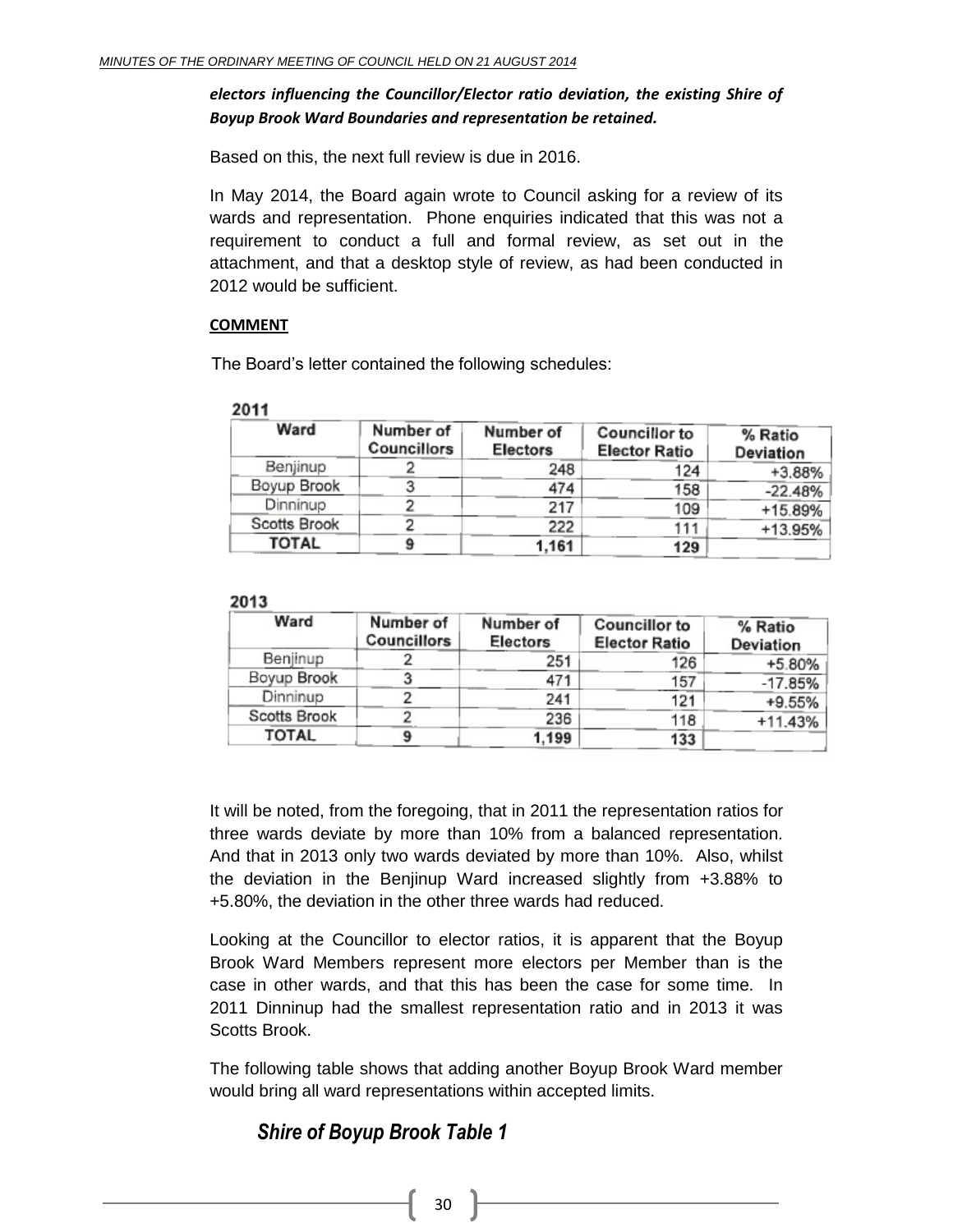#### *electors influencing the Councillor/Elector ratio deviation, the existing Shire of Boyup Brook Ward Boundaries and representation be retained.*

Based on this, the next full review is due in 2016.

In May 2014, the Board again wrote to Council asking for a review of its wards and representation. Phone enquiries indicated that this was not a requirement to conduct a full and formal review, as set out in the attachment, and that a desktop style of review, as had been conducted in 2012 would be sufficient.

#### **COMMENT**

The Board's letter contained the following schedules:

#### 2011

| Ward         | Number of<br>Councillors | Number of<br><b>Electors</b> | <b>Councillor to</b><br><b>Elector Ratio</b> | % Ratio<br>Deviation |
|--------------|--------------------------|------------------------------|----------------------------------------------|----------------------|
| Benjinup     |                          | 248                          | 124                                          | +3.88%               |
| Boyup Brook  |                          | 474                          | 158                                          | $-22.48%$            |
| Dinninup     |                          | 217                          | 109                                          | +15.89%              |
| Scotts Brook |                          | 222                          | 111                                          | +13.95%              |
| <b>TOTAL</b> |                          | 1.161                        | 129                                          |                      |

#### 2013

| Ward         | Number of<br><b>Councillors</b> | Number of<br>Electors | <b>Councillor to</b><br><b>Elector Ratio</b> | % Ratio<br>Deviation |
|--------------|---------------------------------|-----------------------|----------------------------------------------|----------------------|
| Benjinup     |                                 | 251                   | 126                                          | +5.80%               |
| Boyup Brook  |                                 | 471                   | 157                                          | $-17.85%$            |
| Dinninup     |                                 | 241                   | 121                                          | +9.55%               |
| Scotts Brook |                                 | 236                   | 118                                          | +11.43%              |
| <b>TOTAL</b> |                                 | 1,199                 | 133                                          |                      |

It will be noted, from the foregoing, that in 2011 the representation ratios for three wards deviate by more than 10% from a balanced representation. And that in 2013 only two wards deviated by more than 10%. Also, whilst the deviation in the Benjinup Ward increased slightly from +3.88% to +5.80%, the deviation in the other three wards had reduced.

Looking at the Councillor to elector ratios, it is apparent that the Boyup Brook Ward Members represent more electors per Member than is the case in other wards, and that this has been the case for some time. In 2011 Dinninup had the smallest representation ratio and in 2013 it was Scotts Brook.

The following table shows that adding another Boyup Brook Ward member would bring all ward representations within accepted limits.

## *Shire of Boyup Brook Table 1*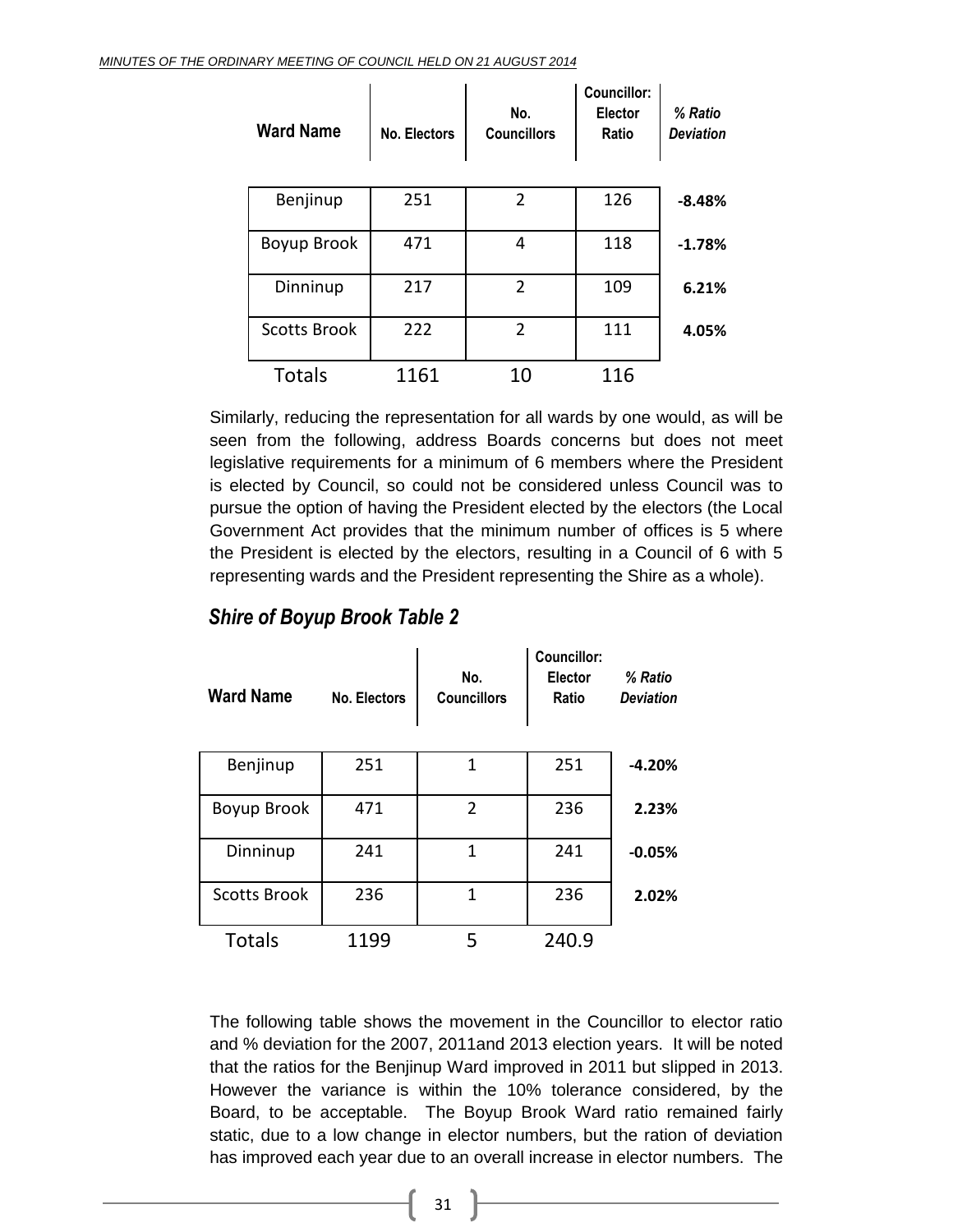| <b>Ward Name</b>    | No. Electors | No.<br><b>Councillors</b> | <b>Councillor:</b><br><b>Elector</b><br>Ratio | % Ratio<br><b>Deviation</b> |
|---------------------|--------------|---------------------------|-----------------------------------------------|-----------------------------|
| Benjinup            | 251          | $\overline{2}$            | 126                                           | $-8.48%$                    |
| Boyup Brook         | 471          | 4                         | 118                                           | $-1.78%$                    |
| Dinninup            | 217          | $\overline{2}$            | 109                                           | 6.21%                       |
| <b>Scotts Brook</b> | 222          | 2                         | 111                                           | 4.05%                       |
| <b>Totals</b>       | 1161         | 10                        | 116                                           |                             |

Similarly, reducing the representation for all wards by one would, as will be seen from the following, address Boards concerns but does not meet legislative requirements for a minimum of 6 members where the President is elected by Council, so could not be considered unless Council was to pursue the option of having the President elected by the electors (the Local Government Act provides that the minimum number of offices is 5 where the President is elected by the electors, resulting in a Council of 6 with 5 representing wards and the President representing the Shire as a whole).

#### *Shire of Boyup Brook Table 2*

| <b>Ward Name</b>    | No. Electors | No.<br><b>Councillors</b> | <b>Councillor:</b><br><b>Elector</b><br>Ratio | % Ratio<br><b>Deviation</b> |
|---------------------|--------------|---------------------------|-----------------------------------------------|-----------------------------|
| Benjinup            | 251          | 1                         | 251                                           | $-4.20%$                    |
| Boyup Brook         | 471          | 2                         | 236                                           | 2.23%                       |
| Dinninup            | 241          | 1                         | 241                                           | $-0.05%$                    |
| <b>Scotts Brook</b> | 236          | 1                         | 236                                           | 2.02%                       |
| <b>Totals</b>       | 1199         | 5                         | 240.9                                         |                             |

The following table shows the movement in the Councillor to elector ratio and % deviation for the 2007, 2011and 2013 election years. It will be noted that the ratios for the Benjinup Ward improved in 2011 but slipped in 2013. However the variance is within the 10% tolerance considered, by the Board, to be acceptable. The Boyup Brook Ward ratio remained fairly static, due to a low change in elector numbers, but the ration of deviation has improved each year due to an overall increase in elector numbers. The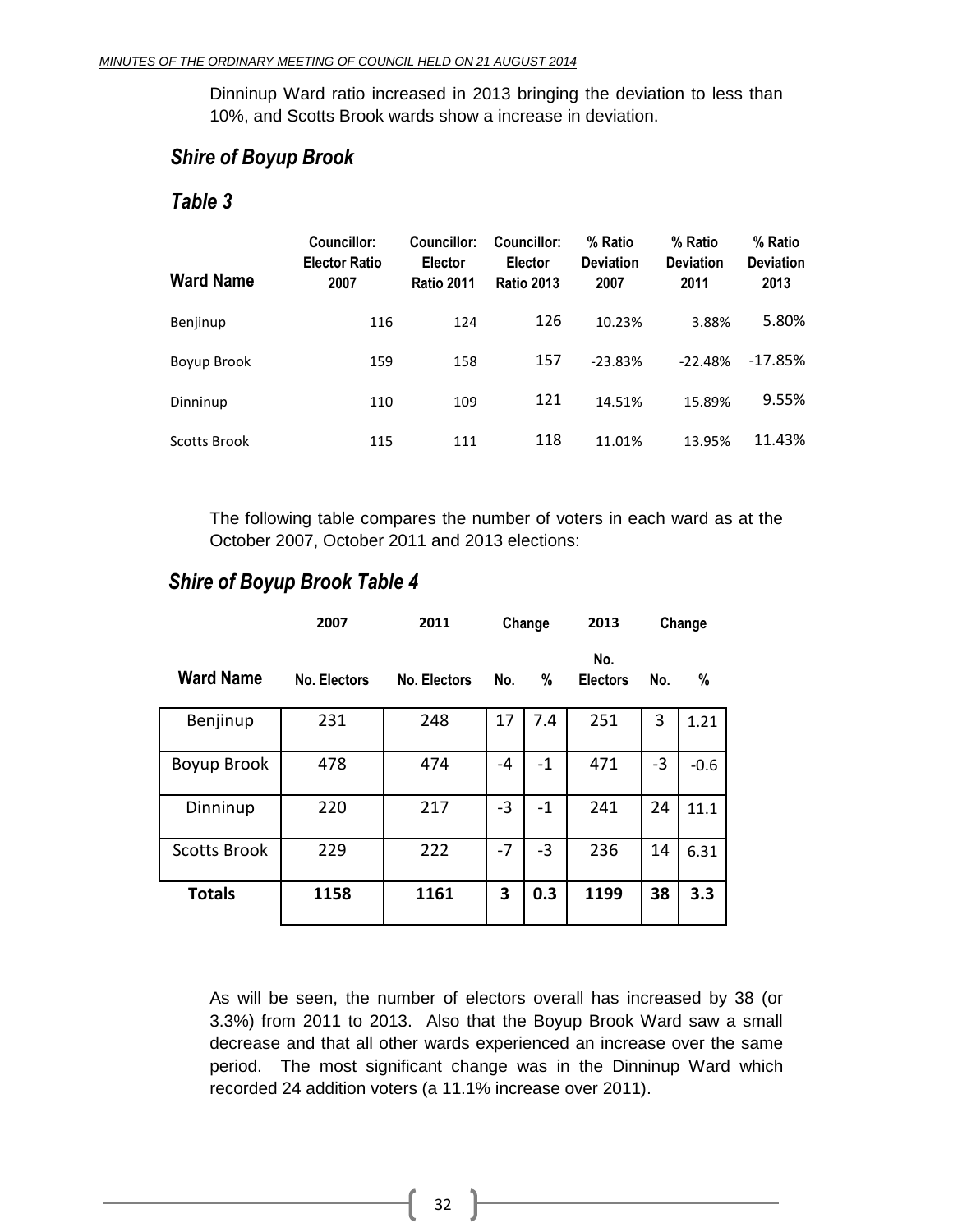Dinninup Ward ratio increased in 2013 bringing the deviation to less than 10%, and Scotts Brook wards show a increase in deviation.

#### *Shire of Boyup Brook*

#### *Table 3*

| <b>Ward Name</b> | Councillor:<br><b>Elector Ratio</b><br>2007 | Councillor:<br><b>Elector</b><br><b>Ratio 2011</b> | Councillor:<br><b>Elector</b><br><b>Ratio 2013</b> | % Ratio<br><b>Deviation</b><br>2007 | % Ratio<br><b>Deviation</b><br>2011 | % Ratio<br><b>Deviation</b><br>2013 |
|------------------|---------------------------------------------|----------------------------------------------------|----------------------------------------------------|-------------------------------------|-------------------------------------|-------------------------------------|
| Benjinup         | 116                                         | 124                                                | 126                                                | 10.23%                              | 3.88%                               | 5.80%                               |
| Boyup Brook      | 159                                         | 158                                                | 157                                                | $-23.83%$                           | $-22.48%$                           | $-17.85%$                           |
| Dinninup         | 110                                         | 109                                                | 121                                                | 14.51%                              | 15.89%                              | 9.55%                               |
| Scotts Brook     | 115                                         | 111                                                | 118                                                | 11.01%                              | 13.95%                              | 11.43%                              |

The following table compares the number of voters in each ward as at the October 2007, October 2011 and 2013 elections:

### *Shire of Boyup Brook Table 4*

|                     | 2007         | 2011         | Change |      | 2013                   |      | Change |
|---------------------|--------------|--------------|--------|------|------------------------|------|--------|
| <b>Ward Name</b>    | No. Electors | No. Electors | No.    | %    | No.<br><b>Electors</b> | No.  | %      |
| Benjinup            | 231          | 248          | 17     | 7.4  | 251                    | 3    | 1.21   |
| Boyup Brook         | 478          | 474          | -4     | $-1$ | 471                    | $-3$ | $-0.6$ |
| Dinninup            | 220          | 217          | $-3$   | $-1$ | 241                    | 24   | 11.1   |
| <b>Scotts Brook</b> | 229          | 222          | -7     | $-3$ | 236                    | 14   | 6.31   |
| <b>Totals</b>       | 1158         | 1161         | 3      | 0.3  | 1199                   | 38   | 3.3    |

As will be seen, the number of electors overall has increased by 38 (or 3.3%) from 2011 to 2013. Also that the Boyup Brook Ward saw a small decrease and that all other wards experienced an increase over the same period. The most significant change was in the Dinninup Ward which recorded 24 addition voters (a 11.1% increase over 2011).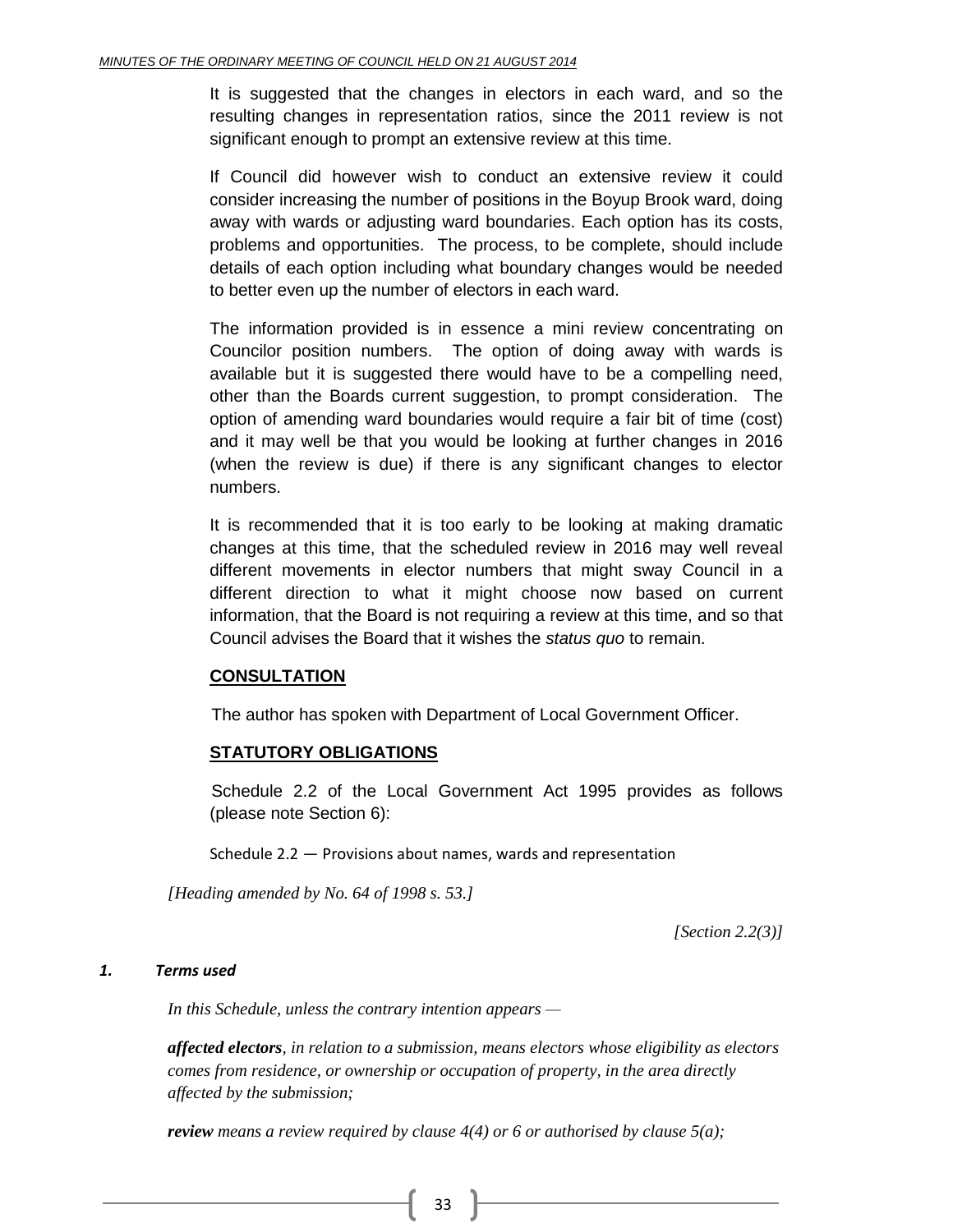It is suggested that the changes in electors in each ward, and so the resulting changes in representation ratios, since the 2011 review is not significant enough to prompt an extensive review at this time.

If Council did however wish to conduct an extensive review it could consider increasing the number of positions in the Boyup Brook ward, doing away with wards or adjusting ward boundaries. Each option has its costs, problems and opportunities. The process, to be complete, should include details of each option including what boundary changes would be needed to better even up the number of electors in each ward.

The information provided is in essence a mini review concentrating on Councilor position numbers. The option of doing away with wards is available but it is suggested there would have to be a compelling need, other than the Boards current suggestion, to prompt consideration. The option of amending ward boundaries would require a fair bit of time (cost) and it may well be that you would be looking at further changes in 2016 (when the review is due) if there is any significant changes to elector numbers.

It is recommended that it is too early to be looking at making dramatic changes at this time, that the scheduled review in 2016 may well reveal different movements in elector numbers that might sway Council in a different direction to what it might choose now based on current information, that the Board is not requiring a review at this time, and so that Council advises the Board that it wishes the *status quo* to remain.

#### **CONSULTATION**

The author has spoken with Department of Local Government Officer.

#### **STATUTORY OBLIGATIONS**

Schedule 2.2 of the Local Government Act 1995 provides as follows (please note Section 6):

Schedule 2.2 — Provisions about names, wards and representation

*[Heading amended by No. 64 of 1998 s. 53.]*

*[Section 2.2(3)]*

#### *1. Terms used*

*In this Schedule, unless the contrary intention appears —*

*affected electors, in relation to a submission, means electors whose eligibility as electors comes from residence, or ownership or occupation of property, in the area directly affected by the submission;*

*review means a review required by clause 4(4) or 6 or authorised by clause 5(a);*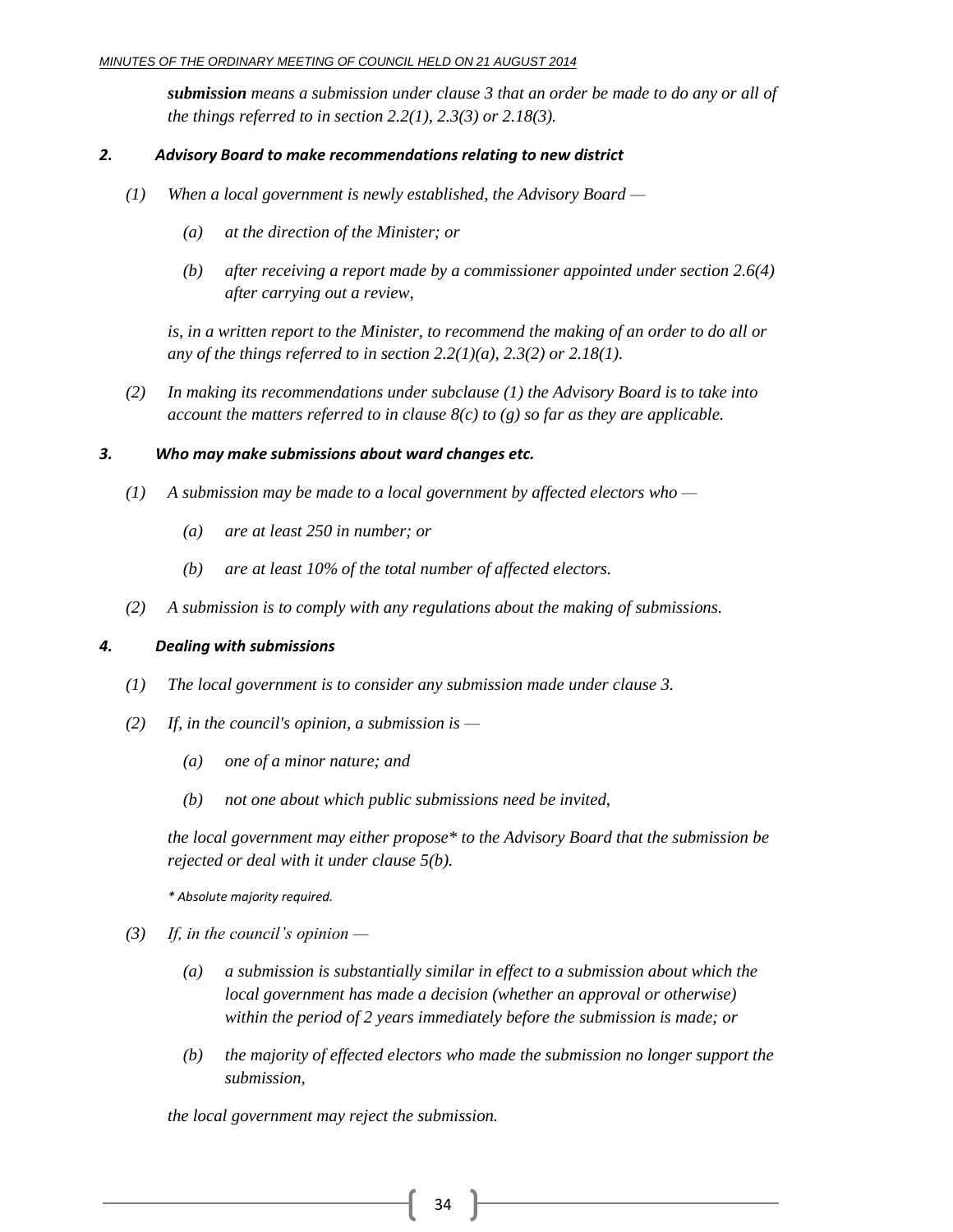*submission means a submission under clause 3 that an order be made to do any or all of the things referred to in section 2.2(1), 2.3(3) or 2.18(3).*

#### *2. Advisory Board to make recommendations relating to new district*

- *(1) When a local government is newly established, the Advisory Board —*
	- *(a) at the direction of the Minister; or*
	- *(b) after receiving a report made by a commissioner appointed under section 2.6(4) after carrying out a review,*

*is, in a written report to the Minister, to recommend the making of an order to do all or any of the things referred to in section 2.2(1)(a), 2.3(2) or 2.18(1).*

*(2) In making its recommendations under subclause (1) the Advisory Board is to take into account the matters referred to in clause 8(c) to (g) so far as they are applicable.*

#### *3. Who may make submissions about ward changes etc.*

- *(1) A submission may be made to a local government by affected electors who —*
	- *(a) are at least 250 in number; or*
	- *(b) are at least 10% of the total number of affected electors.*
- *(2) A submission is to comply with any regulations about the making of submissions.*

#### *4. Dealing with submissions*

- *(1) The local government is to consider any submission made under clause 3.*
- *(2) If, in the council's opinion, a submission is —*
	- *(a) one of a minor nature; and*
	- *(b) not one about which public submissions need be invited,*

*the local government may either propose\* to the Advisory Board that the submission be rejected or deal with it under clause 5(b).*

*\* Absolute majority required.*

- *(3) If, in the council's opinion —*
	- *(a) a submission is substantially similar in effect to a submission about which the local government has made a decision (whether an approval or otherwise) within the period of 2 years immediately before the submission is made; or*
	- *(b) the majority of effected electors who made the submission no longer support the submission,*

*the local government may reject the submission.*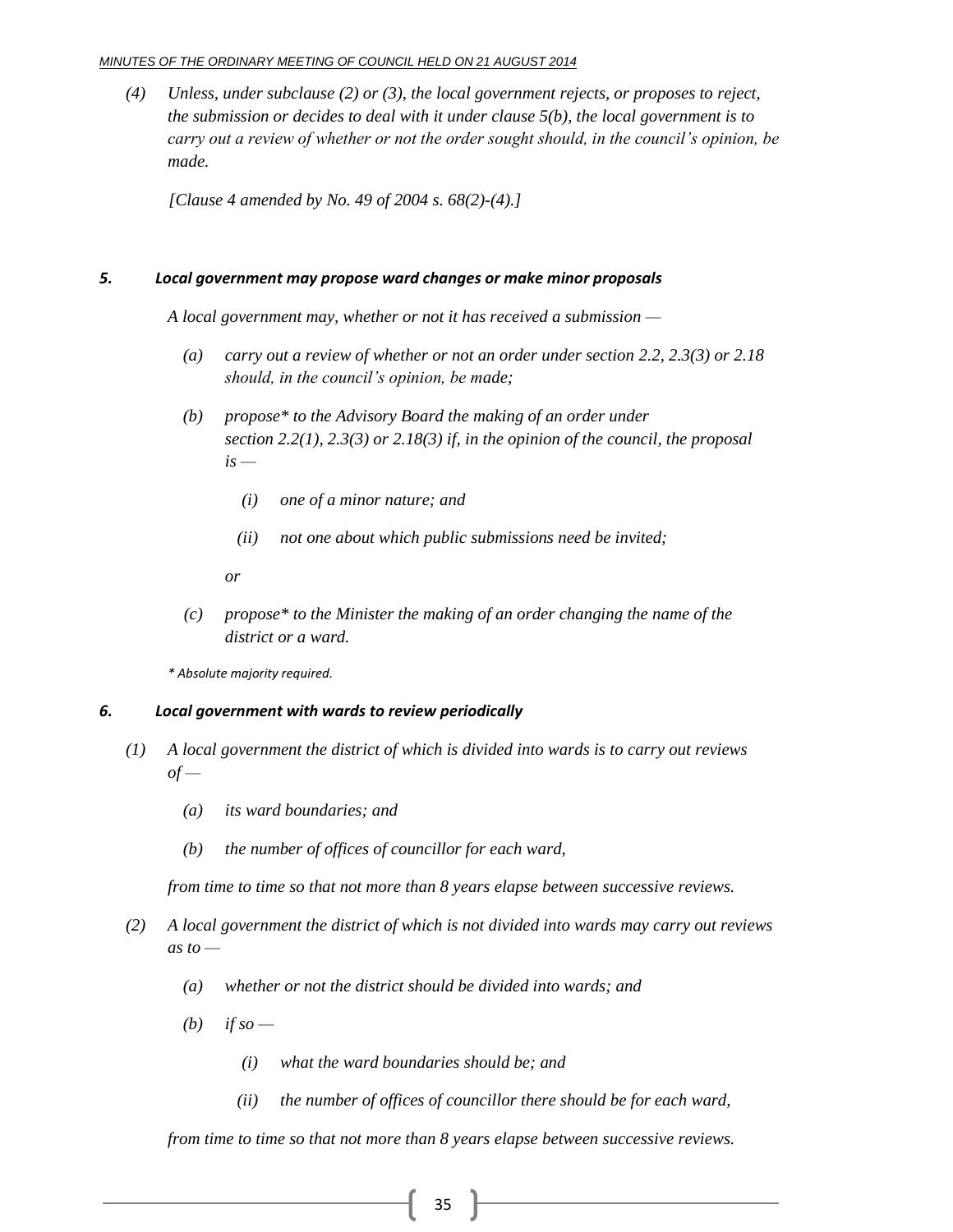#### *MINUTES OF THE ORDINARY MEETING OF COUNCIL HELD ON 21 AUGUST 2014*

*(4) Unless, under subclause (2) or (3), the local government rejects, or proposes to reject, the submission or decides to deal with it under clause 5(b), the local government is to carry out a review of whether or not the order sought should, in the council's opinion, be made.*

*[Clause 4 amended by No. 49 of 2004 s. 68(2)-(4).]*

#### *5. Local government may propose ward changes or make minor proposals*

*A local government may, whether or not it has received a submission —*

- *(a) carry out a review of whether or not an order under section 2.2, 2.3(3) or 2.18 should, in the council's opinion, be made;*
- *(b) propose\* to the Advisory Board the making of an order under section 2.2(1), 2.3(3) or 2.18(3) if, in the opinion of the council, the proposal is —*
	- *(i) one of a minor nature; and*
	- *(ii) not one about which public submissions need be invited;*

*or*

*(c) propose\* to the Minister the making of an order changing the name of the district or a ward.*

*\* Absolute majority required.*

#### *6. Local government with wards to review periodically*

- *(1) A local government the district of which is divided into wards is to carry out reviews*   $of -$ 
	- *(a) its ward boundaries; and*
	- *(b) the number of offices of councillor for each ward,*

*from time to time so that not more than 8 years elapse between successive reviews.*

- *(2) A local government the district of which is not divided into wards may carry out reviews as to —*
	- *(a) whether or not the district should be divided into wards; and*
	- $(b)$  *if so*
		- *(i) what the ward boundaries should be; and*
		- *(ii) the number of offices of councillor there should be for each ward,*

*from time to time so that not more than 8 years elapse between successive reviews.*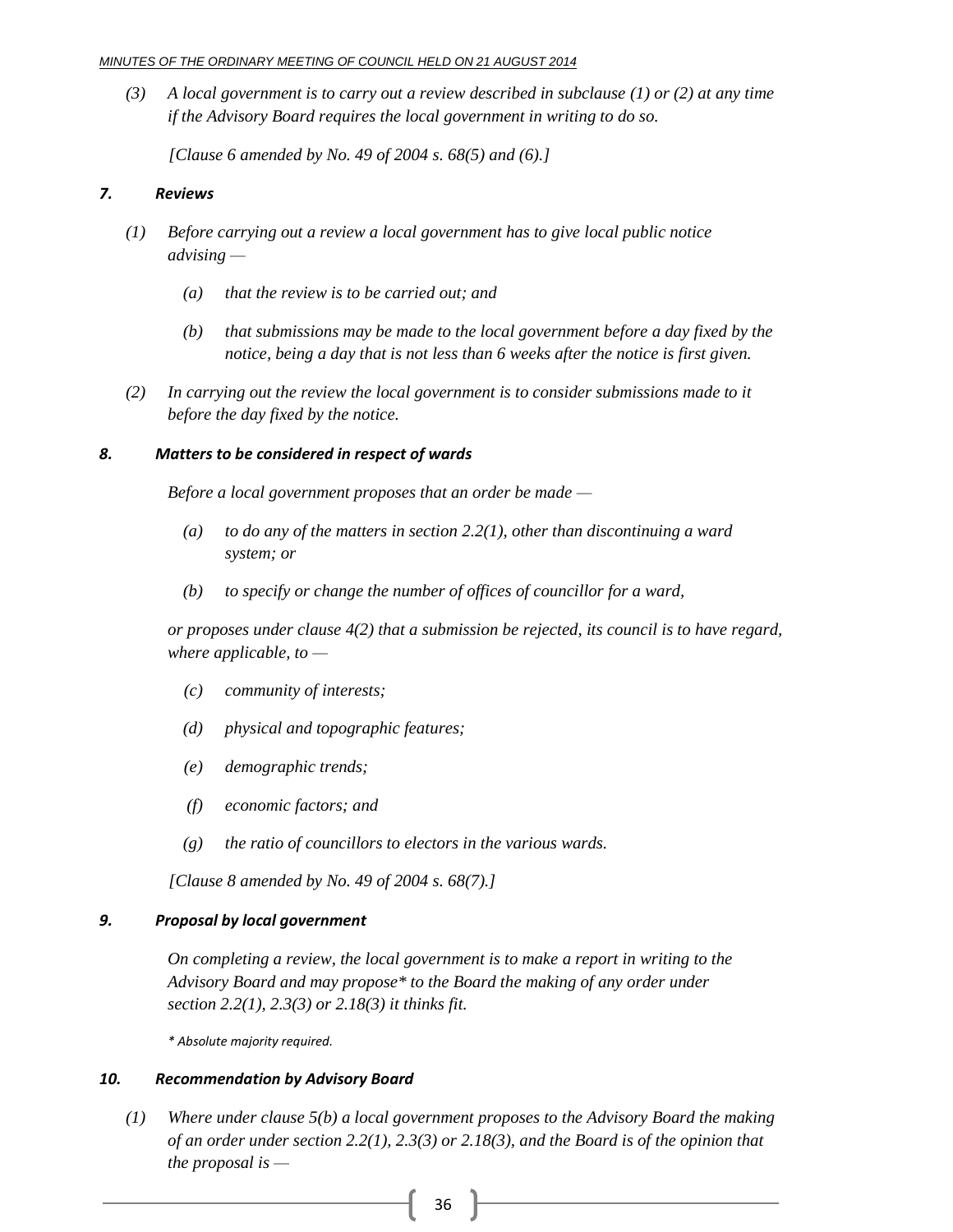*(3) A local government is to carry out a review described in subclause (1) or (2) at any time if the Advisory Board requires the local government in writing to do so.*

*[Clause 6 amended by No. 49 of 2004 s. 68(5) and (6).]*

#### *7. Reviews*

- *(1) Before carrying out a review a local government has to give local public notice advising —*
	- *(a) that the review is to be carried out; and*
	- *(b) that submissions may be made to the local government before a day fixed by the notice, being a day that is not less than 6 weeks after the notice is first given.*
- *(2) In carrying out the review the local government is to consider submissions made to it before the day fixed by the notice.*

#### *8. Matters to be considered in respect of wards*

*Before a local government proposes that an order be made —*

- *(a) to do any of the matters in section 2.2(1), other than discontinuing a ward system; or*
- *(b) to specify or change the number of offices of councillor for a ward,*

*or proposes under clause 4(2) that a submission be rejected, its council is to have regard, where applicable, to —*

- *(c) community of interests;*
- *(d) physical and topographic features;*
- *(e) demographic trends;*
- *(f) economic factors; and*
- *(g) the ratio of councillors to electors in the various wards.*

*[Clause 8 amended by No. 49 of 2004 s. 68(7).]*

#### *9. Proposal by local government*

*On completing a review, the local government is to make a report in writing to the Advisory Board and may propose\* to the Board the making of any order under section 2.2(1), 2.3(3) or 2.18(3) it thinks fit.*

*\* Absolute majority required.*

#### *10. Recommendation by Advisory Board*

*(1) Where under clause 5(b) a local government proposes to the Advisory Board the making of an order under section 2.2(1), 2.3(3) or 2.18(3), and the Board is of the opinion that the proposal is —*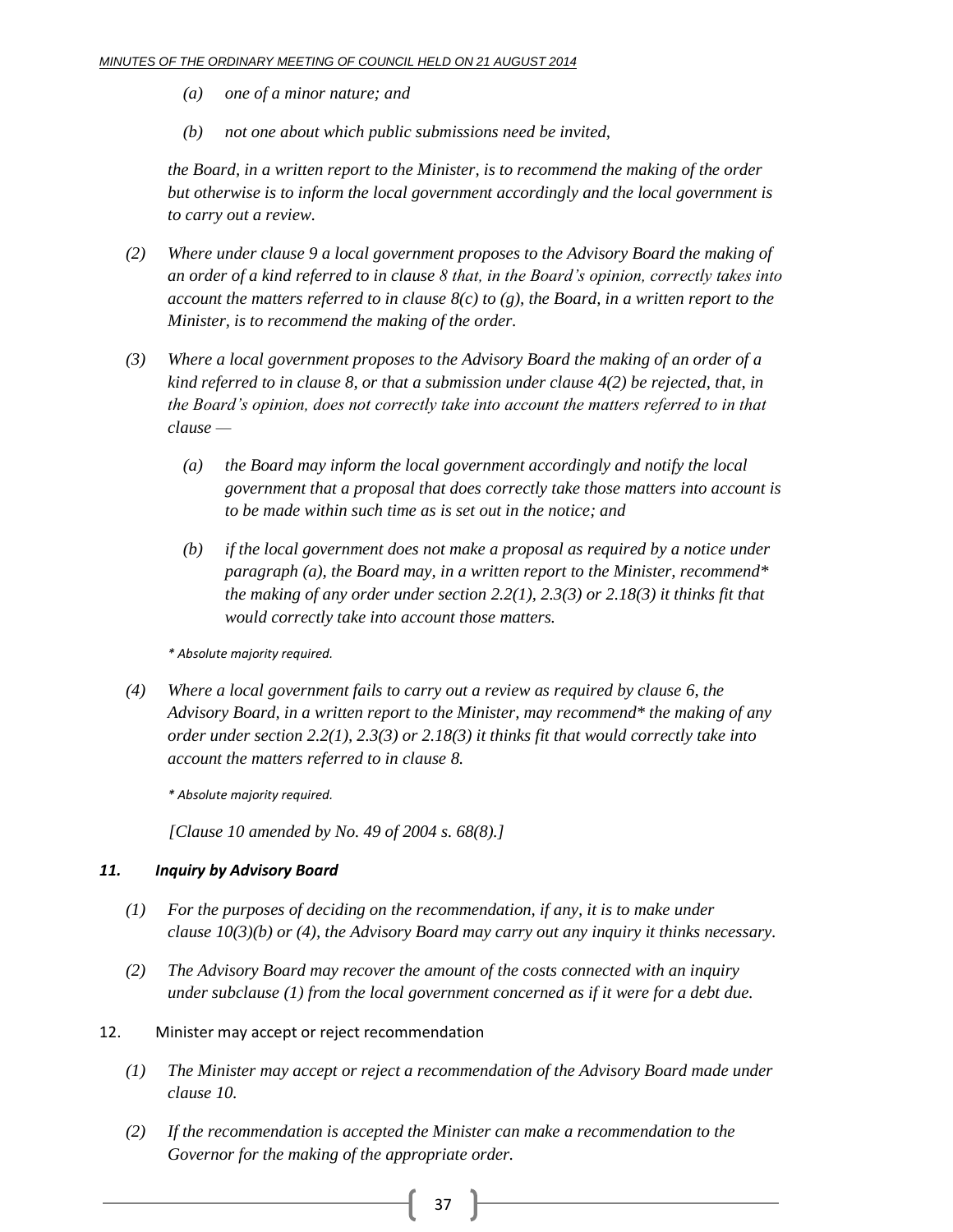- *(a) one of a minor nature; and*
- *(b) not one about which public submissions need be invited,*

*the Board, in a written report to the Minister, is to recommend the making of the order but otherwise is to inform the local government accordingly and the local government is to carry out a review.*

- *(2) Where under clause 9 a local government proposes to the Advisory Board the making of an order of a kind referred to in clause 8 that, in the Board's opinion, correctly takes into account the matters referred to in clause 8(c) to (g), the Board, in a written report to the Minister, is to recommend the making of the order.*
- *(3) Where a local government proposes to the Advisory Board the making of an order of a kind referred to in clause 8, or that a submission under clause 4(2) be rejected, that, in the Board's opinion, does not correctly take into account the matters referred to in that clause —*
	- *(a) the Board may inform the local government accordingly and notify the local government that a proposal that does correctly take those matters into account is to be made within such time as is set out in the notice; and*
	- *(b) if the local government does not make a proposal as required by a notice under paragraph (a), the Board may, in a written report to the Minister, recommend\* the making of any order under section 2.2(1), 2.3(3) or 2.18(3) it thinks fit that would correctly take into account those matters.*

*\* Absolute majority required.*

*(4) Where a local government fails to carry out a review as required by clause 6, the Advisory Board, in a written report to the Minister, may recommend\* the making of any order under section 2.2(1), 2.3(3) or 2.18(3) it thinks fit that would correctly take into account the matters referred to in clause 8.*

*\* Absolute majority required.*

*[Clause 10 amended by No. 49 of 2004 s. 68(8).]*

#### *11. Inquiry by Advisory Board*

- *(1) For the purposes of deciding on the recommendation, if any, it is to make under clause 10(3)(b) or (4), the Advisory Board may carry out any inquiry it thinks necessary.*
- *(2) The Advisory Board may recover the amount of the costs connected with an inquiry under subclause (1) from the local government concerned as if it were for a debt due.*
- 12. Minister may accept or reject recommendation
	- *(1) The Minister may accept or reject a recommendation of the Advisory Board made under clause 10.*
	- *(2) If the recommendation is accepted the Minister can make a recommendation to the Governor for the making of the appropriate order.*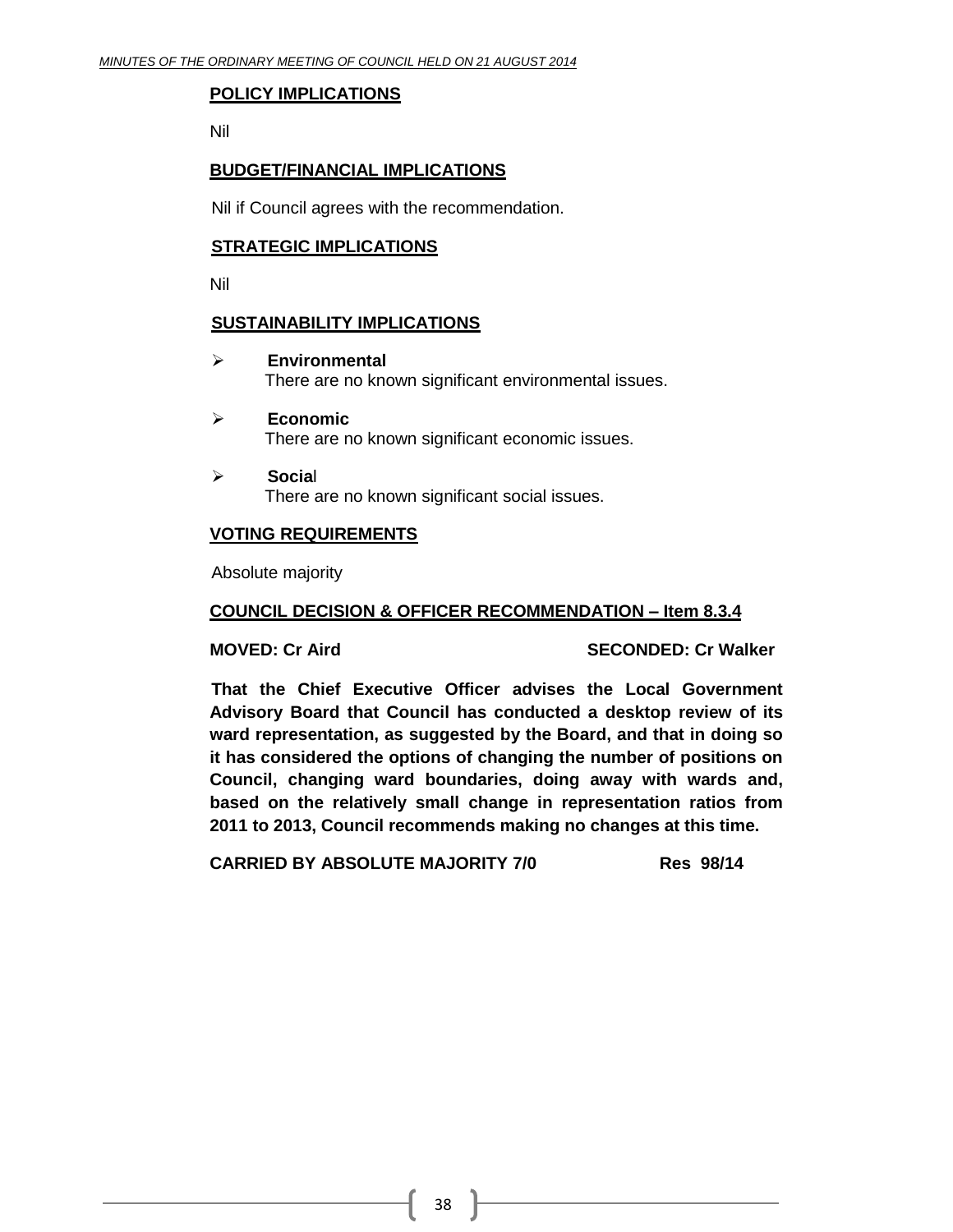#### **POLICY IMPLICATIONS**

Nil

#### **BUDGET/FINANCIAL IMPLICATIONS**

Nil if Council agrees with the recommendation.

#### **STRATEGIC IMPLICATIONS**

Nil

#### **SUSTAINABILITY IMPLICATIONS**

**Environmental**

There are no known significant environmental issues.

- **Economic** There are no known significant economic issues.
- **Socia**l There are no known significant social issues.

#### **VOTING REQUIREMENTS**

Absolute majority

#### **COUNCIL DECISION & OFFICER RECOMMENDATION – Item 8.3.4**

**MOVED: Cr Aird SECONDED: Cr Walker**

**That the Chief Executive Officer advises the Local Government Advisory Board that Council has conducted a desktop review of its ward representation, as suggested by the Board, and that in doing so it has considered the options of changing the number of positions on Council, changing ward boundaries, doing away with wards and, based on the relatively small change in representation ratios from 2011 to 2013, Council recommends making no changes at this time.**

**CARRIED BY ABSOLUTE MAJORITY 7/0 Res 98/14**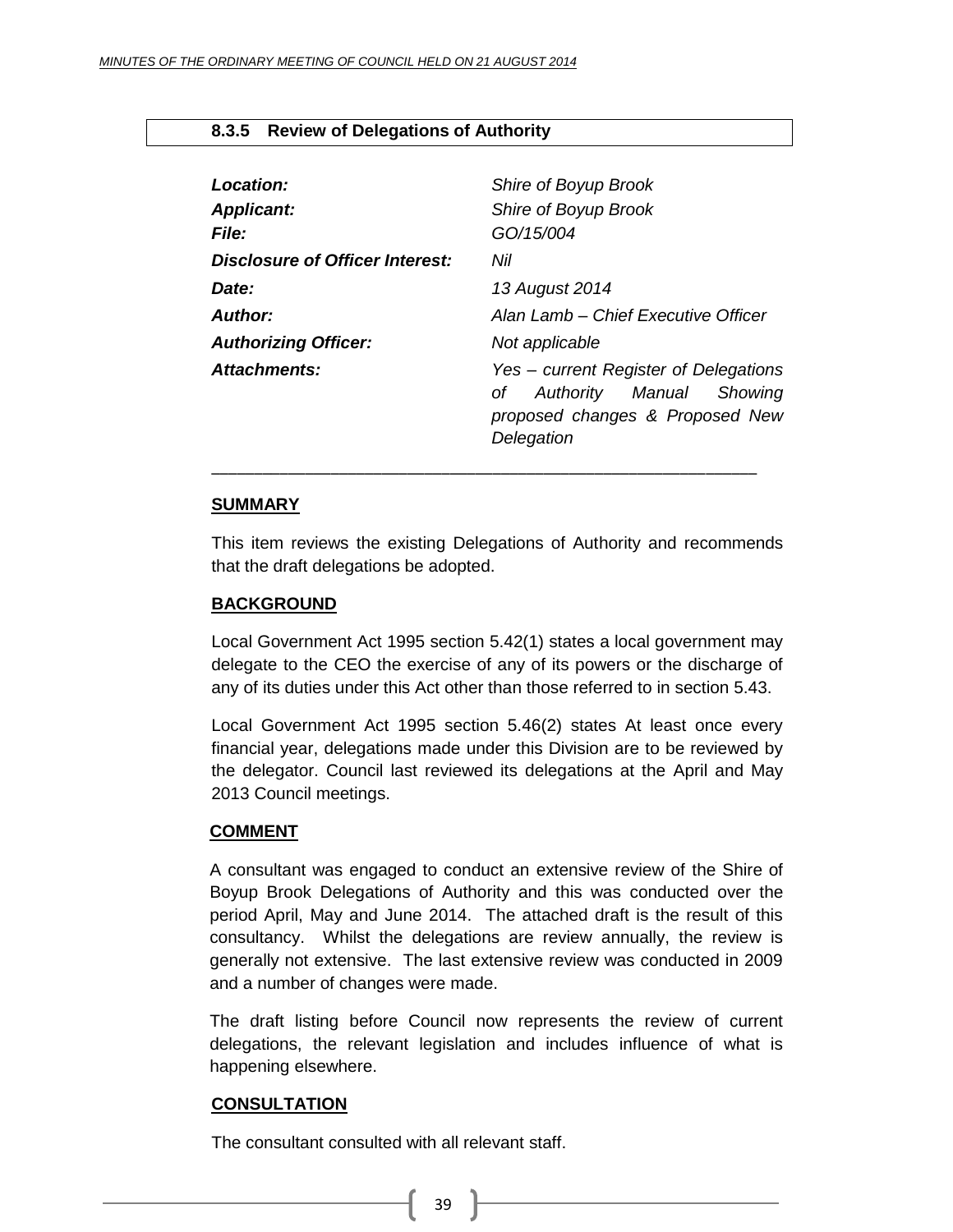#### <span id="page-38-0"></span>**8.3.5 Review of Delegations of Authority**

| Location:<br><b>Applicant:</b>  | Shire of Boyup Brook<br>Shire of Boyup Brook                                                                                |  |  |
|---------------------------------|-----------------------------------------------------------------------------------------------------------------------------|--|--|
| <b>File:</b>                    | GO/15/004                                                                                                                   |  |  |
| Disclosure of Officer Interest: | Nil                                                                                                                         |  |  |
| Date:                           | 13 August 2014                                                                                                              |  |  |
| Author:                         | Alan Lamb – Chief Executive Officer                                                                                         |  |  |
| <b>Authorizing Officer:</b>     | Not applicable                                                                                                              |  |  |
| <b>Attachments:</b>             | Yes - current Register of Delegations<br>Authority Manual<br>Showing<br>Οf<br>proposed changes & Proposed New<br>Delegation |  |  |

#### **SUMMARY**

This item reviews the existing Delegations of Authority and recommends that the draft delegations be adopted.

\_\_\_\_\_\_\_\_\_\_\_\_\_\_\_\_\_\_\_\_\_\_\_\_\_\_\_\_\_\_\_\_\_\_\_\_\_\_\_\_\_\_\_\_\_\_\_\_\_\_\_\_\_\_\_\_\_\_\_\_\_\_\_\_

#### **BACKGROUND**

Local Government Act 1995 section 5.42(1) states a local government may delegate to the CEO the exercise of any of its powers or the discharge of any of its duties under this Act other than those referred to in section 5.43.

Local Government Act 1995 section 5.46(2) states At least once every financial year, delegations made under this Division are to be reviewed by the delegator. Council last reviewed its delegations at the April and May 2013 Council meetings.

#### **COMMENT**

A consultant was engaged to conduct an extensive review of the Shire of Boyup Brook Delegations of Authority and this was conducted over the period April, May and June 2014. The attached draft is the result of this consultancy. Whilst the delegations are review annually, the review is generally not extensive. The last extensive review was conducted in 2009 and a number of changes were made.

The draft listing before Council now represents the review of current delegations, the relevant legislation and includes influence of what is happening elsewhere.

#### **CONSULTATION**

The consultant consulted with all relevant staff.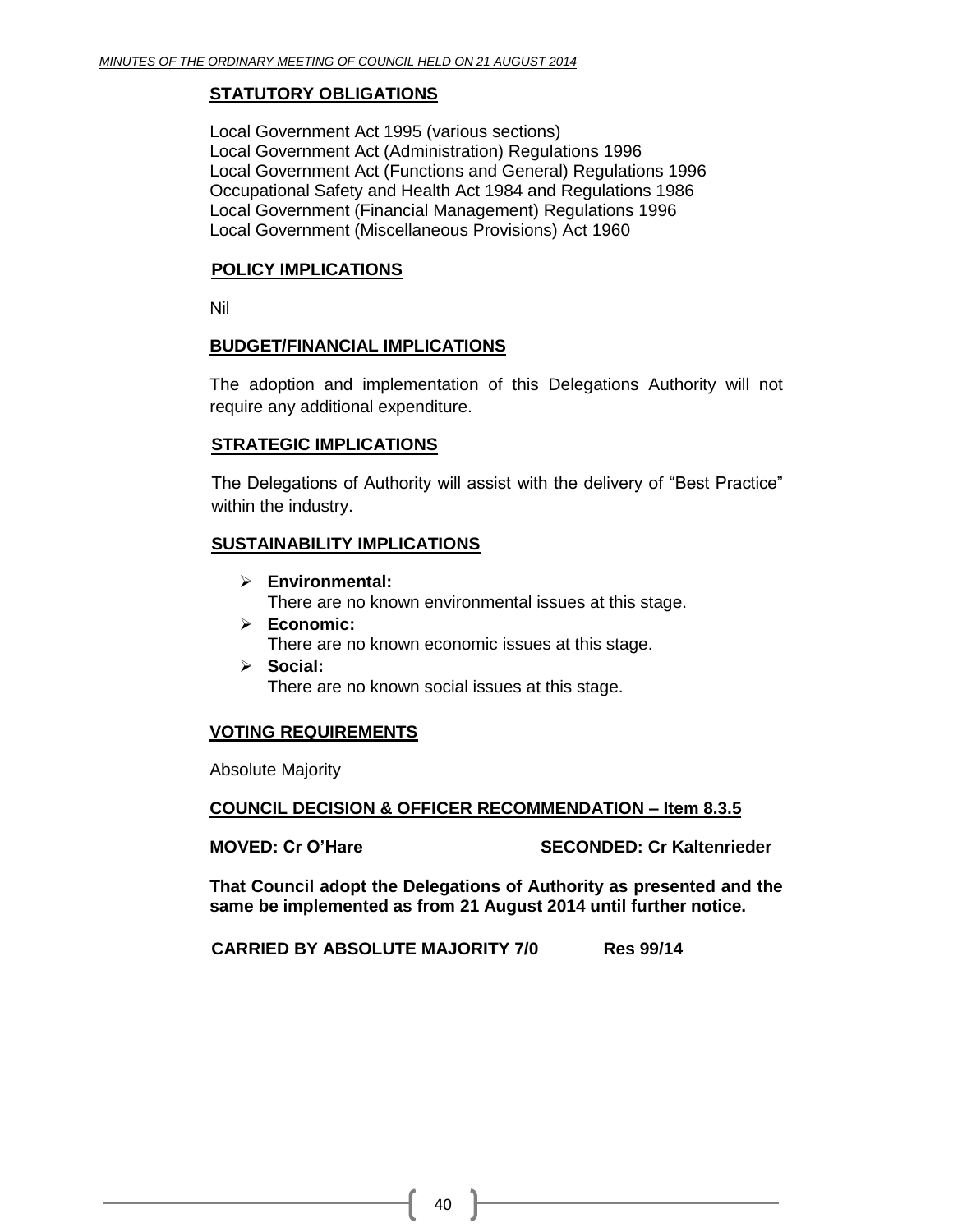#### **STATUTORY OBLIGATIONS**

Local Government Act 1995 (various sections) Local Government Act (Administration) Regulations 1996 Local Government Act (Functions and General) Regulations 1996 Occupational Safety and Health Act 1984 and Regulations 1986 Local Government (Financial Management) Regulations 1996 Local Government (Miscellaneous Provisions) Act 1960

#### **POLICY IMPLICATIONS**

Nil

#### **BUDGET/FINANCIAL IMPLICATIONS**

The adoption and implementation of this Delegations Authority will not require any additional expenditure.

#### **STRATEGIC IMPLICATIONS**

The Delegations of Authority will assist with the delivery of "Best Practice" within the industry.

#### **SUSTAINABILITY IMPLICATIONS**

- **Environmental:** There are no known environmental issues at this stage.
- **Economic:** There are no known economic issues at this stage.
- **Social:** There are no known social issues at this stage.

#### **VOTING REQUIREMENTS**

Absolute Majority

#### **COUNCIL DECISION & OFFICER RECOMMENDATION – Item 8.3.5**

**MOVED: Cr O'Hare SECONDED: Cr Kaltenrieder**

**That Council adopt the Delegations of Authority as presented and the same be implemented as from 21 August 2014 until further notice.**

**CARRIED BY ABSOLUTE MAJORITY 7/0 Res 99/14**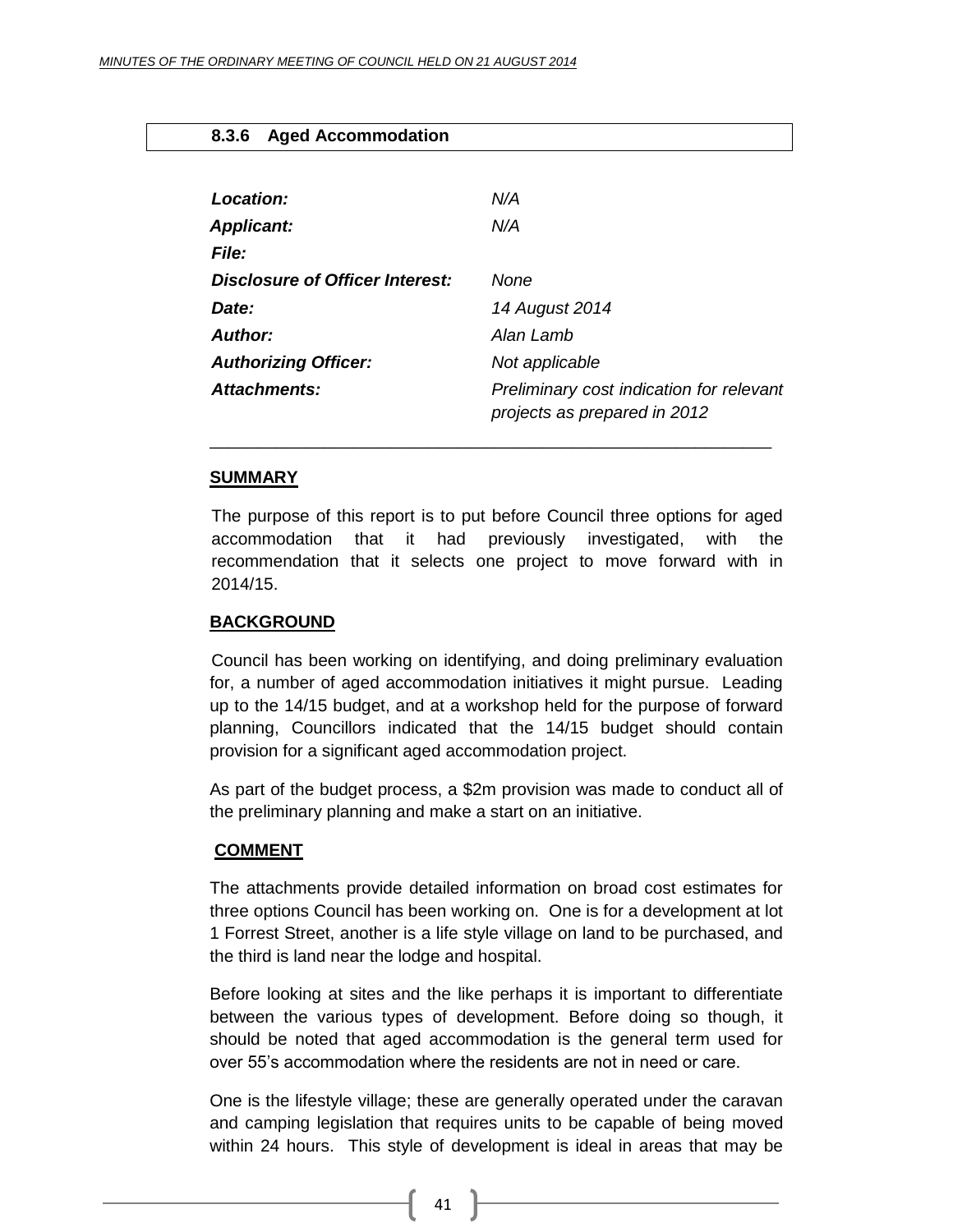#### <span id="page-40-0"></span>**8.3.6 Aged Accommodation**

| Location:                       | N/A                                                                      |
|---------------------------------|--------------------------------------------------------------------------|
| <b>Applicant:</b>               | N/A                                                                      |
| <b>File:</b>                    |                                                                          |
| Disclosure of Officer Interest: | None                                                                     |
| Date:                           | 14 August 2014                                                           |
| Author:                         | Alan Lamb                                                                |
| <b>Authorizing Officer:</b>     | Not applicable                                                           |
| Attachments:                    | Preliminary cost indication for relevant<br>projects as prepared in 2012 |

#### **SUMMARY**

The purpose of this report is to put before Council three options for aged accommodation that it had previously investigated, with the recommendation that it selects one project to move forward with in 2014/15.

\_\_\_\_\_\_\_\_\_\_\_\_\_\_\_\_\_\_\_\_\_\_\_\_\_\_\_\_\_\_\_\_\_\_\_\_\_\_\_\_\_\_\_\_\_\_\_\_\_\_\_\_\_\_\_\_\_\_\_

#### **BACKGROUND**

Council has been working on identifying, and doing preliminary evaluation for, a number of aged accommodation initiatives it might pursue. Leading up to the 14/15 budget, and at a workshop held for the purpose of forward planning, Councillors indicated that the 14/15 budget should contain provision for a significant aged accommodation project.

As part of the budget process, a \$2m provision was made to conduct all of the preliminary planning and make a start on an initiative.

#### **COMMENT**

The attachments provide detailed information on broad cost estimates for three options Council has been working on. One is for a development at lot 1 Forrest Street, another is a life style village on land to be purchased, and the third is land near the lodge and hospital.

Before looking at sites and the like perhaps it is important to differentiate between the various types of development. Before doing so though, it should be noted that aged accommodation is the general term used for over 55's accommodation where the residents are not in need or care.

One is the lifestyle village; these are generally operated under the caravan and camping legislation that requires units to be capable of being moved within 24 hours. This style of development is ideal in areas that may be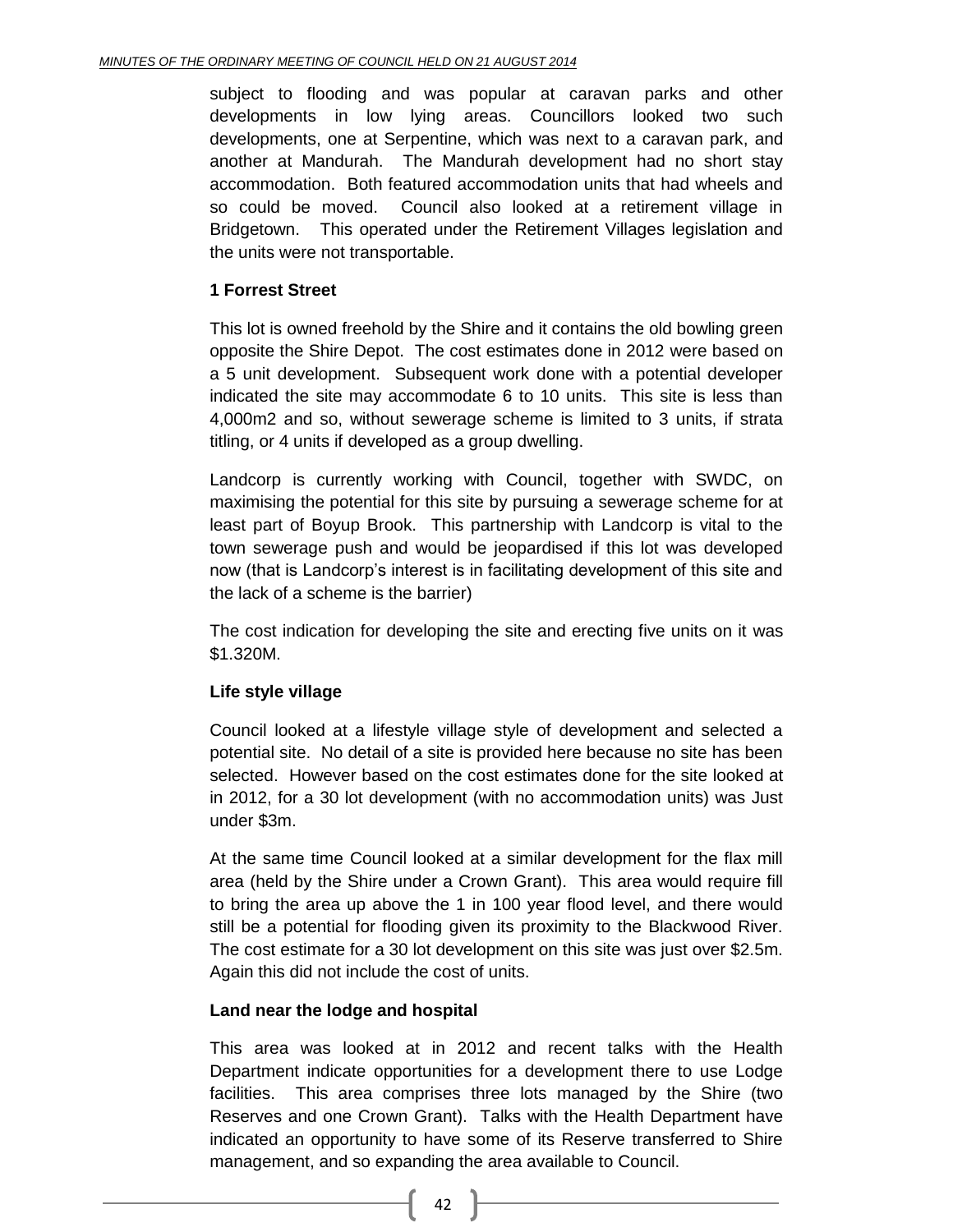subject to flooding and was popular at caravan parks and other developments in low lying areas. Councillors looked two such developments, one at Serpentine, which was next to a caravan park, and another at Mandurah. The Mandurah development had no short stay accommodation. Both featured accommodation units that had wheels and so could be moved. Council also looked at a retirement village in Bridgetown. This operated under the Retirement Villages legislation and the units were not transportable.

#### **1 Forrest Street**

This lot is owned freehold by the Shire and it contains the old bowling green opposite the Shire Depot. The cost estimates done in 2012 were based on a 5 unit development. Subsequent work done with a potential developer indicated the site may accommodate 6 to 10 units. This site is less than 4,000m2 and so, without sewerage scheme is limited to 3 units, if strata titling, or 4 units if developed as a group dwelling.

Landcorp is currently working with Council, together with SWDC, on maximising the potential for this site by pursuing a sewerage scheme for at least part of Boyup Brook. This partnership with Landcorp is vital to the town sewerage push and would be jeopardised if this lot was developed now (that is Landcorp's interest is in facilitating development of this site and the lack of a scheme is the barrier)

The cost indication for developing the site and erecting five units on it was \$1.320M.

#### **Life style village**

Council looked at a lifestyle village style of development and selected a potential site. No detail of a site is provided here because no site has been selected. However based on the cost estimates done for the site looked at in 2012, for a 30 lot development (with no accommodation units) was Just under \$3m.

At the same time Council looked at a similar development for the flax mill area (held by the Shire under a Crown Grant). This area would require fill to bring the area up above the 1 in 100 year flood level, and there would still be a potential for flooding given its proximity to the Blackwood River. The cost estimate for a 30 lot development on this site was just over \$2.5m. Again this did not include the cost of units.

#### **Land near the lodge and hospital**

This area was looked at in 2012 and recent talks with the Health Department indicate opportunities for a development there to use Lodge facilities. This area comprises three lots managed by the Shire (two Reserves and one Crown Grant). Talks with the Health Department have indicated an opportunity to have some of its Reserve transferred to Shire management, and so expanding the area available to Council.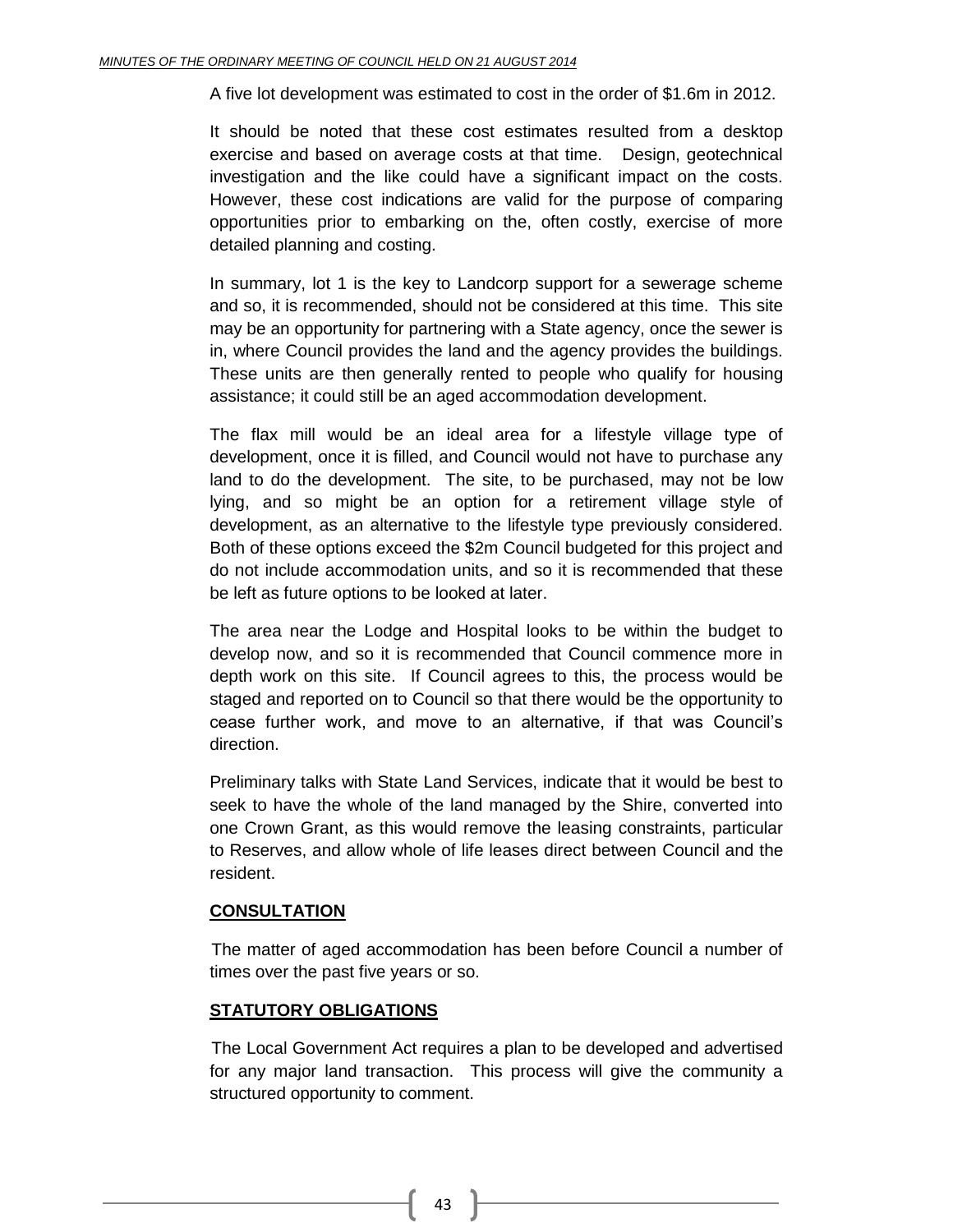A five lot development was estimated to cost in the order of \$1.6m in 2012.

It should be noted that these cost estimates resulted from a desktop exercise and based on average costs at that time. Design, geotechnical investigation and the like could have a significant impact on the costs. However, these cost indications are valid for the purpose of comparing opportunities prior to embarking on the, often costly, exercise of more detailed planning and costing.

In summary, lot 1 is the key to Landcorp support for a sewerage scheme and so, it is recommended, should not be considered at this time. This site may be an opportunity for partnering with a State agency, once the sewer is in, where Council provides the land and the agency provides the buildings. These units are then generally rented to people who qualify for housing assistance; it could still be an aged accommodation development.

The flax mill would be an ideal area for a lifestyle village type of development, once it is filled, and Council would not have to purchase any land to do the development. The site, to be purchased, may not be low lying, and so might be an option for a retirement village style of development, as an alternative to the lifestyle type previously considered. Both of these options exceed the \$2m Council budgeted for this project and do not include accommodation units, and so it is recommended that these be left as future options to be looked at later.

The area near the Lodge and Hospital looks to be within the budget to develop now, and so it is recommended that Council commence more in depth work on this site. If Council agrees to this, the process would be staged and reported on to Council so that there would be the opportunity to cease further work, and move to an alternative, if that was Council's direction.

Preliminary talks with State Land Services, indicate that it would be best to seek to have the whole of the land managed by the Shire, converted into one Crown Grant, as this would remove the leasing constraints, particular to Reserves, and allow whole of life leases direct between Council and the resident.

#### **CONSULTATION**

The matter of aged accommodation has been before Council a number of times over the past five years or so.

#### **STATUTORY OBLIGATIONS**

The Local Government Act requires a plan to be developed and advertised for any major land transaction. This process will give the community a structured opportunity to comment.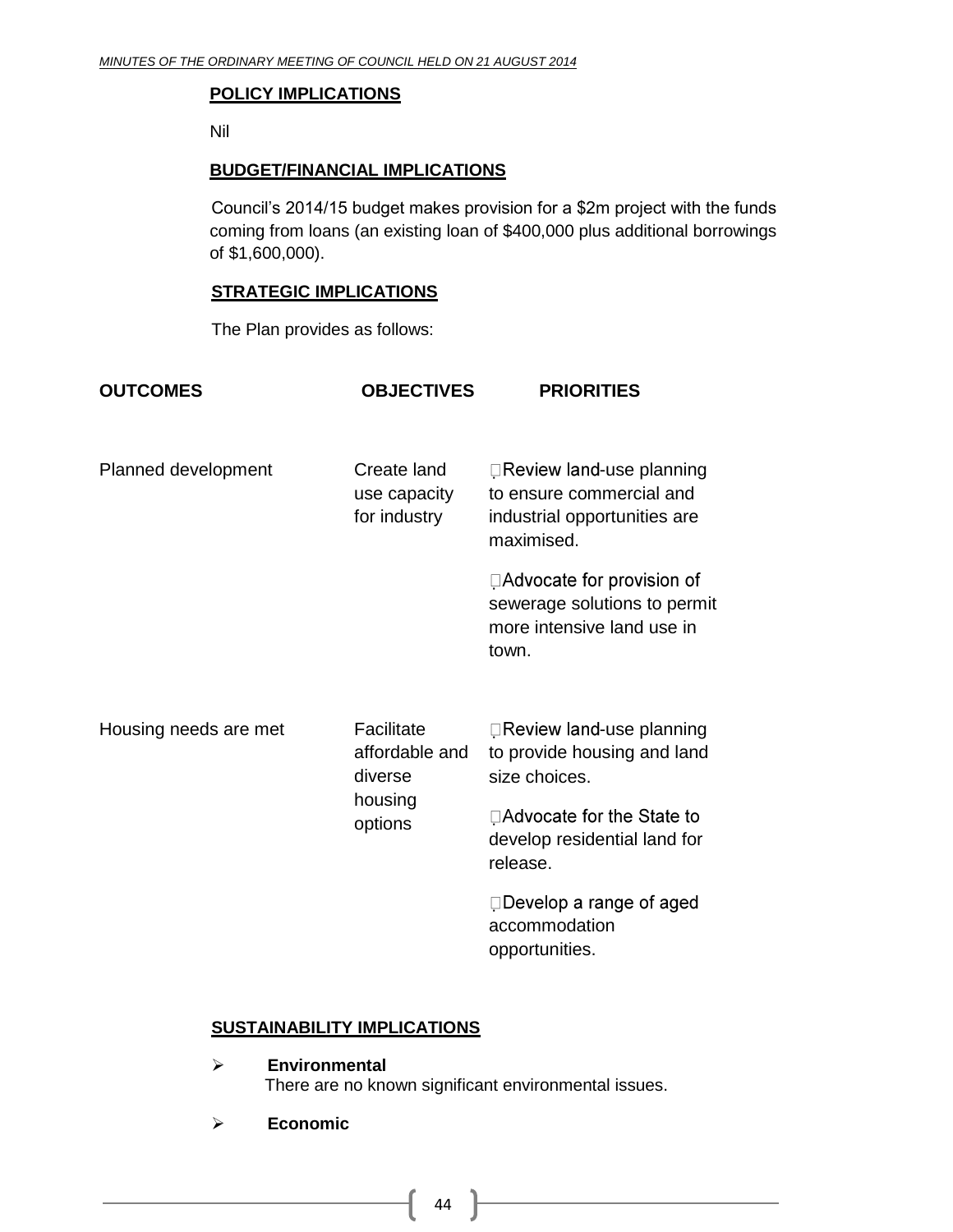#### **POLICY IMPLICATIONS**

Nil

#### **BUDGET/FINANCIAL IMPLICATIONS**

Council's 2014/15 budget makes provision for a \$2m project with the funds coming from loans (an existing loan of \$400,000 plus additional borrowings of \$1,600,000).

#### **STRATEGIC IMPLICATIONS**

The Plan provides as follows:

| <b>OUTCOMES</b>       | <b>OBJECTIVES</b>                                             | <b>PRIORITIES</b>                                                                                   |
|-----------------------|---------------------------------------------------------------|-----------------------------------------------------------------------------------------------------|
| Planned development   | Create land<br>use capacity<br>for industry                   | □Review land-use planning<br>to ensure commercial and<br>industrial opportunities are<br>maximised. |
|                       |                                                               | □Advocate for provision of<br>sewerage solutions to permit<br>more intensive land use in<br>town.   |
| Housing needs are met | Facilitate<br>affordable and<br>diverse<br>housing<br>options | □Review land-use planning<br>to provide housing and land<br>size choices.                           |
|                       |                                                               | □ Advocate for the State to<br>develop residential land for<br>release.                             |
|                       |                                                               | $\Box$ Develop a range of aged<br>accommodation<br>opportunities.                                   |

#### **SUSTAINABILITY IMPLICATIONS**

- **Environmental** There are no known significant environmental issues.
- **Economic**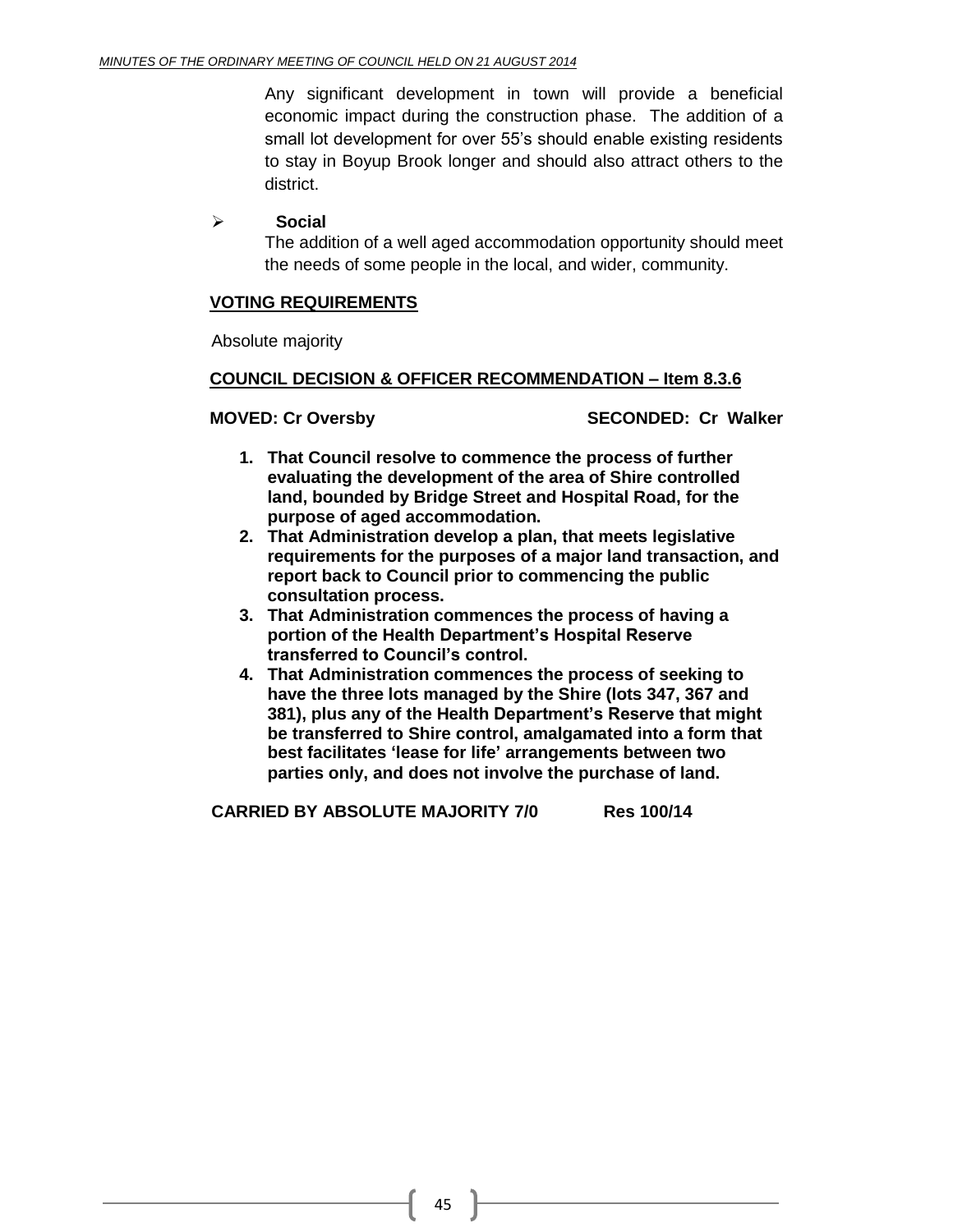Any significant development in town will provide a beneficial economic impact during the construction phase. The addition of a small lot development for over 55's should enable existing residents to stay in Boyup Brook longer and should also attract others to the district.

#### **Social**

The addition of a well aged accommodation opportunity should meet the needs of some people in the local, and wider, community.

#### **VOTING REQUIREMENTS**

Absolute majority

#### **COUNCIL DECISION & OFFICER RECOMMENDATION – Item 8.3.6**

**MOVED: Cr Oversby SECONDED: Cr Walker**

- **1. That Council resolve to commence the process of further evaluating the development of the area of Shire controlled land, bounded by Bridge Street and Hospital Road, for the purpose of aged accommodation.**
- **2. That Administration develop a plan, that meets legislative requirements for the purposes of a major land transaction, and report back to Council prior to commencing the public consultation process.**
- **3. That Administration commences the process of having a portion of the Health Department's Hospital Reserve transferred to Council's control.**
- **4. That Administration commences the process of seeking to have the three lots managed by the Shire (lots 347, 367 and 381), plus any of the Health Department's Reserve that might be transferred to Shire control, amalgamated into a form that best facilitates 'lease for life' arrangements between two parties only, and does not involve the purchase of land.**

**CARRIED BY ABSOLUTE MAJORITY 7/0 Res 100/14**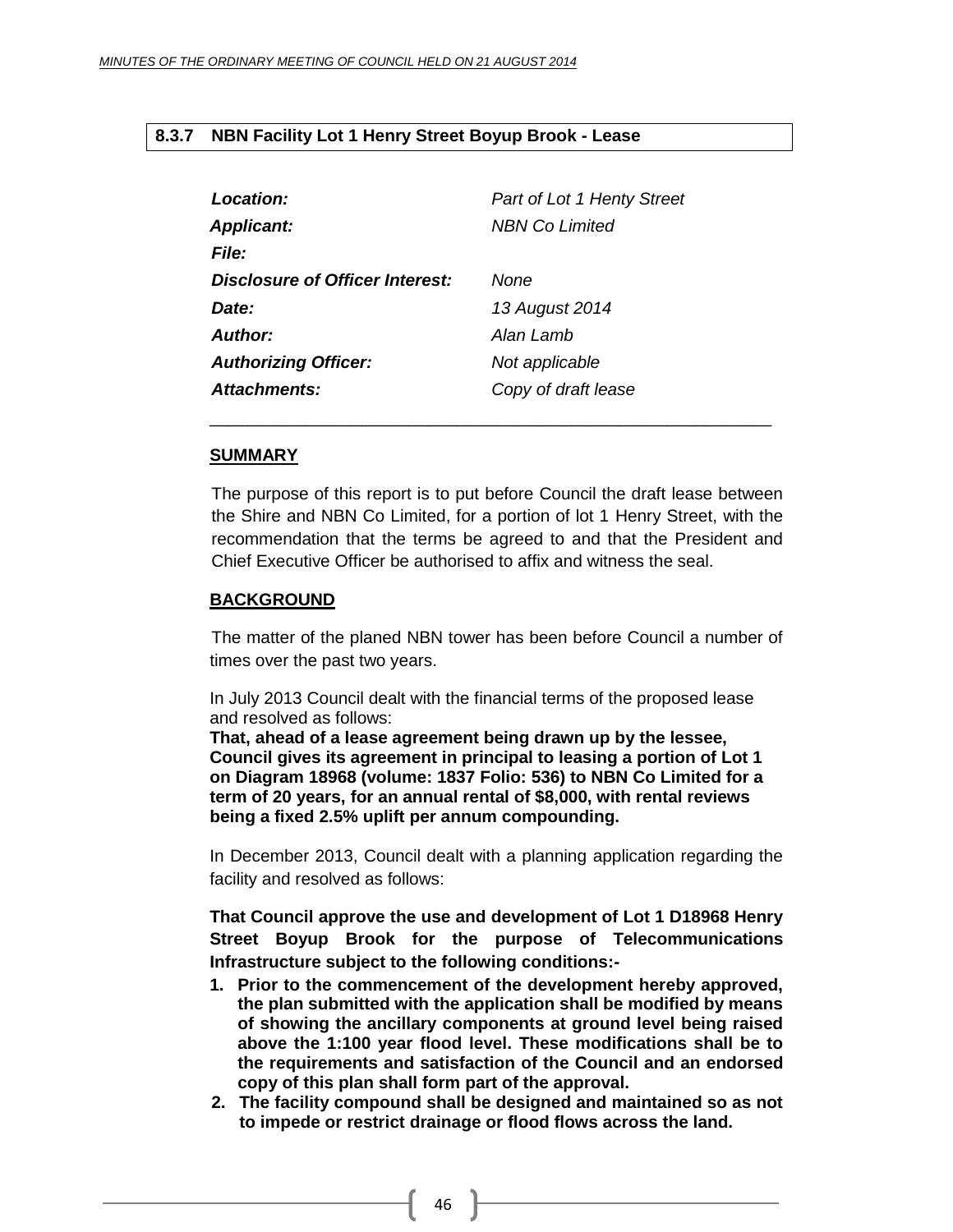#### <span id="page-45-0"></span>**8.3.7 NBN Facility Lot 1 Henry Street Boyup Brook - Lease**

| Location:                       | <b>Part of Lot 1 Henty Street</b> |
|---------------------------------|-----------------------------------|
| <b>Applicant:</b>               | <b>NBN Co Limited</b>             |
| <b>File:</b>                    |                                   |
| Disclosure of Officer Interest: | None                              |
| Date:                           | 13 August 2014                    |
| Author:                         | Alan Lamb                         |
| <b>Authorizing Officer:</b>     | Not applicable                    |
| <b>Attachments:</b>             | Copy of draft lease               |

#### **SUMMARY**

The purpose of this report is to put before Council the draft lease between the Shire and NBN Co Limited, for a portion of lot 1 Henry Street, with the recommendation that the terms be agreed to and that the President and Chief Executive Officer be authorised to affix and witness the seal.

\_\_\_\_\_\_\_\_\_\_\_\_\_\_\_\_\_\_\_\_\_\_\_\_\_\_\_\_\_\_\_\_\_\_\_\_\_\_\_\_\_\_\_\_\_\_\_\_\_\_\_\_\_\_\_\_\_\_\_

#### **BACKGROUND**

The matter of the planed NBN tower has been before Council a number of times over the past two years.

In July 2013 Council dealt with the financial terms of the proposed lease and resolved as follows:

**That, ahead of a lease agreement being drawn up by the lessee, Council gives its agreement in principal to leasing a portion of Lot 1 on Diagram 18968 (volume: 1837 Folio: 536) to NBN Co Limited for a term of 20 years, for an annual rental of \$8,000, with rental reviews being a fixed 2.5% uplift per annum compounding.**

In December 2013, Council dealt with a planning application regarding the facility and resolved as follows:

**That Council approve the use and development of Lot 1 D18968 Henry Street Boyup Brook for the purpose of Telecommunications Infrastructure subject to the following conditions:-**

- **1. Prior to the commencement of the development hereby approved, the plan submitted with the application shall be modified by means of showing the ancillary components at ground level being raised above the 1:100 year flood level. These modifications shall be to the requirements and satisfaction of the Council and an endorsed copy of this plan shall form part of the approval.**
- **2. The facility compound shall be designed and maintained so as not to impede or restrict drainage or flood flows across the land.**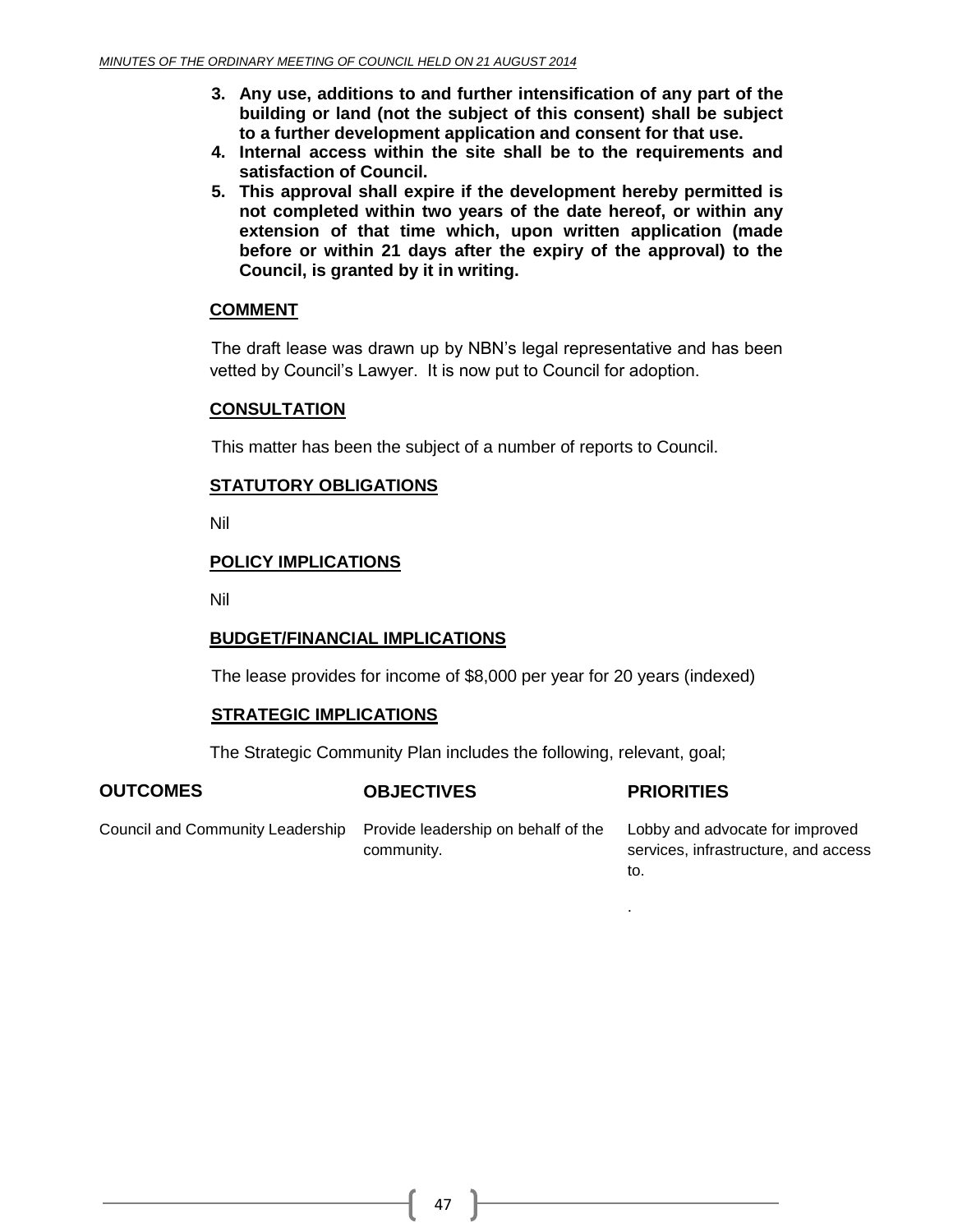- **3. Any use, additions to and further intensification of any part of the building or land (not the subject of this consent) shall be subject to a further development application and consent for that use.**
- **4. Internal access within the site shall be to the requirements and satisfaction of Council.**
- **5. This approval shall expire if the development hereby permitted is not completed within two years of the date hereof, or within any extension of that time which, upon written application (made before or within 21 days after the expiry of the approval) to the Council, is granted by it in writing.**

#### **COMMENT**

The draft lease was drawn up by NBN's legal representative and has been vetted by Council's Lawyer. It is now put to Council for adoption.

#### **CONSULTATION**

This matter has been the subject of a number of reports to Council.

#### **STATUTORY OBLIGATIONS**

Nil

#### **POLICY IMPLICATIONS**

Nil

#### **BUDGET/FINANCIAL IMPLICATIONS**

The lease provides for income of \$8,000 per year for 20 years (indexed)

#### **STRATEGIC IMPLICATIONS**

The Strategic Community Plan includes the following, relevant, goal;

#### **OUTCOMES OBJECTIVES PRIORITIES**

.

Council and Community Leadership Provide leadership on behalf of the community.

Lobby and advocate for improved services, infrastructure, and access to.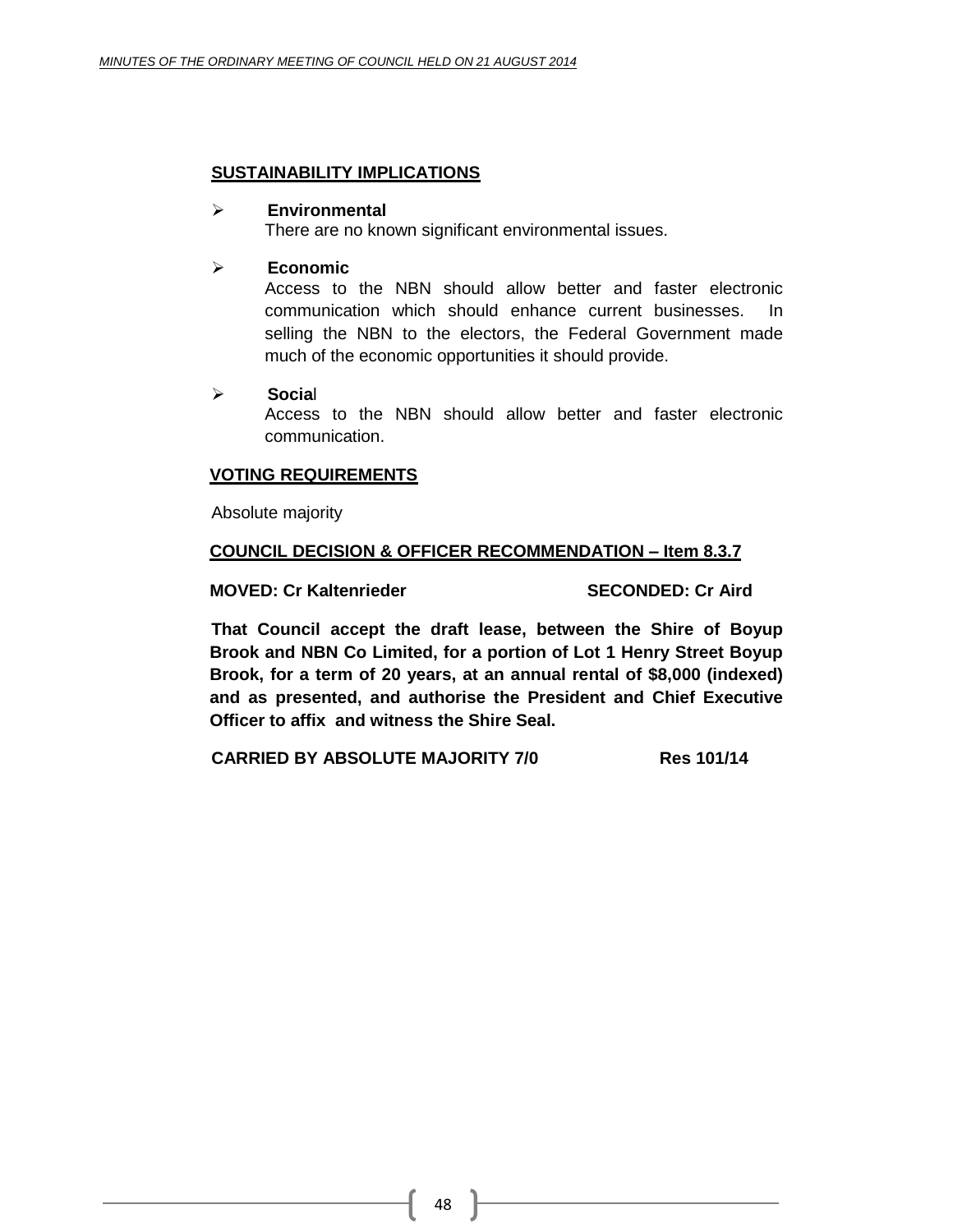#### **SUSTAINABILITY IMPLICATIONS**

#### **Environmental**

There are no known significant environmental issues.

#### **Economic**

Access to the NBN should allow better and faster electronic communication which should enhance current businesses. In selling the NBN to the electors, the Federal Government made much of the economic opportunities it should provide.

#### **Socia**l

Access to the NBN should allow better and faster electronic communication.

#### **VOTING REQUIREMENTS**

Absolute majority

#### **COUNCIL DECISION & OFFICER RECOMMENDATION – Item 8.3.7**

**MOVED: Cr Kaltenrieder SECONDED: Cr Aird**

**That Council accept the draft lease, between the Shire of Boyup Brook and NBN Co Limited, for a portion of Lot 1 Henry Street Boyup Brook, for a term of 20 years, at an annual rental of \$8,000 (indexed) and as presented, and authorise the President and Chief Executive Officer to affix and witness the Shire Seal.**

**CARRIED BY ABSOLUTE MAJORITY 7/0 Res 101/14**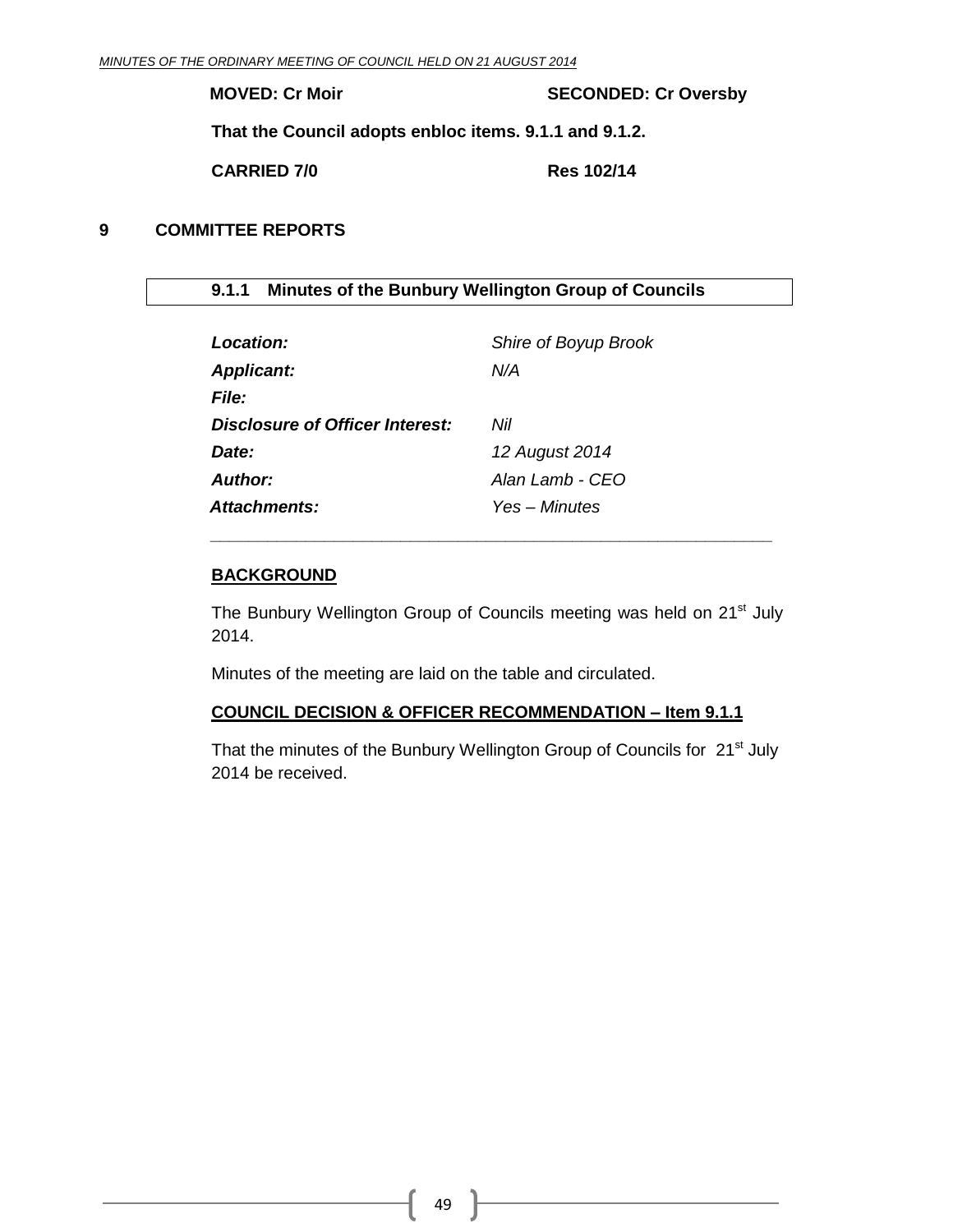**MOVED: Cr Moir SECONDED: Cr Oversby**

**That the Council adopts enbloc items. 9.1.1 and 9.1.2.**

**CARRIED 7/0 Res 102/14**

#### <span id="page-48-0"></span>**9 COMMITTEE REPORTS**

<span id="page-48-1"></span>**9.1.1 Minutes of the Bunbury Wellington Group of Councils**

| Location:                       | Shire of Boyup Brook |
|---------------------------------|----------------------|
| <b>Applicant:</b>               | N/A                  |
| File:                           |                      |
| Disclosure of Officer Interest: | Nil                  |
| Date:                           | 12 August 2014       |
| Author:                         | Alan Lamb - CEO      |
| <b>Attachments:</b>             | Yes – Minutes        |

#### **BACKGROUND**

The Bunbury Wellington Group of Councils meeting was held on 21<sup>st</sup> July 2014.

*\_\_\_\_\_\_\_\_\_\_\_\_\_\_\_\_\_\_\_\_\_\_\_\_\_\_\_\_\_\_\_\_\_\_\_\_\_\_\_\_\_\_\_\_\_\_\_\_\_\_\_\_\_\_\_\_\_\_\_*

Minutes of the meeting are laid on the table and circulated.

#### **COUNCIL DECISION & OFFICER RECOMMENDATION – Item 9.1.1**

That the minutes of the Bunbury Wellington Group of Councils for 21<sup>st</sup> July 2014 be received.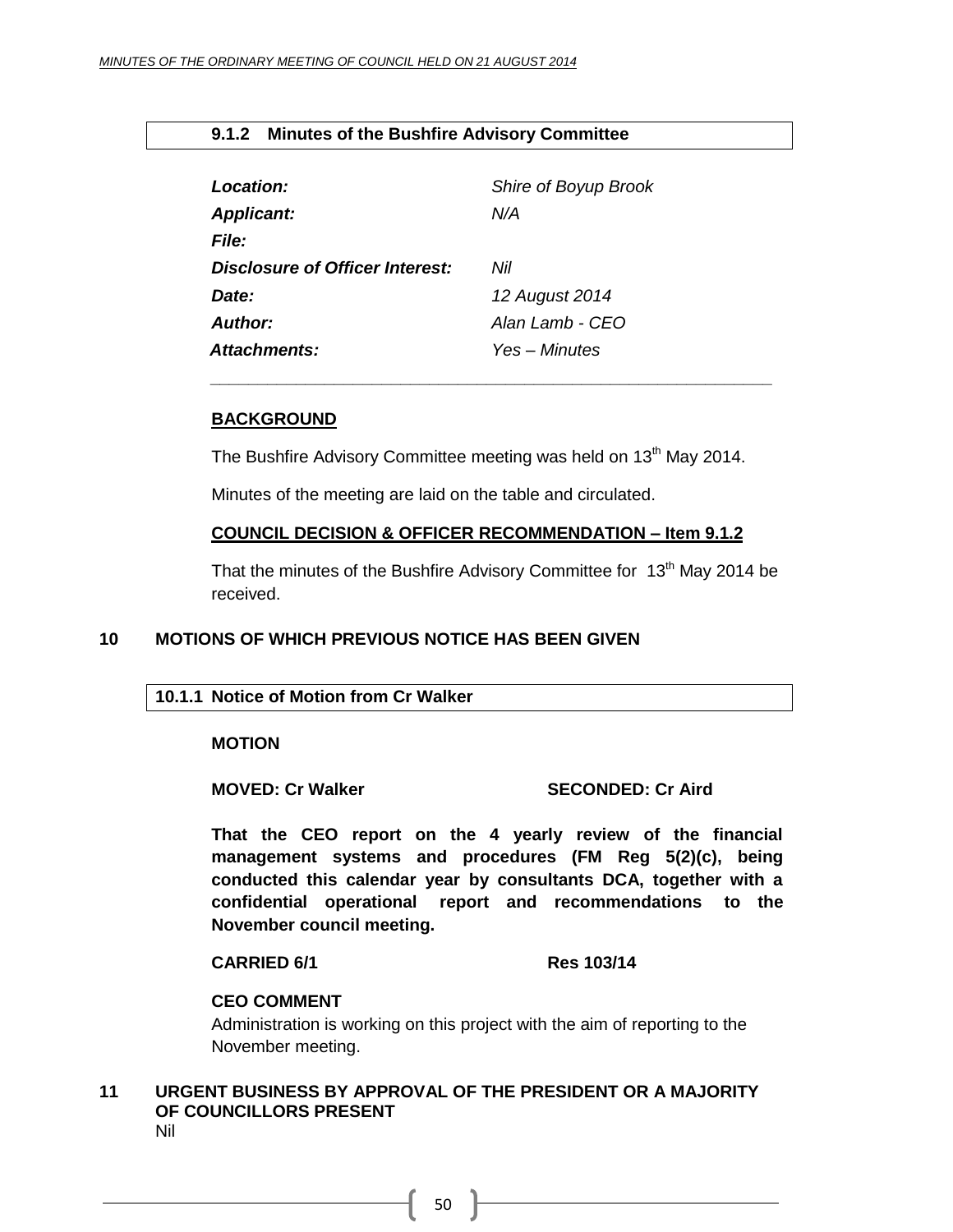#### <span id="page-49-0"></span>**9.1.2 Minutes of the Bushfire Advisory Committee**

| Location:                       | Shire of Boyup Brook |
|---------------------------------|----------------------|
| <b>Applicant:</b>               | N/A                  |
| <i>File:</i>                    |                      |
| Disclosure of Officer Interest: | Nil                  |
| Date:                           | 12 August 2014       |
| Author:                         | Alan Lamb - CFO      |
| Attachments:                    | Yes – Minutes        |

#### **BACKGROUND**

The Bushfire Advisory Committee meeting was held on 13<sup>th</sup> May 2014.

*\_\_\_\_\_\_\_\_\_\_\_\_\_\_\_\_\_\_\_\_\_\_\_\_\_\_\_\_\_\_\_\_\_\_\_\_\_\_\_\_\_\_\_\_\_\_\_\_\_\_\_\_\_\_\_\_\_\_\_*

Minutes of the meeting are laid on the table and circulated.

#### **COUNCIL DECISION & OFFICER RECOMMENDATION – Item 9.1.2**

That the minutes of the Bushfire Advisory Committee for  $13<sup>th</sup>$  May 2014 be received.

#### <span id="page-49-2"></span><span id="page-49-1"></span>**10 MOTIONS OF WHICH PREVIOUS NOTICE HAS BEEN GIVEN**

#### **10.1.1 Notice of Motion from Cr Walker**

**MOTION** 

#### **MOVED: Cr Walker SECONDED: Cr Aird**

**That the CEO report on the 4 yearly review of the financial management systems and procedures (FM Reg 5(2)(c), being conducted this calendar year by consultants DCA, together with a confidential operational report and recommendations to the November council meeting.**

#### **CARRIED 6/1 Res 103/14**

#### **CEO COMMENT**

Administration is working on this project with the aim of reporting to the November meeting.

#### <span id="page-49-3"></span>**11 URGENT BUSINESS BY APPROVAL OF THE PRESIDENT OR A MAJORITY OF COUNCILLORS PRESENT** Nil